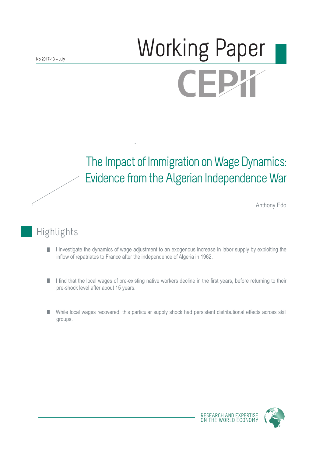# Working Paper CEPX

# The Impact of Immigration on Wage Dynamics: Evidence from the Algerian Independence War

Anthony Edo

# Highlights

- I investigate the dynamics of wage adjustment to an exogenous increase in labor supply by exploiting the П inflow of repatriates to France after the independence of Algeria in 1962.
- I find that the local wages of pre-existing native workers decline in the first years, before returning to their П pre-shock level after about 15 years.
- While local wages recovered, this particular supply shock had persistent distributional effects across skill П groups.

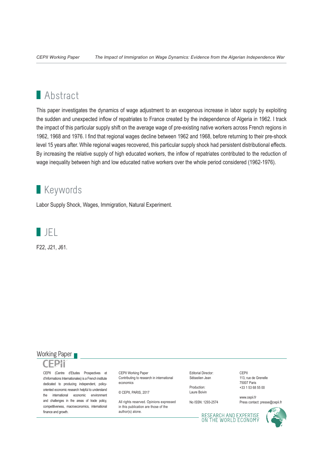# **Abstract**

This paper investigates the dynamics of wage adjustment to an exogenous increase in labor supply by exploiting the sudden and unexpected inflow of repatriates to France created by the independence of Algeria in 1962. I track the impact of this particular supply shift on the average wage of pre-existing native workers across French regions in 1962, 1968 and 1976. I find that regional wages decline between 1962 and 1968, before returning to their pre-shock level 15 years after. While regional wages recovered, this particular supply shock had persistent distributional effects. By increasing the relative supply of high educated workers, the inflow of repatriates contributed to the reduction of wage inequality between high and low educated native workers over the whole period considered (1962-1976).

# **Keywords**

Labor Supply Shock, Wages, Immigration, Natural Experiment.



F22, J21, J61.

#### Working Paper



CEPII (Centre d'Etudes Prospectives et d'Informations Internationales) is a French institute dedicated to producing independent, policyoriented economic research helpful to understand the international economic environment and challenges in the areas of trade policy, competitiveness, macroeconomics, international finance and growth.

CEPII Working Paper Contributing to research in international economics

© CEPII, PARIS, 2017

All rights reserved. Opinions expressed. in this publication are those of the author(s) alone.

Editorial Director: Sébastien Jean

Production: Laure Boivin

No ISSN: 1293-2574

CEPII 113, rue de Grenelle 75007 Paris +33 1 53 68 55 00

www.cepii.fr Press contact: presse@cepii.fr

RESEARCH AND EXPERTISE<br>ON THE WORLD ECONOMY

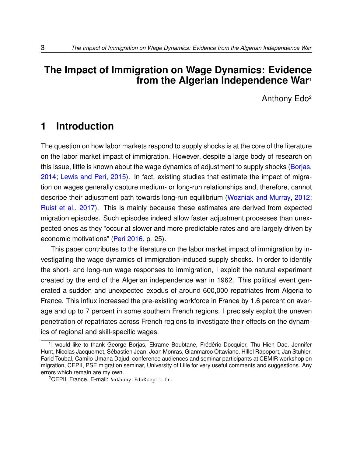### **The Impact of Immigration on Wage Dynamics: Evidence from the Algerian Independence War**[1](#page-2-0)

Anthony Edo[2](#page-2-1)

# **1 Introduction**

The question on how labor markets respond to supply shocks is at the core of the literature on the labor market impact of immigration. However, despite a large body of research on this issue, little is known about the wage dynamics of adjustment to supply shocks [\(Borjas,](#page-51-0) [2014;](#page-51-0) [Lewis and Peri,](#page-55-0) [2015\)](#page-55-0). In fact, existing studies that estimate the impact of migration on wages generally capture medium- or long-run relationships and, therefore, cannot describe their adjustment path towards long-run equilibrium [\(Wozniak and Murray,](#page-57-0) [2012;](#page-57-0) [Ruist et al.,](#page-57-1) [2017\)](#page-57-1). This is mainly because these estimates are derived from expected migration episodes. Such episodes indeed allow faster adjustment processes than unexpected ones as they "occur at slower and more predictable rates and are largely driven by economic motivations" [\(Peri](#page-56-0) [2016,](#page-56-0) p. 25).

This paper contributes to the literature on the labor market impact of immigration by investigating the wage dynamics of immigration-induced supply shocks. In order to identify the short- and long-run wage responses to immigration, I exploit the natural experiment created by the end of the Algerian independence war in 1962. This political event generated a sudden and unexpected exodus of around 600,000 repatriates from Algeria to France. This influx increased the pre-existing workforce in France by 1.6 percent on average and up to 7 percent in some southern French regions. I precisely exploit the uneven penetration of repatriates across French regions to investigate their effects on the dynamics of regional and skill-specific wages.

<span id="page-2-0"></span><sup>&</sup>lt;sup>1</sup>I would like to thank George Borjas, Ekrame Boubtane, Frédéric Docquier, Thu Hien Dao, Jennifer Hunt, Nicolas Jacquemet, Sébastien Jean, Joan Monras, Gianmarco Ottaviano, Hillel Rapoport, Jan Stuhler, Farid Toubal, Camilo Umana Dajud, conference audiences and seminar participants at CEMIR workshop on migration, CEPII, PSE migration seminar, University of Lille for very useful comments and suggestions. Any errors which remain are my own.

<span id="page-2-1"></span><sup>2</sup>CEPII, France. E-mail: <Anthony.Edo@cepii.fr>.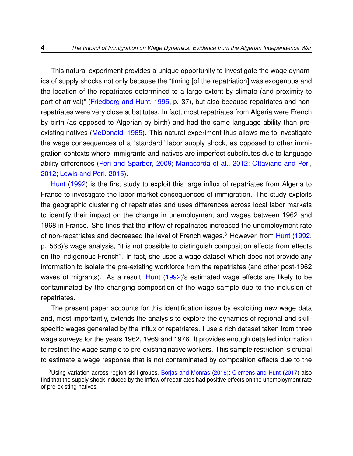This natural experiment provides a unique opportunity to investigate the wage dynamics of supply shocks not only because the "timing [of the repatriation] was exogenous and the location of the repatriates determined to a large extent by climate (and proximity to port of arrival)" [\(Friedberg and Hunt,](#page-54-0) [1995,](#page-54-0) p. 37), but also because repatriates and nonrepatriates were very close substitutes. In fact, most repatriates from Algeria were French by birth (as opposed to Algerian by birth) and had the same language ability than pre-existing natives [\(McDonald,](#page-55-1) [1965\)](#page-55-1). This natural experiment thus allows me to investigate the wage consequences of a "standard" labor supply shock, as opposed to other immigration contexts where immigrants and natives are imperfect substitutes due to language ability differences [\(Peri and Sparber,](#page-56-1) [2009;](#page-56-1) [Manacorda et al.,](#page-55-2) [2012;](#page-55-2) [Ottaviano and Peri,](#page-56-2) [2012;](#page-56-2) [Lewis and Peri,](#page-55-0) [2015\)](#page-55-0).

[Hunt](#page-54-1) [\(1992\)](#page-54-1) is the first study to exploit this large influx of repatriates from Algeria to France to investigate the labor market consequences of immigration. The study exploits the geographic clustering of repatriates and uses differences across local labor markets to identify their impact on the change in unemployment and wages between 1962 and 1968 in France. She finds that the inflow of repatriates increased the unemployment rate of non-repatriates and decreased the level of French wages.<sup>[3](#page-3-0)</sup> However, from [Hunt](#page-54-1) [\(1992,](#page-54-1) p. 566)'s wage analysis, "it is not possible to distinguish composition effects from effects on the indigenous French". In fact, she uses a wage dataset which does not provide any information to isolate the pre-existing workforce from the repatriates (and other post-1962 waves of migrants). As a result, [Hunt](#page-54-1) [\(1992\)](#page-54-1)'s estimated wage effects are likely to be contaminated by the changing composition of the wage sample due to the inclusion of repatriates.

The present paper accounts for this identification issue by exploiting new wage data and, most importantly, extends the analysis to explore the dynamics of regional and skillspecific wages generated by the influx of repatriates. I use a rich dataset taken from three wage surveys for the years 1962, 1969 and 1976. It provides enough detailed information to restrict the wage sample to pre-existing native workers. This sample restriction is crucial to estimate a wage response that is not contaminated by composition effects due to the

<span id="page-3-0"></span><sup>&</sup>lt;sup>3</sup>Using variation across region-skill groups, [Borjas and Monras](#page-51-1) [\(2016\)](#page-51-1); [Clemens and Hunt](#page-52-0) [\(2017\)](#page-52-0) also find that the supply shock induced by the inflow of repatriates had positive effects on the unemployment rate of pre-existing natives.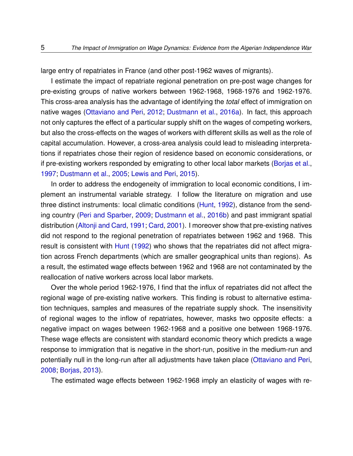large entry of repatriates in France (and other post-1962 waves of migrants).

I estimate the impact of repatriate regional penetration on pre-post wage changes for pre-existing groups of native workers between 1962-1968, 1968-1976 and 1962-1976. This cross-area analysis has the advantage of identifying the *total* effect of immigration on native wages [\(Ottaviano and Peri,](#page-56-2) [2012;](#page-56-2) [Dustmann et al.,](#page-53-0) [2016a\)](#page-53-0). In fact, this approach not only captures the effect of a particular supply shift on the wages of competing workers, but also the cross-effects on the wages of workers with different skills as well as the role of capital accumulation. However, a cross-area analysis could lead to misleading interpretations if repatriates chose their region of residence based on economic considerations, or if pre-existing workers responded by emigrating to other local labor markets [\(Borjas et al.,](#page-51-2) [1997;](#page-51-2) [Dustmann et al.,](#page-53-1) [2005;](#page-53-1) [Lewis and Peri,](#page-55-0) [2015\)](#page-55-0).

In order to address the endogeneity of immigration to local economic conditions, I implement an instrumental variable strategy. I follow the literature on migration and use three distinct instruments: local climatic conditions [\(Hunt,](#page-54-1) [1992\)](#page-54-1), distance from the sending country [\(Peri and Sparber,](#page-56-1) [2009;](#page-56-1) [Dustmann et al.,](#page-53-2) [2016b\)](#page-53-2) and past immigrant spatial distribution [\(Altonji and Card,](#page-50-0) [1991;](#page-50-0) [Card,](#page-52-1) [2001\)](#page-52-1). I moreover show that pre-existing natives did not respond to the regional penetration of repatriates between 1962 and 1968. This result is consistent with [Hunt](#page-54-1) [\(1992\)](#page-54-1) who shows that the repatriates did not affect migration across French departments (which are smaller geographical units than regions). As a result, the estimated wage effects between 1962 and 1968 are not contaminated by the reallocation of native workers across local labor markets.

Over the whole period 1962-1976, I find that the influx of repatriates did not affect the regional wage of pre-existing native workers. This finding is robust to alternative estimation techniques, samples and measures of the repatriate supply shock. The insensitivity of regional wages to the inflow of repatriates, however, masks two opposite effects: a negative impact on wages between 1962-1968 and a positive one between 1968-1976. These wage effects are consistent with standard economic theory which predicts a wage response to immigration that is negative in the short-run, positive in the medium-run and potentially null in the long-run after all adjustments have taken place [\(Ottaviano and Peri,](#page-56-3) [2008;](#page-56-3) [Borjas,](#page-51-3) [2013\)](#page-51-3).

The estimated wage effects between 1962-1968 imply an elasticity of wages with re-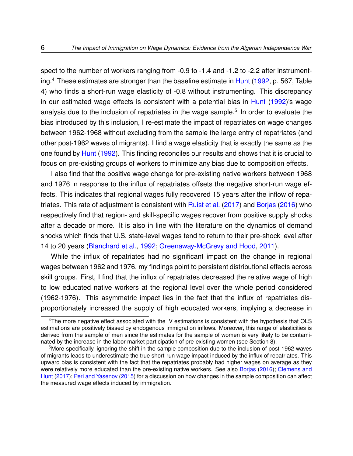spect to the number of workers ranging from -0.9 to -1.4 and -1.2 to -2.2 after instrumenting.[4](#page-5-0) These estimates are stronger than the baseline estimate in [Hunt](#page-54-1) [\(1992,](#page-54-1) p. 567, Table 4) who finds a short-run wage elasticity of -0.8 without instrumenting. This discrepancy in our estimated wage effects is consistent with a potential bias in [Hunt](#page-54-1) [\(1992\)](#page-54-1)'s wage analysis due to the inclusion of repatriates in the wage sample.<sup>[5](#page-5-1)</sup> In order to evaluate the bias introduced by this inclusion, I re-estimate the impact of repatriates on wage changes between 1962-1968 without excluding from the sample the large entry of repatriates (and other post-1962 waves of migrants). I find a wage elasticity that is exactly the same as the one found by [Hunt](#page-54-1) [\(1992\)](#page-54-1). This finding reconciles our results and shows that it is crucial to focus on pre-existing groups of workers to minimize any bias due to composition effects.

I also find that the positive wage change for pre-existing native workers between 1968 and 1976 in response to the influx of repatriates offsets the negative short-run wage effects. This indicates that regional wages fully recovered 15 years after the inflow of repatriates. This rate of adjustment is consistent with [Ruist et al.](#page-57-1) [\(2017\)](#page-57-1) and [Borjas](#page-51-4) [\(2016\)](#page-51-4) who respectively find that region- and skill-specific wages recover from positive supply shocks after a decade or more. It is also in line with the literature on the dynamics of demand shocks which finds that U.S. state-level wages tend to return to their pre-shock level after 14 to 20 years [\(Blanchard et al.,](#page-50-1) [1992;](#page-50-1) [Greenaway-McGrevy and Hood,](#page-54-2) [2011\)](#page-54-2).

While the influx of repatriates had no significant impact on the change in regional wages between 1962 and 1976, my findings point to persistent distributional effects across skill groups. First, I find that the influx of repatriates decreased the relative wage of high to low educated native workers at the regional level over the whole period considered (1962-1976). This asymmetric impact lies in the fact that the influx of repatriates disproportionately increased the supply of high educated workers, implying a decrease in

<span id="page-5-0"></span><sup>4</sup>The more negative effect associated with the IV estimations is consistent with the hypothesis that OLS estimations are positively biased by endogenous immigration inflows. Moreover, this range of elasticities is derived from the sample of men since the estimates for the sample of women is very likely to be contaminated by the increase in the labor market participation of pre-existing women (see Section [8\)](#page-41-0).

<span id="page-5-1"></span><sup>5</sup>More specifically, ignoring the shift in the sample composition due to the inclusion of post-1962 waves of migrants leads to underestimate the true short-run wage impact induced by the influx of repatriates. This upward bias is consistent with the fact that the repatriates probably had higher wages on average as they were relatively more educated than the pre-existing native workers. See also [Borjas](#page-51-4) [\(2016\)](#page-51-4); [Clemens and](#page-52-0) [Hunt](#page-52-0) [\(2017\)](#page-52-0); [Peri and Yasenov](#page-57-2) [\(2015\)](#page-57-2) for a discussion on how changes in the sample composition can affect the measured wage effects induced by immigration.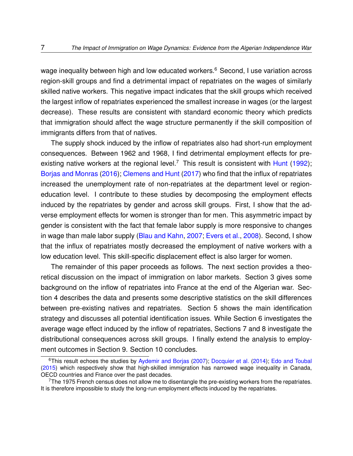wage inequality between high and low educated workers.<sup>[6](#page-6-0)</sup> Second, I use variation across region-skill groups and find a detrimental impact of repatriates on the wages of similarly skilled native workers. This negative impact indicates that the skill groups which received the largest inflow of repatriates experienced the smallest increase in wages (or the largest decrease). These results are consistent with standard economic theory which predicts that immigration should affect the wage structure permanently if the skill composition of immigrants differs from that of natives.

The supply shock induced by the inflow of repatriates also had short-run employment consequences. Between 1962 and 1968, I find detrimental employment effects for pre-existing native workers at the regional level.<sup>[7](#page-6-1)</sup> This result is consistent with [Hunt](#page-54-1) [\(1992\)](#page-54-1); [Borjas and Monras](#page-51-1) [\(2016\)](#page-51-1); [Clemens and Hunt](#page-52-0) [\(2017\)](#page-52-0) who find that the influx of repatriates increased the unemployment rate of non-repatriates at the department level or regioneducation level. I contribute to these studies by decomposing the employment effects induced by the repatriates by gender and across skill groups. First, I show that the adverse employment effects for women is stronger than for men. This asymmetric impact by gender is consistent with the fact that female labor supply is more responsive to changes in wage than male labor supply [\(Blau and Kahn,](#page-50-2) [2007;](#page-50-2) [Evers et al.,](#page-53-3) [2008\)](#page-53-3). Second, I show that the influx of repatriates mostly decreased the employment of native workers with a low education level. This skill-specific displacement effect is also larger for women.

The remainder of this paper proceeds as follows. The next section provides a theoretical discussion on the impact of immigration on labor markets. Section [3](#page-12-0) gives some background on the inflow of repatriates into France at the end of the Algerian war. Section [4](#page-14-0) describes the data and presents some descriptive statistics on the skill differences between pre-existing natives and repatriates. Section [5](#page-20-0) shows the main identification strategy and discusses all potential identification issues. While Section [6](#page-32-0) investigates the average wage effect induced by the inflow of repatriates, Sections [7](#page-39-0) and [8](#page-41-0) investigate the distributional consequences across skill groups. I finally extend the analysis to employment outcomes in Section [9.](#page-46-0) Section [10](#page-48-0) concludes.

<span id="page-6-0"></span><sup>&</sup>lt;sup>6</sup>This result echoes the studies by [Aydemir and Borjas](#page-50-3) [\(2007\)](#page-50-3); [Docquier et al.](#page-53-4) [\(2014\)](#page-53-4); [Edo and Toubal](#page-53-5) [\(2015\)](#page-53-5) which respectively show that high-skilled immigration has narrowed wage inequality in Canada, OECD countries and France over the past decades.

<span id="page-6-1"></span> $7$ The 1975 French census does not allow me to disentangle the pre-existing workers from the repatriates. It is therefore impossible to study the long-run employment effects induced by the repatriates.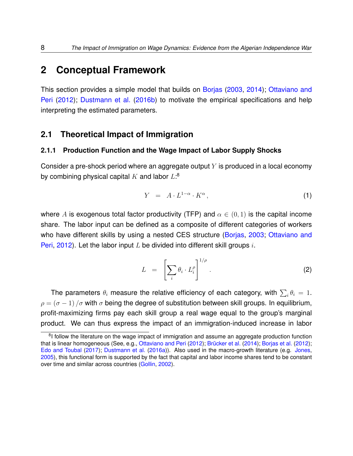## <span id="page-7-2"></span>**2 Conceptual Framework**

This section provides a simple model that builds on [Borjas](#page-51-5) [\(2003,](#page-51-5) [2014\)](#page-51-0); [Ottaviano and](#page-56-2) [Peri](#page-56-2) [\(2012\)](#page-56-2); [Dustmann et al.](#page-53-2) [\(2016b\)](#page-53-2) to motivate the empirical specifications and help interpreting the estimated parameters.

#### **2.1 Theoretical Impact of Immigration**

#### **2.1.1 Production Function and the Wage Impact of Labor Supply Shocks**

Consider a pre-shock period where an aggregate output  $Y$  is produced in a local economy by combining physical capital  $K$  and labor  $L:8$  $L:8$ 

<span id="page-7-1"></span>
$$
Y = A \cdot L^{1-\alpha} \cdot K^{\alpha}, \qquad (1)
$$

where A is exogenous total factor productivity (TFP) and  $\alpha \in (0,1)$  is the capital income share. The labor input can be defined as a composite of different categories of workers who have different skills by using a nested CES structure [\(Borjas,](#page-51-5) [2003;](#page-51-5) [Ottaviano and](#page-56-2) [Peri,](#page-56-2) [2012\)](#page-56-2). Let the labor input L be divided into different skill groups  $i$ .

$$
L = \left[\sum_{i} \theta_i \cdot L_i^{\rho}\right]^{1/\rho}.
$$
 (2)

The parameters  $\theta_i$  measure the relative efficiency of each category, with  $\sum_i \theta_i\,=\,1.$  $\rho = (\sigma - 1)/\sigma$  with  $\sigma$  being the degree of substitution between skill groups. In equilibrium, profit-maximizing firms pay each skill group a real wage equal to the group's marginal product. We can thus express the impact of an immigration-induced increase in labor

<span id="page-7-0"></span><sup>&</sup>lt;sup>8</sup>I follow the literature on the wage impact of immigration and assume an aggregate production function that is linear homogeneous (See, e.g., [Ottaviano and Peri](#page-56-2) [\(2012\)](#page-56-2); [Brücker et al.](#page-52-2) [\(2014\)](#page-52-2); [Borjas et al.](#page-51-6) [\(2012\)](#page-51-6); [Edo and Toubal](#page-53-6) [\(2017\)](#page-53-6); [Dustmann et al.](#page-53-0) [\(2016a\)](#page-53-0)). Also used in the macro-growth literature (e.g. [Jones,](#page-54-3) [2005\)](#page-54-3), this functional form is supported by the fact that capital and labor income shares tend to be constant over time and similar across countries [\(Gollin,](#page-54-4) [2002\)](#page-54-4).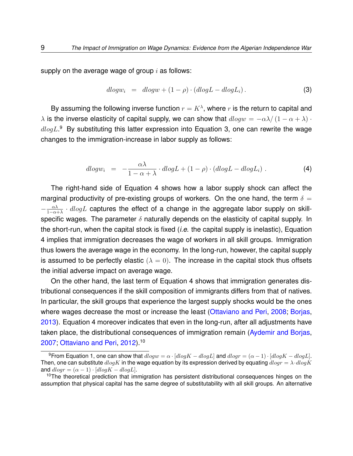supply on the average wage of group  $i$  as follows:

<span id="page-8-1"></span>
$$
dlogw_i = dlogw + (1 - \rho) \cdot (dlogL - dlogL_i). \tag{3}
$$

By assuming the following inverse function  $r = K^{\lambda}$ , where  $r$  is the return to capital and  $\lambda$  is the inverse elasticity of capital supply, we can show that  $dlogw = -\alpha\lambda/(1-\alpha+\lambda)$ .  $dlogL$ .<sup>[9](#page-8-0)</sup> By substituting this latter expression into Equation [3,](#page-8-1) one can rewrite the wage changes to the immigration-increase in labor supply as follows:

<span id="page-8-2"></span>
$$
dlogw_i = -\frac{\alpha\lambda}{1-\alpha+\lambda} \cdot dlogL + (1-\rho) \cdot (dlogL - dlogL_i) \ . \tag{4}
$$

The right-hand side of Equation [4](#page-8-2) shows how a labor supply shock can affect the marginal productivity of pre-existing groups of workers. On the one hand, the term  $\delta =$  $-\frac{\alpha\lambda}{1-\alpha}$  $\frac{\alpha\lambda}{1-\alpha+\lambda}\cdot dlogL$  captures the effect of a change in the aggregate labor supply on skillspecific wages. The parameter  $\delta$  naturally depends on the elasticity of capital supply. In the short-run, when the capital stock is fixed (*i.e.* the capital supply is inelastic), Equation [4](#page-8-2) implies that immigration decreases the wage of workers in all skill groups. Immigration thus lowers the average wage in the economy. In the long-run, however, the capital supply is assumed to be perfectly elastic  $(\lambda = 0)$ . The increase in the capital stock thus offsets the initial adverse impact on average wage.

On the other hand, the last term of Equation [4](#page-8-2) shows that immigration generates distributional consequences if the skill composition of immigrants differs from that of natives. In particular, the skill groups that experience the largest supply shocks would be the ones where wages decrease the most or increase the least [\(Ottaviano and Peri,](#page-56-3) [2008;](#page-56-3) [Borjas,](#page-51-3) [2013\)](#page-51-3). Equation [4](#page-8-2) moreover indicates that even in the long-run, after all adjustments have taken place, the distributional consequences of immigration remain [\(Aydemir and Borjas,](#page-50-3) [2007;](#page-50-3) [Ottaviano and Peri,](#page-56-2) [2012\)](#page-56-2).[10](#page-8-3)

<span id="page-8-0"></span><sup>&</sup>lt;sup>9</sup>From Equation [1,](#page-7-1) one can show that  $dlogw = \alpha \cdot [dlogK - dlogL]$  and  $dlogr = (\alpha - 1) \cdot [dlogK - dlogL]$ . Then, one can substitute  $dlog K$  in the wage equation by its expression derived by equating  $dlog r = \lambda \cdot dlog K$ and  $dlogr = (\alpha - 1) \cdot [dlogK - dlogL].$ 

<span id="page-8-3"></span> $10$ The theoretical prediction that immigration has persistent distributional consequences hinges on the assumption that physical capital has the same degree of substitutability with all skill groups. An alternative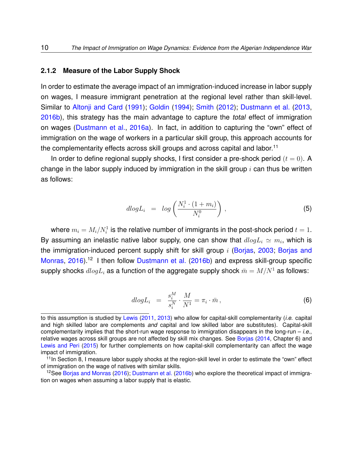#### <span id="page-9-3"></span>**2.1.2 Measure of the Labor Supply Shock**

In order to estimate the average impact of an immigration-induced increase in labor supply on wages, I measure immigrant penetration at the regional level rather than skill-level. Similar to [Altonji and Card](#page-50-0) [\(1991\)](#page-50-0); [Goldin](#page-54-5) [\(1994\)](#page-54-5); [Smith](#page-57-3) [\(2012\)](#page-57-3); [Dustmann et al.](#page-53-7) [\(2013,](#page-53-7) [2016b\)](#page-53-2), this strategy has the main advantage to capture the *total* effect of immigration on wages [\(Dustmann et al.,](#page-53-0) [2016a\)](#page-53-0). In fact, in addition to capturing the "own" effect of immigration on the wage of workers in a particular skill group, this approach accounts for the complementarity effects across skill groups and across capital and labor.<sup>[11](#page-9-0)</sup>

In order to define regional supply shocks, I first consider a pre-shock period  $(t = 0)$ . A change in the labor supply induced by immigration in the skill group  $i$  can thus be written as follows:

<span id="page-9-4"></span>
$$
dlogL_i = log\left(\frac{N_i^1 \cdot (1+m_i)}{N_i^0}\right), \qquad (5)
$$

where  $m_i=M_i/N_i^1$  is the relative number of immigrants in the post-shock period  $t=1.$ By assuming an inelastic native labor supply, one can show that  $dlogL_i \simeq m_i$ , which is the immigration-induced percent supply shift for skill group  $i$  [\(Borjas,](#page-51-5) [2003;](#page-51-5) [Borjas and](#page-51-1) [Monras,](#page-51-1) [2016\)](#page-51-1).<sup>[12](#page-9-1)</sup> I then follow [Dustmann et al.](#page-53-2) [\(2016b\)](#page-53-2) and express skill-group specific supply shocks  $dlogL_i$  as a function of the aggregate supply shock  $\bar{m} = M/N^1$  as follows:

<span id="page-9-2"></span>
$$
dlogL_i = \frac{s_i^M}{s_i^N} \cdot \frac{M}{N^1} = \pi_i \cdot \bar{m}, \qquad (6)
$$

to this assumption is studied by [Lewis](#page-55-3) [\(2011,](#page-55-3) [2013\)](#page-55-4) who allow for capital-skill complementarity (*i.e.* capital and high skilled labor are complements *and* capital and low skilled labor are substitutes). Capital-skill complementarity implies that the short-run wage response to immigration disappears in the long-run – *i.e.*, relative wages across skill groups are not affected by skill mix changes. See [Borjas](#page-51-0) [\(2014,](#page-51-0) Chapter 6) and [Lewis and Peri](#page-55-0) [\(2015\)](#page-55-0) for further complements on how capital-skill complementarity can affect the wage impact of immigration.

<span id="page-9-0"></span><sup>&</sup>lt;sup>11</sup>In Section [8,](#page-41-0) I measure labor supply shocks at the region-skill level in order to estimate the "own" effect of immigration on the wage of natives with similar skills.

<span id="page-9-1"></span><sup>&</sup>lt;sup>12</sup>See [Borjas and Monras](#page-51-1) [\(2016\)](#page-51-1); [Dustmann et al.](#page-53-2) [\(2016b\)](#page-53-2) who explore the theoretical impact of immigration on wages when assuming a labor supply that is elastic.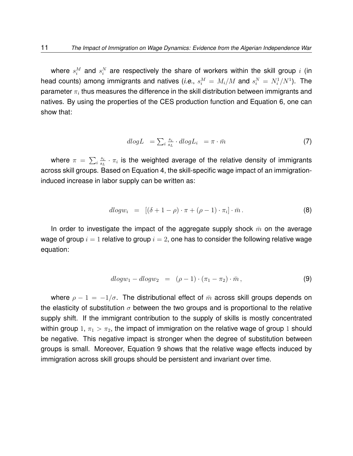where  $s_i^M$  and  $s_i^N$  are respectively the share of workers within the skill group  $i$  (in head counts) among immigrants and natives (*i.e.*,  $s_i^M = M_i/M$  and  $s_i^N = N_i^1/N^1$ ). The parameter  $\pi_i$  thus measures the difference in the skill distribution between immigrants and natives. By using the properties of the CES production function and Equation [6,](#page-9-2) one can show that:

$$
dlogL = \sum_{i} \frac{s_i}{s_L} \cdot dlogL_i = \pi \cdot \bar{m} \tag{7}
$$

where  $\pi = \sum_i \frac{s_i}{s_i}$  $\frac{s_i}{s_L} \cdot \pi_i$  is the weighted average of the relative density of immigrants across skill groups. Based on Equation [4,](#page-8-2) the skill-specific wage impact of an immigrationinduced increase in labor supply can be written as:

$$
dlogw_i = [(\delta + 1 - \rho) \cdot \pi + (\rho - 1) \cdot \pi_i] \cdot \bar{m}.
$$
 (8)

In order to investigate the impact of the aggregate supply shock  $\bar{m}$  on the average wage of group  $i = 1$  relative to group  $i = 2$ , one has to consider the following relative wage equation:

<span id="page-10-0"></span>
$$
dlog w_1 - dlog w_2 = (\rho - 1) \cdot (\pi_1 - \pi_2) \cdot \bar{m}, \qquad (9)
$$

where  $\rho - 1 = -1/\sigma$ . The distributional effect of  $\bar{m}$  across skill groups depends on the elasticity of substitution  $\sigma$  between the two groups and is proportional to the relative supply shift. If the immigrant contribution to the supply of skills is mostly concentrated within group 1,  $\pi_1 > \pi_2$ , the impact of immigration on the relative wage of group 1 should be negative. This negative impact is stronger when the degree of substitution between groups is small. Moreover, Equation [9](#page-10-0) shows that the relative wage effects induced by immigration across skill groups should be persistent and invariant over time.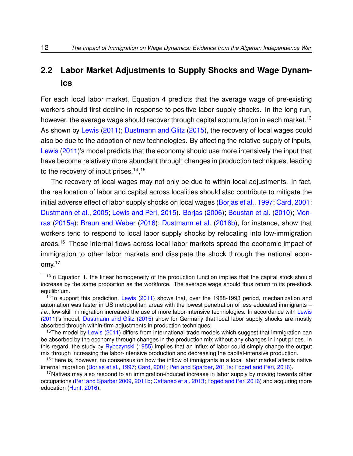# **2.2 Labor Market Adjustments to Supply Shocks and Wage Dynamics**

For each local labor market, Equation [4](#page-8-2) predicts that the average wage of pre-existing workers should first decline in response to positive labor supply shocks. In the long-run, however, the average wage should recover through capital accumulation in each market.<sup>[13](#page-11-0)</sup> As shown by [Lewis](#page-55-3) [\(2011\)](#page-55-3); [Dustmann and Glitz](#page-53-8) [\(2015\)](#page-53-8), the recovery of local wages could also be due to the adoption of new technologies. By affecting the relative supply of inputs, [Lewis](#page-55-3) [\(2011\)](#page-55-3)'s model predicts that the economy should use more intensively the input that have become relatively more abundant through changes in production techniques, leading to the recovery of input prices.<sup>[14](#page-11-1)</sup>,<sup>[15](#page-11-2)</sup>

The recovery of local wages may not only be due to within-local adjustments. In fact, the reallocation of labor and capital across localities should also contribute to mitigate the initial adverse effect of labor supply shocks on local wages [\(Borjas et al.,](#page-51-2) [1997;](#page-51-2) [Card,](#page-52-1) [2001;](#page-52-1) [Dustmann et al.,](#page-53-1) [2005;](#page-53-1) [Lewis and Peri,](#page-55-0) [2015\)](#page-55-0). [Borjas](#page-51-7) [\(2006\)](#page-51-7); [Boustan et al.](#page-51-8) [\(2010\)](#page-51-8); [Mon](#page-55-5)[ras](#page-55-5) [\(2015a\)](#page-55-5); [Braun and Weber](#page-51-9) [\(2016\)](#page-51-9); [Dustmann et al.](#page-53-2) [\(2016b\)](#page-53-2), for instance, show that workers tend to respond to local labor supply shocks by relocating into low-immigration areas.<sup>[16](#page-11-3)</sup> These internal flows across local labor markets spread the economic impact of immigration to other labor markets and dissipate the shock through the national economy.[17](#page-11-4)

<span id="page-11-0"></span><sup>&</sup>lt;sup>13</sup>In Equation [1,](#page-7-1) the linear homogeneity of the production function implies that the capital stock should increase by the same proportion as the workforce. The average wage should thus return to its pre-shock equilibrium.

<span id="page-11-1"></span><sup>&</sup>lt;sup>14</sup>To support this prediction, [Lewis](#page-55-3) [\(2011\)](#page-55-3) shows that, over the 1988-1993 period, mechanization and automation was faster in US metropolitan areas with the lowest penetration of less educated immigrants – *i.e.*, low-skill immigration increased the use of more labor-intensive technologies. In accordance with [Lewis](#page-55-3) [\(2011\)](#page-55-3)'s model, [Dustmann and Glitz](#page-53-8) [\(2015\)](#page-53-8) show for Germany that local labor supply shocks are mostly absorbed through within-firm adjustments in production techniques.

<span id="page-11-2"></span><sup>&</sup>lt;sup>15</sup>The model by [Lewis](#page-55-3) [\(2011\)](#page-55-3) differs from international trade models which suggest that immigration can be absorbed by the economy through changes in the production mix without any changes in input prices. In this regard, the study by [Rybczynski](#page-57-4) [\(1955\)](#page-57-4) implies that an influx of labor could simply change the output mix through increasing the labor-intensive production and decreasing the capital-intensive production.

<span id="page-11-3"></span><sup>&</sup>lt;sup>16</sup>There is, however, no consensus on how the inflow of immigrants in a local labor market affects native internal migration [\(Borjas et al.,](#page-51-2) [1997;](#page-51-2) [Card,](#page-52-1) [2001;](#page-52-1) [Peri and Sparber,](#page-57-5) [2011a;](#page-57-5) [Foged and Peri,](#page-54-6) [2016\)](#page-54-6).

<span id="page-11-4"></span> $17$ Natives may also respond to an immigration-induced increase in labor supply by moving towards other occupations [\(Peri and Sparber](#page-56-1) [2009,](#page-56-1) [2011b;](#page-57-6) [Cattaneo et al.](#page-52-3) [2013;](#page-52-3) [Foged and Peri](#page-54-6) [2016\)](#page-54-6) and acquiring more education [\(Hunt,](#page-54-7) [2016\)](#page-54-7).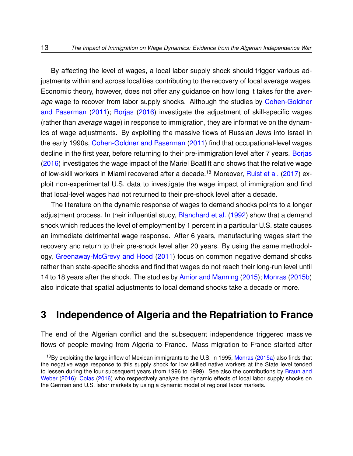By affecting the level of wages, a local labor supply shock should trigger various adjustments within and across localities contributing to the recovery of local average wages. Economic theory, however, does not offer any guidance on how long it takes for the *average* wage to recover from labor supply shocks. Although the studies by [Cohen-Goldner](#page-52-4) [and Paserman](#page-52-4) [\(2011\)](#page-52-4); [Borjas](#page-51-4) [\(2016\)](#page-51-4) investigate the adjustment of skill-specific wages (rather than *average* wage) in response to immigration, they are informative on the dynamics of wage adjustments. By exploiting the massive flows of Russian Jews into Israel in the early 1990s, [Cohen-Goldner and Paserman](#page-52-4) [\(2011\)](#page-52-4) find that occupational-level wages decline in the first year, before returning to their pre-immigration level after 7 years. [Borjas](#page-51-4) [\(2016\)](#page-51-4) investigates the wage impact of the Mariel Boatlift and shows that the relative wage of low-skill workers in Miami recovered after a decade.<sup>[18](#page-12-1)</sup> Moreover, [Ruist et al.](#page-57-1) [\(2017\)](#page-57-1) exploit non-experimental U.S. data to investigate the wage impact of immigration and find that local-level wages had not returned to their pre-shock level after a decade.

The literature on the dynamic response of wages to demand shocks points to a longer adjustment process. In their influential study, [Blanchard et al.](#page-50-1) [\(1992\)](#page-50-1) show that a demand shock which reduces the level of employment by 1 percent in a particular U.S. state causes an immediate detrimental wage response. After 6 years, manufacturing wages start the recovery and return to their pre-shock level after 20 years. By using the same methodology, [Greenaway-McGrevy and Hood](#page-54-2) [\(2011\)](#page-54-2) focus on common negative demand shocks rather than state-specific shocks and find that wages do not reach their long-run level until 14 to 18 years after the shock. The studies by [Amior and Manning](#page-50-4) [\(2015\)](#page-50-4); [Monras](#page-56-4) [\(2015b\)](#page-56-4) also indicate that spatial adjustments to local demand shocks take a decade or more.

## <span id="page-12-0"></span>**3 Independence of Algeria and the Repatriation to France**

The end of the Algerian conflict and the subsequent independence triggered massive flows of people moving from Algeria to France. Mass migration to France started after

<span id="page-12-1"></span><sup>&</sup>lt;sup>18</sup>By exploiting the large inflow of Mexican immigrants to the U.S. in 1995, [Monras](#page-55-5) [\(2015a\)](#page-55-5) also finds that the negative wage response to this supply shock for low skilled native workers at the State level tended to lessen during the four subsequent years (from 1996 to 1999). See also the contributions by [Braun and](#page-51-9) [Weber](#page-51-9) [\(2016\)](#page-51-9); [Colas](#page-52-5) [\(2016\)](#page-52-5) who respectively analyze the dynamic effects of local labor supply shocks on the German and U.S. labor markets by using a dynamic model of regional labor markets.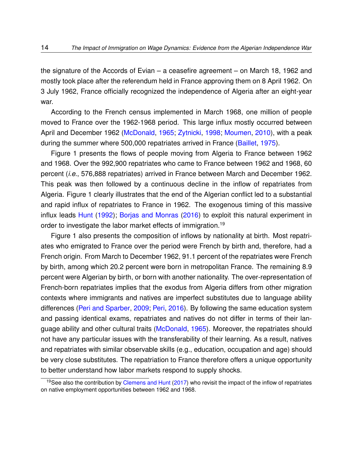the signature of the Accords of Evian – a ceasefire agreement – on March 18, 1962 and mostly took place after the referendum held in France approving them on 8 April 1962. On 3 July 1962, France officially recognized the independence of Algeria after an eight-year war.

According to the French census implemented in March 1968, one million of people moved to France over the 1962-1968 period. This large influx mostly occurred between April and December 1962 [\(McDonald,](#page-55-1) [1965;](#page-55-1) [Zytnicki,](#page-58-0) [1998;](#page-58-0) [Moumen,](#page-56-5) [2010\)](#page-56-5), with a peak during the summer where 500,000 repatriates arrived in France [\(Baillet,](#page-50-5) [1975\)](#page-50-5).

Figure [1](#page-59-0) presents the flows of people moving from Algeria to France between 1962 and 1968. Over the 992,900 repatriates who came to France between 1962 and 1968, 60 percent (*i.e.*, 576,888 repatriates) arrived in France between March and December 1962. This peak was then followed by a continuous decline in the inflow of repatriates from Algeria. Figure [1](#page-59-0) clearly illustrates that the end of the Algerian conflict led to a substantial and rapid influx of repatriates to France in 1962. The exogenous timing of this massive influx leads [Hunt](#page-54-1) [\(1992\)](#page-54-1); [Borjas and Monras](#page-51-1) [\(2016\)](#page-51-1) to exploit this natural experiment in order to investigate the labor market effects of immigration.<sup>[19](#page-13-0)</sup>

Figure [1](#page-59-0) also presents the composition of inflows by nationality at birth. Most repatriates who emigrated to France over the period were French by birth and, therefore, had a French origin. From March to December 1962, 91.1 percent of the repatriates were French by birth, among which 20.2 percent were born in metropolitan France. The remaining 8.9 percent were Algerian by birth, or born with another nationality. The over-representation of French-born repatriates implies that the exodus from Algeria differs from other migration contexts where immigrants and natives are imperfect substitutes due to language ability differences [\(Peri and Sparber,](#page-56-1) [2009;](#page-56-1) [Peri,](#page-56-0) [2016\)](#page-56-0). By following the same education system and passing identical exams, repatriates and natives do not differ in terms of their language ability and other cultural traits [\(McDonald,](#page-55-1) [1965\)](#page-55-1). Moreover, the repatriates should not have any particular issues with the transferability of their learning. As a result, natives and repatriates with similar observable skills (e.g., education, occupation and age) should be very close substitutes. The repatriation to France therefore offers a unique opportunity to better understand how labor markets respond to supply shocks.

<span id="page-13-0"></span><sup>&</sup>lt;sup>19</sup>See also the contribution by [Clemens and Hunt](#page-52-0) [\(2017\)](#page-52-0) who revisit the impact of the inflow of repatriates on native employment opportunities between 1962 and 1968.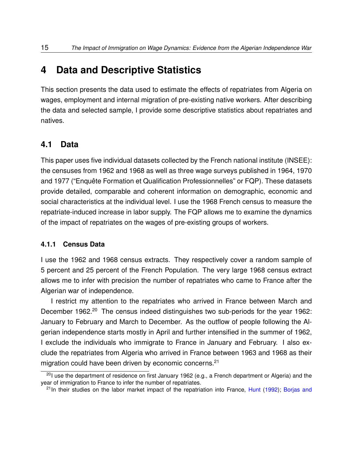# <span id="page-14-0"></span>**4 Data and Descriptive Statistics**

This section presents the data used to estimate the effects of repatriates from Algeria on wages, employment and internal migration of pre-existing native workers. After describing the data and selected sample, I provide some descriptive statistics about repatriates and natives.

#### **4.1 Data**

This paper uses five individual datasets collected by the French national institute (INSEE): the censuses from 1962 and 1968 as well as three wage surveys published in 1964, 1970 and 1977 ("Enquête Formation et Qualification Professionnelles" or FQP). These datasets provide detailed, comparable and coherent information on demographic, economic and social characteristics at the individual level. I use the 1968 French census to measure the repatriate-induced increase in labor supply. The FQP allows me to examine the dynamics of the impact of repatriates on the wages of pre-existing groups of workers.

#### **4.1.1 Census Data**

I use the 1962 and 1968 census extracts. They respectively cover a random sample of 5 percent and 25 percent of the French Population. The very large 1968 census extract allows me to infer with precision the number of repatriates who came to France after the Algerian war of independence.

I restrict my attention to the repatriates who arrived in France between March and December 1962.<sup>[20](#page-14-1)</sup> The census indeed distinguishes two sub-periods for the year 1962: January to February and March to December. As the outflow of people following the Algerian independence starts mostly in April and further intensified in the summer of 1962, I exclude the individuals who immigrate to France in January and February. I also exclude the repatriates from Algeria who arrived in France between 1963 and 1968 as their migration could have been driven by economic concerns.<sup>[21](#page-14-2)</sup>

<span id="page-14-1"></span><sup>&</sup>lt;sup>20</sup>I use the department of residence on first January 1962 (e.g., a French department or Algeria) and the year of immigration to France to infer the number of repatriates.

<span id="page-14-2"></span><sup>&</sup>lt;sup>21</sup>In their studies on the labor market impact of the repatriation into France, [Hunt](#page-54-1) [\(1992\)](#page-54-1); [Borjas and](#page-51-1)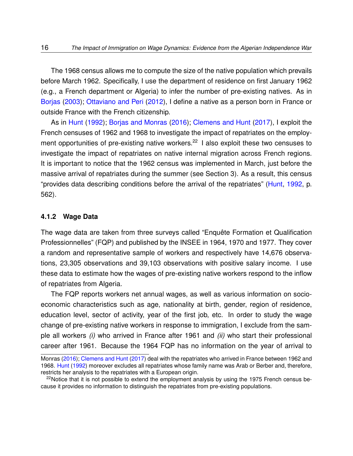[The 1968 census allows me to compute the size of the native population which prevails](#page-51-1) [before March 1962. Specifically, I use the department of residence on first January 1962](#page-51-1) [\(e.g., a French department or Algeria\) to infer the number of pre-existing natives. As in](#page-51-1) [Borjas](#page-51-5) [\(2003\)](#page-51-5); [Ottaviano and Peri](#page-56-2) [\(2012\), I define a native as a person born in France or](#page-51-1) [outside France with the French citizenship.](#page-51-1)

As in [Hunt](#page-54-1) [\(1992\)](#page-54-1); [Borjas and Monras](#page-51-1) [\(2016\)](#page-51-1); [Clemens and Hunt](#page-52-0) [\(2017\), I exploit the](#page-51-1) [French censuses of 1962 and 1968 to investigate the impact of repatriates on the employ](#page-51-1)[ment opportunities of pre-existing native workers.](#page-51-1)<sup>[22](#page-15-0)</sup> I also exploit these two censuses to [investigate the impact of repatriates on native internal migration across French regions.](#page-51-1) [It is important to notice that the 1962 census was implemented in March, just before the](#page-51-1) [massive arrival of repatriates during the summer \(see Section](#page-51-1) [3\)](#page-12-0). As a result, this census ["provides data describing conditions before the arrival of the repatriates" \(Hunt,](#page-51-1) [1992,](#page-54-1) p. [562\).](#page-51-1)

#### **[4.1.2 Wage Data](#page-51-1)**

[The wage data are taken from three surveys called "Enquête Formation et Qualification](#page-51-1) [Professionnelles" \(FQP\) and published by the INSEE in 1964, 1970 and 1977. They cover](#page-51-1) [a random and representative sample of workers and respectively have 14,676 observa](#page-51-1)[tions, 23,305 observations and 39,103 observations with positive salary income. I use](#page-51-1) [these data to estimate how the wages of pre-existing native workers respond to the inflow](#page-51-1) [of repatriates from Algeria.](#page-51-1)

[The FQP reports workers net annual wages, as well as various information on socio](#page-51-1)[economic characteristics such as age, nationality at birth, gender, region of residence,](#page-51-1) [education level, sector of activity, year of the first job, etc. In order to study the wage](#page-51-1) [change of pre-existing native workers in response to immigration, I exclude from the sam](#page-51-1)ple all workers *(i)* [who arrived in France after 1961 and](#page-51-1) *(ii)* who start their professional [career after 1961. Because the 1964 FQP has no information on the year of arrival to](#page-51-1)

[Monras](#page-51-1) [\(2016\)](#page-51-1); [Clemens and Hunt](#page-52-0) [\(2017\)](#page-52-0) deal with the repatriates who arrived in France between 1962 and 1968. [Hunt](#page-54-1) [\(1992\)](#page-54-1) moreover excludes all repatriates whose family name was Arab or Berber and, therefore, restricts her analysis to the repatriates with a European origin.

<span id="page-15-0"></span> $22$ Notice that it is not possible to extend the employment analysis by using the 1975 French census because it provides no information to distinguish the repatriates from pre-existing populations.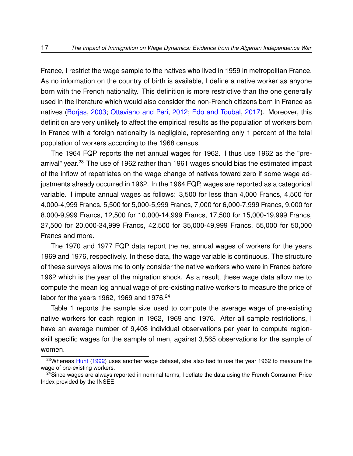France, I restrict the wage sample to the natives who lived in 1959 in metropolitan France. As no information on the country of birth is available, I define a native worker as anyone born with the French nationality. This definition is more restrictive than the one generally used in the literature which would also consider the non-French citizens born in France as natives [\(Borjas,](#page-51-5) [2003;](#page-51-5) [Ottaviano and Peri,](#page-56-2) [2012;](#page-56-2) [Edo and Toubal,](#page-53-6) [2017\)](#page-53-6). Moreover, this definition are very unlikely to affect the empirical results as the population of workers born in France with a foreign nationality is negligible, representing only 1 percent of the total population of workers according to the 1968 census.

The 1964 FQP reports the net annual wages for 1962. I thus use 1962 as the "pre-arrival" year.<sup>[23](#page-16-0)</sup> The use of 1962 rather than 1961 wages should bias the estimated impact of the inflow of repatriates on the wage change of natives toward zero if some wage adjustments already occurred in 1962. In the 1964 FQP, wages are reported as a categorical variable. I impute annual wages as follows: 3,500 for less than 4,000 Francs, 4,500 for 4,000-4,999 Francs, 5,500 for 5,000-5,999 Francs, 7,000 for 6,000-7,999 Francs, 9,000 for 8,000-9,999 Francs, 12,500 for 10,000-14,999 Francs, 17,500 for 15,000-19,999 Francs, 27,500 for 20,000-34,999 Francs, 42,500 for 35,000-49,999 Francs, 55,000 for 50,000 Francs and more.

The 1970 and 1977 FQP data report the net annual wages of workers for the years 1969 and 1976, respectively. In these data, the wage variable is continuous. The structure of these surveys allows me to only consider the native workers who were in France before 1962 which is the year of the migration shock. As a result, these wage data allow me to compute the mean log annual wage of pre-existing native workers to measure the price of labor for the years 1962, 1969 and 1976.<sup>[24](#page-16-1)</sup>

Table [1](#page-63-0) reports the sample size used to compute the average wage of pre-existing native workers for each region in 1962, 1969 and 1976. After all sample restrictions, I have an average number of 9,408 individual observations per year to compute regionskill specific wages for the sample of men, against 3,565 observations for the sample of women.

<span id="page-16-0"></span><sup>&</sup>lt;sup>23</sup>Whereas [Hunt](#page-54-1) [\(1992\)](#page-54-1) uses another wage dataset, she also had to use the year 1962 to measure the wage of pre-existing workers.

<span id="page-16-1"></span> $24$ Since wages are always reported in nominal terms, I deflate the data using the French Consumer Price Index provided by the INSEE.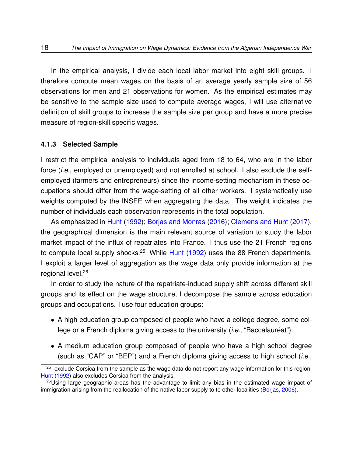In the empirical analysis, I divide each local labor market into eight skill groups. I therefore compute mean wages on the basis of an average yearly sample size of 56 observations for men and 21 observations for women. As the empirical estimates may be sensitive to the sample size used to compute average wages, I will use alternative definition of skill groups to increase the sample size per group and have a more precise measure of region-skill specific wages.

#### <span id="page-17-2"></span>**4.1.3 Selected Sample**

I restrict the empirical analysis to individuals aged from 18 to 64, who are in the labor force (*i.e.*, employed or unemployed) and not enrolled at school. I also exclude the selfemployed (farmers and entrepreneurs) since the income-setting mechanism in these occupations should differ from the wage-setting of all other workers. I systematically use weights computed by the INSEE when aggregating the data. The weight indicates the number of individuals each observation represents in the total population.

As emphasized in [Hunt](#page-54-1) [\(1992\)](#page-54-1); [Borjas and Monras](#page-51-1) [\(2016\)](#page-51-1); [Clemens and Hunt](#page-52-0) [\(2017\)](#page-52-0), the geographical dimension is the main relevant source of variation to study the labor market impact of the influx of repatriates into France. I thus use the 21 French regions to compute local supply shocks.<sup>[25](#page-17-0)</sup> While [Hunt](#page-54-1) [\(1992\)](#page-54-1) uses the 88 French departments, I exploit a larger level of aggregation as the wage data only provide information at the regional level.<sup>[26](#page-17-1)</sup>

In order to study the nature of the repatriate-induced supply shift across different skill groups and its effect on the wage structure, I decompose the sample across education groups and occupations. I use four education groups:

- A high education group composed of people who have a college degree, some college or a French diploma giving access to the university (*i.e.*, "Baccalauréat").
- A medium education group composed of people who have a high school degree (such as "CAP" or "BEP") and a French diploma giving access to high school (*i.e.*,

<span id="page-17-0"></span> $25$ I exclude Corsica from the sample as the wage data do not report any wage information for this region. [Hunt](#page-54-1) [\(1992\)](#page-54-1) also excludes Corsica from the analysis.

<span id="page-17-1"></span> $26$ Using large geographic areas has the advantage to limit any bias in the estimated wage impact of immigration arising from the reallocation of the native labor supply to to other localities [\(Borjas,](#page-51-7) [2006\)](#page-51-7).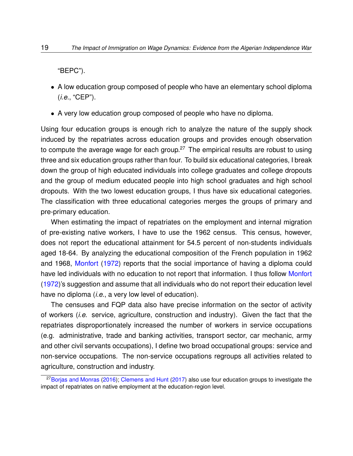"BEPC").

- A low education group composed of people who have an elementary school diploma (*i.e.*, "CEP").
- A very low education group composed of people who have no diploma.

Using four education groups is enough rich to analyze the nature of the supply shock induced by the repatriates across education groups and provides enough observation to compute the average wage for each group.<sup>[27](#page-18-0)</sup> The empirical results are robust to using three and six education groups rather than four. To build six educational categories, I break down the group of high educated individuals into college graduates and college dropouts and the group of medium educated people into high school graduates and high school dropouts. With the two lowest education groups, I thus have six educational categories. The classification with three educational categories merges the groups of primary and pre-primary education.

When estimating the impact of repatriates on the employment and internal migration of pre-existing native workers, I have to use the 1962 census. This census, however, does not report the educational attainment for 54.5 percent of non-students individuals aged 18-64. By analyzing the educational composition of the French population in 1962 and 1968, [Monfort](#page-55-6) [\(1972\)](#page-55-6) reports that the social importance of having a diploma could have led individuals with no education to not report that information. I thus follow [Monfort](#page-55-6) [\(1972\)](#page-55-6)'s suggestion and assume that all individuals who do not report their education level have no diploma (*i.e.*, a very low level of education).

The censuses and FQP data also have precise information on the sector of activity of workers (*i.e.* service, agriculture, construction and industry). Given the fact that the repatriates disproportionately increased the number of workers in service occupations (e.g. administrative, trade and banking activities, transport sector, car mechanic, army and other civil servants occupations), I define two broad occupational groups: service and non-service occupations. The non-service occupations regroups all activities related to agriculture, construction and industry.

<span id="page-18-0"></span> $27$ [Borjas and Monras](#page-51-1) [\(2016\)](#page-51-1); [Clemens and Hunt](#page-52-0) [\(2017\)](#page-52-0) also use four education groups to investigate the impact of repatriates on native employment at the education-region level.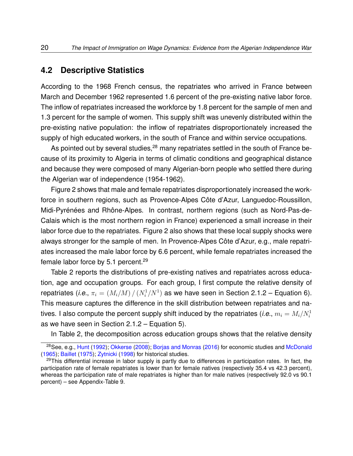#### **4.2 Descriptive Statistics**

According to the 1968 French census, the repatriates who arrived in France between March and December 1962 represented 1.6 percent of the pre-existing native labor force. The inflow of repatriates increased the workforce by 1.8 percent for the sample of men and 1.3 percent for the sample of women. This supply shift was unevenly distributed within the pre-existing native population: the inflow of repatriates disproportionately increased the supply of high educated workers, in the south of France and within service occupations.

As pointed out by several studies, $28$  many repatriates settled in the south of France because of its proximity to Algeria in terms of climatic conditions and geographical distance and because they were composed of many Algerian-born people who settled there during the Algerian war of independence (1954-1962).

Figure [2](#page-60-0) shows that male and female repatriates disproportionately increased the workforce in southern regions, such as Provence-Alpes Côte d'Azur, Languedoc-Roussillon, Midi-Pyrénées and Rhône-Alpes. In contrast, northern regions (such as Nord-Pas-de-Calais which is the most northern region in France) experienced a small increase in their labor force due to the repatriates. Figure [2](#page-60-0) also shows that these local supply shocks were always stronger for the sample of men. In Provence-Alpes Côte d'Azur, e.g., male repatriates increased the male labor force by 6.6 percent, while female repatriates increased the female labor force by 5.1 percent.<sup>[29](#page-19-1)</sup>

Table [2](#page-64-0) reports the distributions of pre-existing natives and repatriates across education, age and occupation groups. For each group, I first compute the relative density of repatriates (*i.e.*,  $\pi_i = (M_i/M)\,/\,(N_i^1/N^1)$  as we have seen in Section [2.1.2](#page-9-3) – Equation [6\)](#page-9-2). This measure captures the difference in the skill distribution between repatriates and natives. I also compute the percent supply shift induced by the repatriates (*i.e.*,  $m_i = M_i/N_i^1$ as we have seen in Section [2.1.2](#page-9-3) – Equation [5\)](#page-9-4).

In Table [2,](#page-64-0) the decomposition across education groups shows that the relative density

<span id="page-19-0"></span><sup>28</sup>See, e.g., [Hunt](#page-54-1) [\(1992\)](#page-54-1); [Okkerse](#page-56-6) [\(2008\)](#page-56-6); [Borjas and Monras](#page-51-1) [\(2016\)](#page-51-1) for economic studies and [McDonald](#page-55-1) [\(1965\)](#page-55-1); [Baillet](#page-50-5) [\(1975\)](#page-50-5); [Zytnicki](#page-58-0) [\(1998\)](#page-58-0) for historical studies.

<span id="page-19-1"></span><sup>&</sup>lt;sup>29</sup>This differential increase in labor supply is partly due to differences in participation rates. In fact, the participation rate of female repatriates is lower than for female natives (respectively 35.4 vs 42.3 percent), whereas the participation rate of male repatriates is higher than for male natives (respectively 92.0 vs 90.1 percent) – see Appendix-Table [9.](#page-72-0)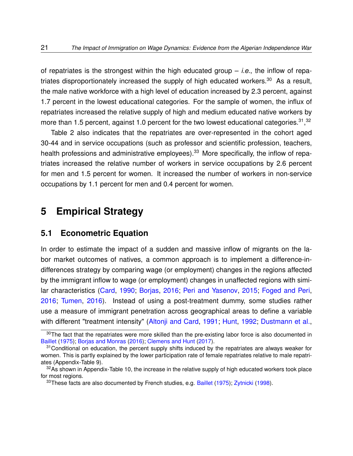of repatriates is the strongest within the high educated group – *i.e.*, the inflow of repa-triates disproportionately increased the supply of high educated workers.<sup>[30](#page-20-1)</sup> As a result, the male native workforce with a high level of education increased by 2.3 percent, against 1.7 percent in the lowest educational categories. For the sample of women, the influx of repatriates increased the relative supply of high and medium educated native workers by more than 1.5 percent, against 1.0 percent for the two lowest educational categories.<sup>[31](#page-20-2)</sup>,<sup>[32](#page-20-3)</sup>

Table [2](#page-64-0) also indicates that the repatriates are over-represented in the cohort aged 30-44 and in service occupations (such as professor and scientific profession, teachers, health professions and administrative employees).<sup>[33](#page-20-4)</sup> More specifically, the inflow of repatriates increased the relative number of workers in service occupations by 2.6 percent for men and 1.5 percent for women. It increased the number of workers in non-service occupations by 1.1 percent for men and 0.4 percent for women.

## <span id="page-20-0"></span>**5 Empirical Strategy**

#### <span id="page-20-5"></span>**5.1 Econometric Equation**

In order to estimate the impact of a sudden and massive inflow of migrants on the labor market outcomes of natives, a common approach is to implement a difference-indifferences strategy by comparing wage (or employment) changes in the regions affected by the immigrant inflow to wage (or employment) changes in unaffected regions with similar characteristics [\(Card,](#page-52-6) [1990;](#page-52-6) [Borjas,](#page-51-4) [2016;](#page-51-4) [Peri and Yasenov,](#page-57-2) [2015;](#page-57-2) [Foged and Peri,](#page-54-6) [2016;](#page-54-6) [Tumen,](#page-57-7) [2016\)](#page-57-7). Instead of using a post-treatment dummy, some studies rather use a measure of immigrant penetration across geographical areas to define a variable with different "treatment intensity" [\(Altonji and Card,](#page-50-0) [1991;](#page-50-0) [Hunt,](#page-54-1) [1992;](#page-54-1) [Dustmann et al.,](#page-53-2)

<span id="page-20-1"></span> $30$ The fact that the repatriates were more skilled than the pre-existing labor force is also documented in [Baillet](#page-50-5) [\(1975\)](#page-50-5); [Borjas and Monras](#page-51-1) [\(2016\)](#page-51-1); [Clemens and Hunt](#page-52-0) [\(2017\)](#page-52-0).

<span id="page-20-2"></span> $31$ Conditional on education, the percent supply shifts induced by the repatriates are always weaker for women. This is partly explained by the lower participation rate of female repatriates relative to male repatriates (Appendix-Table [9\)](#page-72-0).

<span id="page-20-3"></span> $32$ As shown in Appendix-Table [10,](#page-73-0) the increase in the relative supply of high educated workers took place for most regions.

<span id="page-20-4"></span><sup>&</sup>lt;sup>33</sup>These facts are also documented by French studies, e.g. [Baillet](#page-50-5) [\(1975\)](#page-50-5); [Zytnicki](#page-58-0) [\(1998\)](#page-58-0).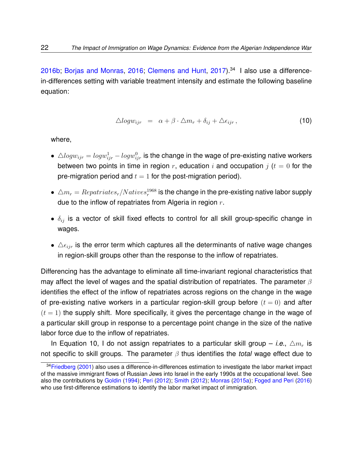[2016b;](#page-53-2) [Borjas and Monras,](#page-51-1) [2016;](#page-51-1) [Clemens and Hunt,](#page-52-0) [2017\)](#page-52-0).[34](#page-21-0) I also use a differencein-differences setting with variable treatment intensity and estimate the following baseline equation:

<span id="page-21-1"></span>
$$
\triangle log w_{ijr} = \alpha + \beta \cdot \triangle m_r + \delta_{ij} + \triangle \epsilon_{ijr}, \qquad (10)
$$

where,

- $\bullet \ \bigtriangleup log w_{ijr} = log w_{ijr}^1 log w_{ijr}^0$  is the change in the wage of pre-existing native workers between two points in time in region r, education i and occupation j ( $t = 0$  for the pre-migration period and  $t = 1$  for the post-migration period).
- $\bullet \ \triangle m_r = Repatriates_r/Natives_r^{1968}$  is the change in the pre-existing native labor supply due to the inflow of repatriates from Algeria in region  $r$ .
- $\bullet$   $\delta_{ij}$  is a vector of skill fixed effects to control for all skill group-specific change in wages.
- $\Delta \epsilon_{ijr}$  is the error term which captures all the determinants of native wage changes in region-skill groups other than the response to the inflow of repatriates.

Differencing has the advantage to eliminate all time-invariant regional characteristics that may affect the level of wages and the spatial distribution of repatriates. The parameter  $\beta$ identifies the effect of the inflow of repatriates across regions on the change in the wage of pre-existing native workers in a particular region-skill group before  $(t = 0)$  and after  $(t = 1)$  the supply shift. More specifically, it gives the percentage change in the wage of a particular skill group in response to a percentage point change in the size of the native labor force due to the inflow of repatriates.

In Equation [10,](#page-21-1) I do not assign repatriates to a particular skill group – *i.e.*,  $\Delta m_r$  is not specific to skill groups. The parameter β thus identifies the *total* wage effect due to

<span id="page-21-0"></span><sup>&</sup>lt;sup>34</sup>[Friedberg](#page-54-8) [\(2001\)](#page-54-8) also uses a difference-in-differences estimation to investigate the labor market impact of the massive immigrant flows of Russian Jews into Israel in the early 1990s at the occupational level. See also the contributions by [Goldin](#page-54-5) [\(1994\)](#page-54-5); [Peri](#page-56-7) [\(2012\)](#page-56-7); [Smith](#page-57-3) [\(2012\)](#page-57-3); [Monras](#page-55-5) [\(2015a\)](#page-55-5); [Foged and Peri](#page-54-6) [\(2016\)](#page-54-6) who use first-difference estimations to identify the labor market impact of immigration.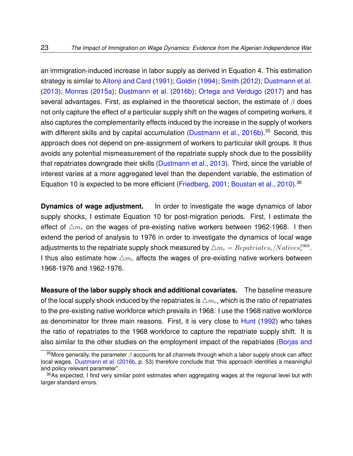an immigration-induced increase in labor supply as derived in Equation [4.](#page-8-2) This estimation strategy is similar to [Altonji and Card](#page-50-0) [\(1991\)](#page-50-0); [Goldin](#page-54-5) [\(1994\)](#page-54-5); [Smith](#page-57-3) [\(2012\)](#page-57-3); [Dustmann et al.](#page-53-7) [\(2013\)](#page-53-7); [Monras](#page-55-5) [\(2015a\)](#page-55-5); [Dustmann et al.](#page-53-2) [\(2016b\)](#page-53-2); [Ortega and Verdugo](#page-56-8) [\(2017\)](#page-56-8) and has several advantages. First, as explained in the theoretical section, the estimate of  $\beta$  does not only capture the effect of a particular supply shift on the wages of competing workers, it also captures the complementarity effects induced by the increase in the supply of workers with different skills and by capital accumulation [\(Dustmann et al.,](#page-53-2) [2016b\)](#page-53-2).<sup>[35](#page-22-0)</sup> Second, this approach does not depend on pre-assignment of workers to particular skill groups. It thus avoids any potential mismeasurement of the repatriate supply shock due to the possibility that repatriates downgrade their skills [\(Dustmann et al.,](#page-53-7) [2013\)](#page-53-7). Third, since the variable of interest varies at a more aggregated level than the dependent variable, the estimation of Equation [10](#page-21-1) is expected to be more efficient [\(Friedberg,](#page-54-8) [2001;](#page-54-8) [Boustan et al.,](#page-51-8) [2010\)](#page-51-8).<sup>[36](#page-22-1)</sup>

**Dynamics of wage adjustment.** In order to investigate the wage dynamics of labor supply shocks, I estimate Equation [10](#page-21-1) for post-migration periods. First, I estimate the effect of  $\Delta m_r$  on the wages of pre-existing native workers between 1962-1968. I then extend the period of analysis to 1976 in order to investigate the dynamics of local wage adjustments to the repatriate supply shock measured by  $\triangle m_r = Repatriates_r/Natives_r^{1968}.$ I thus also estimate how  $\Delta m_r$  affects the wages of pre-existing native workers between 1968-1976 and 1962-1976.

**Measure of the labor supply shock and additional covariates.** The baseline measure of the local supply shock induced by the repatriates is  $\triangle m_r$ , which is the ratio of repatriates to the pre-existing native workforce which prevails in 1968. I use the 1968 native workforce as denominator for three main reasons. First, it is very close to [Hunt](#page-54-1) [\(1992\)](#page-54-1) who takes the ratio of repatriates to the 1968 workforce to capture the repatriate supply shift. It is also similar to the other studies on the employment impact of the repatriates [\(Borjas and](#page-51-1)

<span id="page-22-0"></span><sup>&</sup>lt;sup>35</sup>More generally, the parameter  $\beta$  [accounts for all channels through which a labor supply shock can affect](#page-51-1) local wages. [Dustmann et al.](#page-53-2) [\(2016b, p. 53\) therefore conclude that "this approach identifies a meaningful](#page-51-1) [and policy relevant parameter".](#page-51-1)

<span id="page-22-1"></span><sup>&</sup>lt;sup>36</sup>[As expected, I find very similar point estimates when aggregating wages at the regional level but with](#page-51-1) [larger standard errors.](#page-51-1)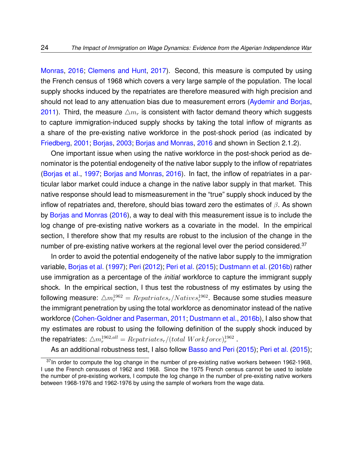[Monras,](#page-51-1) [2016;](#page-51-1) [Clemens and Hunt,](#page-52-0) [2017\)](#page-52-0). Second, this measure is computed by using the French census of 1968 which covers a very large sample of the population. The local supply shocks induced by the repatriates are therefore measured with high precision and should not lead to any attenuation bias due to measurement errors [\(Aydemir and Borjas,](#page-50-6) [2011\)](#page-50-6). Third, the measure  $\Delta m_r$  is consistent with factor demand theory which suggests to capture immigration-induced supply shocks by taking the total inflow of migrants as a share of the pre-existing native workforce in the post-shock period (as indicated by [Friedberg,](#page-54-8) [2001;](#page-54-8) [Borjas,](#page-51-5) [2003;](#page-51-5) [Borjas and Monras,](#page-51-1) [2016](#page-51-1) and shown in Section [2.1.2\)](#page-9-3).

One important issue when using the native workforce in the post-shock period as denominator is the potential endogeneity of the native labor supply to the inflow of repatriates [\(Borjas et al.,](#page-51-2) [1997;](#page-51-2) [Borjas and Monras,](#page-51-1) [2016\)](#page-51-1). In fact, the inflow of repatriates in a particular labor market could induce a change in the native labor supply in that market. This native response should lead to mismeasurement in the "true" supply shock induced by the inflow of repatriates and, therefore, should bias toward zero the estimates of  $\beta$ . As shown by [Borjas and Monras](#page-51-1) [\(2016\)](#page-51-1), a way to deal with this measurement issue is to include the log change of pre-existing native workers as a covariate in the model. In the empirical section, I therefore show that my results are robust to the inclusion of the change in the number of pre-existing native workers at the regional level over the period considered.<sup>[37](#page-23-0)</sup>

In order to avoid the potential endogeneity of the native labor supply to the immigration variable, [Borjas et al.](#page-51-2) [\(1997\)](#page-51-2); [Peri](#page-56-7) [\(2012\)](#page-56-7); [Peri et al.](#page-56-9) [\(2015\)](#page-56-9); [Dustmann et al.](#page-53-2) [\(2016b\)](#page-53-2) rather use immigration as a percentage of the *initial* workforce to capture the immigrant supply shock. In the empirical section, I thus test the robustness of my estimates by using the following measure:  $\triangle m_r^{1962} = Repatriates_r/Natives_r^{1962}.$  Because some studies measure the immigrant penetration by using the total workforce as denominator instead of the native workforce [\(Cohen-Goldner and Paserman,](#page-52-4) [2011;](#page-52-4) [Dustmann et al.,](#page-53-2) [2016b\)](#page-53-2), I also show that my estimates are robust to using the following definition of the supply shock induced by the repatriates:  $\triangle m_r^{1962,all} = Repatriates_r/(total\ Work force)_{r}^{1962}$  .

As an additional robustness test, I also follow [Basso and Peri](#page-50-7) [\(2015\)](#page-56-9); [Peri et al.](#page-56-9) (2015);

<span id="page-23-0"></span> $37$ In order to compute the log change in the number of pre-existing native workers between 1962-1968, I use the French censuses of 1962 and 1968. Since the 1975 French census cannot be used to isolate the number of pre-existing workers, I compute the log change in the number of pre-existing native workers between 1968-1976 and 1962-1976 by using the sample of workers from the wage data.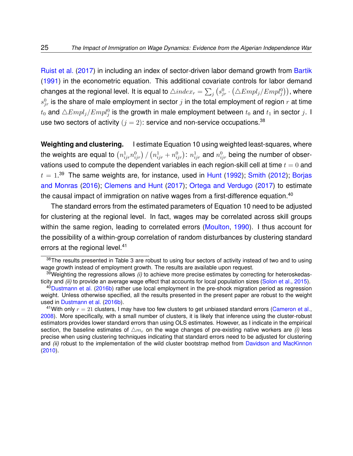[Ruist et al.](#page-57-1) [\(2017\)](#page-57-1) in including an index of sector-driven labor demand growth from [Bartik](#page-50-8) [\(1991\)](#page-50-8) in the econometric equation. This additional covariate controls for labor demand changes at the regional level. It is equal to  $\triangle index_r=\sum_j \left(s_{jr}^0\cdot\left(\triangle Empl_j/Empl_j^0\right)\right)$ , where  $s_{jr}^0$  is the share of male employment in sector  $j$  in the total employment of region  $r$  at time  $t_0$  and  $\triangle Empl_j/Empl_j^0$  is the growth in male employment between  $t_0$  and  $t_1$  in sector  $j.$  I use two sectors of activity  $(j = 2)$ : service and non-service occupations.<sup>[38](#page-24-0)</sup>

**Weighting and clustering.** I estimate Equation [10](#page-21-1) using weighted least-squares, where the weights are equal to  $\left(n^1_{ijr}n^0_{ijr}\right)/\left(n^1_{ijr}+n^0_{ijr}\right)$ :  $n^1_{ijr}$  and  $n^0_{ijr}$  being the number of observations used to compute the dependent variables in each region-skill cell at time  $t = 0$  and  $t = 1.39$  $t = 1.39$  The same weights are, for instance, used in [Hunt](#page-54-1) [\(1992\)](#page-54-1); [Smith](#page-57-3) [\(2012\)](#page-57-3); [Borjas](#page-51-1) [and Monras](#page-51-1) [\(2016\)](#page-51-1); [Clemens and Hunt](#page-52-0) [\(2017\)](#page-52-0); [Ortega and Verdugo](#page-56-8) [\(2017\)](#page-56-8) to estimate the causal impact of immigration on native wages from a first-difference equation.<sup>[40](#page-24-2)</sup>

The standard errors from the estimated parameters of Equation [10](#page-21-1) need to be adjusted for clustering at the regional level. In fact, wages may be correlated across skill groups within the same region, leading to correlated errors [\(Moulton,](#page-56-10) [1990\)](#page-56-10). I thus account for the possibility of a within-group correlation of random disturbances by clustering standard errors at the regional level.<sup>[41](#page-24-3)</sup>

<span id="page-24-0"></span>[<sup>3</sup>](#page-66-0)8The results presented in Table 3 are robust to using four sectors of activity instead of two and to using wage growth instead of employment growth. The results are available upon request.

<span id="page-24-1"></span><sup>39</sup>Weighting the regressions allows *(i)* to achieve more precise estimates by correcting for heteroskedasticity and *(ii)* to provide an average wage effect that accounts for local population sizes [\(Solon et al.,](#page-57-8) [2015\)](#page-57-8).

<span id="page-24-2"></span><sup>40</sup>[Dustmann et al.](#page-53-2) [\(2016b\)](#page-53-2) rather use local employment in the pre-shock migration period as regression weight. Unless otherwise specified, all the results presented in the present paper are robust to the weight used in [Dustmann et al.](#page-53-2) [\(2016b\)](#page-53-2).

<span id="page-24-3"></span><sup>&</sup>lt;sup>41</sup>With only  $r = 21$  clusters, I may have too few clusters to get unbiased standard errors [\(Cameron et al.,](#page-52-7) [2008\)](#page-52-7). More specifically, with a small number of clusters, it is likely that inference using the cluster-robust estimators provides lower standard errors than using OLS estimates. However, as I indicate in the empirical section, the baseline estimates of  $\Delta m_r$  on the wage changes of pre-existing native workers are *(i)* less precise when using clustering techniques indicating that standard errors need to be adjusted for clustering and *(ii)* robust to the implementation of the wild cluster bootstrap method from [Davidson and MacKinnon](#page-52-8) [\(2010\)](#page-52-8).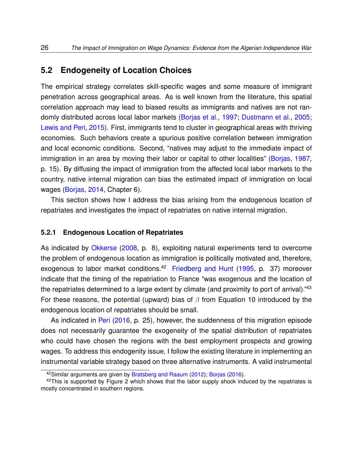#### <span id="page-25-2"></span>**5.2 Endogeneity of Location Choices**

The empirical strategy correlates skill-specific wages and some measure of immigrant penetration across geographical areas. As is well known from the literature, this spatial correlation approach may lead to biased results as immigrants and natives are not randomly distributed across local labor markets [\(Borjas et al.,](#page-51-2) [1997;](#page-51-2) [Dustmann et al.,](#page-53-1) [2005;](#page-53-1) [Lewis and Peri,](#page-55-0) [2015\)](#page-55-0). First, immigrants tend to cluster in geographical areas with thriving economies. Such behaviors create a spurious positive correlation between immigration and local economic conditions. Second, "natives may adjust to the immediate impact of immigration in an area by moving their labor or capital to other localities" [\(Borjas,](#page-51-10) [1987,](#page-51-10) p. 15). By diffusing the impact of immigration from the affected local labor markets to the country, native internal migration can bias the estimated impact of immigration on local wages [\(Borjas,](#page-51-0) [2014,](#page-51-0) Chapter 6).

This section shows how I address the bias arising from the endogenous location of repatriates and investigates the impact of repatriates on native internal migration.

#### **5.2.1 Endogenous Location of Repatriates**

As indicated by [Okkerse](#page-56-6) [\(2008,](#page-56-6) p. 8), exploiting natural experiments tend to overcome the problem of endogenous location as immigration is politically motivated and, therefore, exogenous to labor market conditions.<sup>[42](#page-25-0)</sup> [Friedberg and Hunt](#page-54-0) [\(1995,](#page-54-0) p. 37) moreover indicate that the timing of the repatriation to France "was exogenous and the location of the repatriates determined to a large extent by climate (and proximity to port of arrival)."<sup>[43](#page-25-1)</sup> For these reasons, the potential (upward) bias of  $\beta$  from Equation [10](#page-21-1) introduced by the endogenous location of repatriates should be small.

As indicated in [Peri](#page-56-0) [\(2016,](#page-56-0) p. 25), however, the suddenness of this migration episode does not necessarily guarantee the exogeneity of the spatial distribution of repatriates who could have chosen the regions with the best employment prospects and growing wages. To address this endogenity issue, I follow the existing literature in implementing an instrumental variable strategy based on three alternative instruments. A valid instrumental

<span id="page-25-1"></span><span id="page-25-0"></span><sup>42</sup> Similar arguments are given by [Bratsberg and Raaum](#page-51-11) [\(2012\)](#page-51-11); [Borjas](#page-51-4) [\(2016\)](#page-51-4).

<sup>&</sup>lt;sup>43</sup>This is supported by Figure [2](#page-60-0) which shows that the labor supply shock induced by the repatriates is mostly concentrated in southern regions.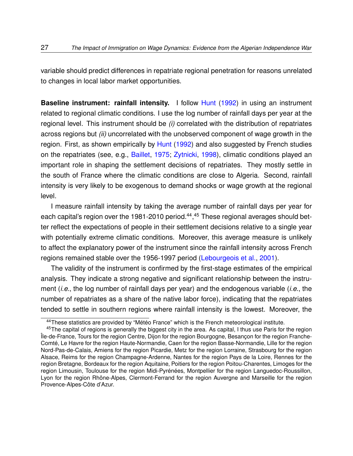variable should predict differences in repatriate regional penetration for reasons unrelated to changes in local labor market opportunities.

**Baseline instrument: rainfall intensity.** I follow [Hunt](#page-54-1) [\(1992\)](#page-54-1) in using an instrument related to regional climatic conditions. I use the log number of rainfall days per year at the regional level. This instrument should be *(i)* correlated with the distribution of repatriates across regions but *(ii)* uncorrelated with the unobserved component of wage growth in the region. First, as shown empirically by [Hunt](#page-54-1) [\(1992\)](#page-54-1) and also suggested by French studies on the repatriates (see, e.g., [Baillet,](#page-50-5) [1975;](#page-50-5) [Zytnicki,](#page-58-0) [1998\)](#page-58-0), climatic conditions played an important role in shaping the settlement decisions of repatriates. They mostly settle in the south of France where the climatic conditions are close to Algeria. Second, rainfall intensity is very likely to be exogenous to demand shocks or wage growth at the regional level.

I measure rainfall intensity by taking the average number of rainfall days per year for each capital's region over the 1981-2010 period.<sup>[44](#page-26-0)</sup>,<sup>[45](#page-26-1)</sup> These regional averages should better reflect the expectations of people in their settlement decisions relative to a single year with potentially extreme climatic conditions. Moreover, this average measure is unlikely to affect the explanatory power of the instrument since the rainfall intensity across French regions remained stable over the 1956-1997 period [\(Lebourgeois et al.,](#page-55-7) [2001\)](#page-55-7).

The validity of the instrument is confirmed by the first-stage estimates of the empirical analysis. They indicate a strong negative and significant relationship between the instrument (*i.e.*, the log number of rainfall days per year) and the endogenous variable (*i.e.*, the number of repatriates as a share of the native labor force), indicating that the repatriates tended to settle in southern regions where rainfall intensity is the lowest. Moreover, the

<span id="page-26-1"></span><span id="page-26-0"></span><sup>44</sup> These statistics are provided by "Météo France" which is the French meteorological institute.

<sup>&</sup>lt;sup>45</sup>The capital of regions is generally the biggest city in the area. As capital, I thus use Paris for the region Île-de-France, Tours for the region Centre, Dijon for the region Bourgogne, Besançon for the region Franche-Comté, Le Havre for the region Haute-Normandie, Caen for the region Basse-Normandie, Lille for the region Nord-Pas-de-Calais, Amiens for the region Picardie, Metz for the region Lorraine, Strasbourg for the region Alsace, Reims for the region Champagne-Ardenne, Nantes for the region Pays de la Loire, Rennes for the region Bretagne, Bordeaux for the region Aquitaine, Poitiers for the region Poitou-Charentes, Limoges for the region Limousin, Toulouse for the region Midi-Pyrénées, Montpellier for the region Languedoc-Roussillon, Lyon for the region Rhône-Alpes, Clermont-Ferrand for the region Auvergne and Marseille for the region Provence-Alpes-Côte d'Azur.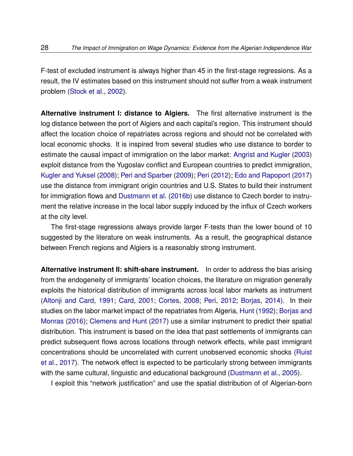F-test of excluded instrument is always higher than 45 in the first-stage regressions. As a result, the IV estimates based on this instrument should not suffer from a weak instrument problem [\(Stock et al.,](#page-57-9) [2002\)](#page-57-9).

**Alternative instrument I: distance to Algiers.** The first alternative instrument is the log distance between the port of Algiers and each capital's region. This instrument should affect the location choice of repatriates across regions and should not be correlated with local economic shocks. It is inspired from several studies who use distance to border to estimate the causal impact of immigration on the labor market: [Angrist and Kugler](#page-50-9) [\(2003\)](#page-50-9) exploit distance from the Yugoslav conflict and European countries to predict immigration, [Kugler and Yuksel](#page-55-8) [\(2008\)](#page-55-8); [Peri and Sparber](#page-56-1) [\(2009\)](#page-56-1); [Peri](#page-56-7) [\(2012\)](#page-56-7); [Edo and Rapoport](#page-53-9) [\(2017\)](#page-53-9) use the distance from immigrant origin countries and U.S. States to build their instrument for immigration flows and [Dustmann et al.](#page-53-2) [\(2016b\)](#page-53-2) use distance to Czech border to instrument the relative increase in the local labor supply induced by the influx of Czech workers at the city level.

The first-stage regressions always provide larger F-tests than the lower bound of 10 suggested by the literature on weak instruments. As a result, the geographical distance between French regions and Algiers is a reasonably strong instrument.

**Alternative instrument II: shift-share instrument.** In order to address the bias arising from the endogeneity of immigrants' location choices, the literature on migration generally exploits the historical distribution of immigrants across local labor markets as instrument [\(Altonji and Card,](#page-50-0) [1991;](#page-50-0) [Card,](#page-52-1) [2001;](#page-52-1) [Cortes,](#page-52-9) [2008;](#page-52-9) [Peri,](#page-56-7) [2012;](#page-56-7) [Borjas,](#page-51-0) [2014\)](#page-51-0). In their studies on the labor market impact of the repatriates from Algeria, [Hunt](#page-54-1) [\(1992\)](#page-54-1); [Borjas and](#page-51-1) [Monras](#page-51-1) [\(2016\)](#page-51-1); [Clemens and Hunt](#page-52-0) [\(2017\)](#page-52-0) use a similar instrument to predict their spatial distribution. This instrument is based on the idea that past settlements of immigrants can predict subsequent flows across locations through network effects, while past immigrant concentrations should be uncorrelated with current unobserved economic shocks [\(Ruist](#page-57-1) [et al.,](#page-57-1) [2017\)](#page-57-1). The network effect is expected to be particularly strong between immigrants with the same cultural, linguistic and educational background [\(Dustmann et al.,](#page-53-1) [2005\)](#page-53-1).

I exploit this "network justification" and use the spatial distribution of of Algerian-born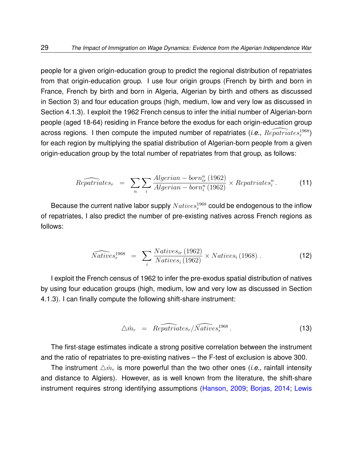people for a given origin-education group to predict the regional distribution of repatriates from that origin-education group. I use four origin groups (French by birth and born in France, French by birth and born in Algeria, Algerian by birth and others as discussed in Section [3\)](#page-12-0) and four education groups (high, medium, low and very low as discussed in Section [4.1.3\)](#page-17-2). I exploit the 1962 French census to infer the initial number of Algerian-born people (aged 18-64) residing in France before the exodus for each origin-education group across regions. I then compute the imputed number of repatriates (*i.e.*,  $\widehat{Reputriates_r^{1968}}$ ) for each region by multiplying the spatial distribution of Algerian-born people from a given origin-education group by the total number of repatriates from that group, as follows:

<span id="page-28-0"></span>
$$
\widehat{Repartriates_r} = \sum_{n} \sum_{i} \frac{Algerian - born_{ir}^n (1962)}{Algerian - born_i^n (1962)} \times Repatriates_i^n.
$$
 (11)

Because the current native labor supply  ${\it Natives}_r^{1968}$  could be endogenous to the inflow of repatriates, I also predict the number of pre-existing natives across French regions as follows:

$$
\widehat{Natives}_r^{1968} = \sum_i \frac{Natives_{ir}(1962)}{Natives_i(1962)} \times Natives_i(1968) . \tag{12}
$$

I exploit the French census of 1962 to infer the pre-exodus spatial distribution of natives by using four education groups (high, medium, low and very low as discussed in Section [4.1.3\)](#page-17-2). I can finally compute the following shift-share instrument:

$$
\triangle \hat{m}_r = \widehat{Repartiates_r}/\widehat{Natives_r^{1968}}.
$$
\n(13)

The first-stage estimates indicate a strong positive correlation between the instrument and the ratio of repatriates to pre-existing natives – the F-test of exclusion is above 300.

The instrument  $\Delta \hat{m}_r$  is more powerful than the two other ones (*i.e.*, rainfall intensity and distance to Algiers). However, as is well known from the literature, the shift-share instrument requires strong identifying assumptions [\(Hanson,](#page-54-9) [2009;](#page-54-9) [Borjas,](#page-51-0) [2014;](#page-51-0) [Lewis](#page-55-0)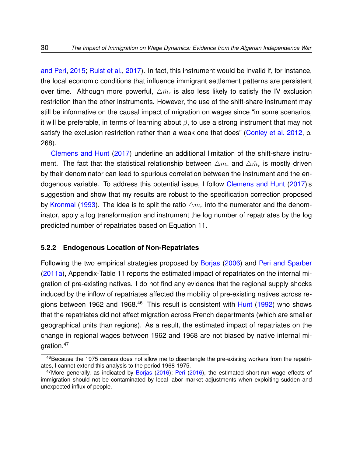[and Peri,](#page-55-0) [2015;](#page-55-0) [Ruist et al.,](#page-57-1) [2017\)](#page-57-1). In fact, this instrument would be invalid if, for instance, the local economic conditions that influence immigrant settlement patterns are persistent over time. Although more powerful,  $\triangle m_r$  is also less likely to satisfy the IV exclusion restriction than the other instruments. However, the use of the shift-share instrument may still be informative on the causal impact of migration on wages since "in some scenarios, it will be preferable, in terms of learning about  $\beta$ , to use a strong instrument that may not satisfy the exclusion restriction rather than a weak one that does" [\(Conley et al.](#page-52-10) [2012,](#page-52-10) p. 268).

[Clemens and Hunt](#page-52-0) [\(2017\)](#page-52-0) underline an additional limitation of the shift-share instrument. The fact that the statistical relationship between  $\Delta m_r$  and  $\Delta \hat{m}_r$  is mostly driven by their denominator can lead to spurious correlation between the instrument and the endogenous variable. To address this potential issue, I follow [Clemens and Hunt](#page-52-0) [\(2017\)](#page-52-0)'s suggestion and show that my results are robust to the specification correction proposed by [Kronmal](#page-54-10) [\(1993\)](#page-54-10). The idea is to split the ratio  $\Delta m_r$  into the numerator and the denominator, apply a log transformation and instrument the log number of repatriates by the log predicted number of repatriates based on Equation [11.](#page-28-0)

#### **5.2.2 Endogenous Location of Non-Repatriates**

Following the two empirical strategies proposed by [Borjas](#page-51-7) [\(2006\)](#page-51-7) and [Peri and Sparber](#page-57-5) [\(2011a\)](#page-57-5), Appendix-Table [11](#page-74-0) reports the estimated impact of repatriates on the internal migration of pre-existing natives. I do not find any evidence that the regional supply shocks induced by the inflow of repatriates affected the mobility of pre-existing natives across re-gions between 1962 and 1968.<sup>[46](#page-29-0)</sup> This result is consistent with  $Hunt$  [\(1992\)](#page-54-1) who shows that the repatriates did not affect migration across French departments (which are smaller geographical units than regions). As a result, the estimated impact of repatriates on the change in regional wages between 1962 and 1968 are not biased by native internal migration.[47](#page-29-1)

<span id="page-29-0"></span><sup>&</sup>lt;sup>46</sup>Because the 1975 census does not allow me to disentangle the pre-existing workers from the repatriates, I cannot extend this analysis to the period 1968-1975.

<span id="page-29-1"></span> $47$ More generally, as indicated by [Borjas](#page-51-4) [\(2016\)](#page-56-0); [Peri](#page-56-0) (2016), the estimated short-run wage effects of immigration should not be contaminated by local labor market adjustments when exploiting sudden and unexpected influx of people.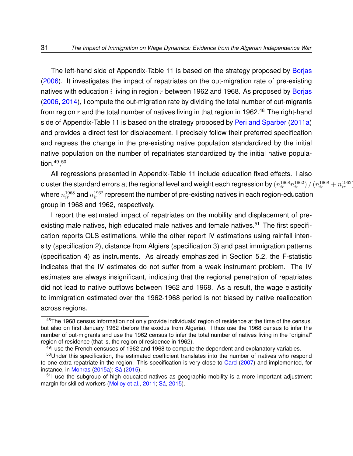The left-hand side of Appendix-Table [11](#page-74-0) is based on the strategy proposed by [Borjas](#page-51-7) [\(2006\)](#page-51-7). It investigates the impact of repatriates on the out-migration rate of pre-existing natives with education i living in region  $r$  between 1962 and 1968. As proposed by [Borjas](#page-51-7) [\(2006,](#page-51-7) [2014\)](#page-51-0), I compute the out-migration rate by dividing the total number of out-migrants from region  $r$  and the total number of natives living in that region in 1962.<sup>[48](#page-30-0)</sup> The right-hand side of Appendix-Table [11](#page-74-0) is based on the strategy proposed by [Peri and Sparber](#page-57-5) [\(2011a\)](#page-57-5) and provides a direct test for displacement. I precisely follow their preferred specification and regress the change in the pre-existing native population standardized by the initial native population on the number of repatriates standardized by the initial native population.[49](#page-30-1) , [50](#page-30-2)

All regressions presented in Appendix-Table [11](#page-74-0) include education fixed effects. I also cluster the standard errors at the regional level and weight each regression by  $(n_{ir}^{1968}n_{ir}^{1962})/(n_{ir}^{1968}+n_{ir}^{1962})$ where  $n_{ir}^{1968}$  and  $n_{ir}^{1962}$  represent the number of pre-existing natives in each region-education group in 1968 and 1962, respectively.

I report the estimated impact of repatriates on the mobility and displacement of pre-existing male natives, high educated male natives and female natives.<sup>[51](#page-30-3)</sup> The first specification reports OLS estimations, while the other report IV estimations using rainfall intensity (specification 2), distance from Algiers (specification 3) and past immigration patterns (specification 4) as instruments. As already emphasized in Section [5.2,](#page-25-2) the F-statistic indicates that the IV estimates do not suffer from a weak instrument problem. The IV estimates are always insignificant, indicating that the regional penetration of repatriates did not lead to native outflows between 1962 and 1968. As a result, the wage elasticity to immigration estimated over the 1962-1968 period is not biased by native reallocation across regions.

<span id="page-30-0"></span><sup>&</sup>lt;sup>48</sup>The 1968 census information not only provide individuals' region of residence at the time of the census, but also on first January 1962 (before the exodus from Algeria). I thus use the 1968 census to infer the number of out-migrants and use the 1962 census to infer the total number of natives living in the "original" region of residence (that is, the region of residence in 1962).

<span id="page-30-2"></span><span id="page-30-1"></span> $49$ I use the French censuses of 1962 and 1968 to compute the dependent and explanatory variables.

<sup>50</sup> Under this specification, the estimated coefficient translates into the number of natives who respond to one extra repatriate in the region. This specification is very close to [Card](#page-52-11) [\(2007\)](#page-52-11) and implemented, for instance, in [Monras](#page-55-5) [\(2015a\)](#page-55-5); [Sá](#page-57-10) [\(2015\)](#page-57-10).

<span id="page-30-3"></span><sup>&</sup>lt;sup>51</sup>I use the subgroup of high educated natives as geographic mobility is a more important adjustment margin for skilled workers [\(Molloy et al.,](#page-55-9) [2011;](#page-55-9) [Sá,](#page-57-10) [2015\)](#page-57-10).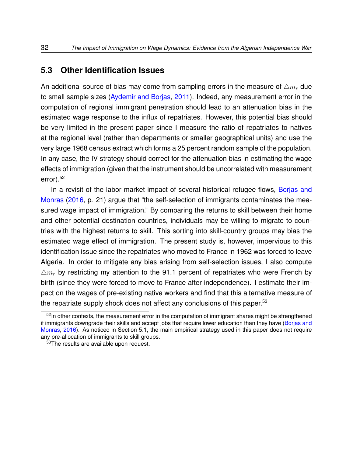#### **5.3 Other Identification Issues**

An additional source of bias may come from sampling errors in the measure of  $\triangle m_r$  due to small sample sizes [\(Aydemir and Borjas,](#page-50-6) [2011\)](#page-50-6). Indeed, any measurement error in the computation of regional immigrant penetration should lead to an attenuation bias in the estimated wage response to the influx of repatriates. However, this potential bias should be very limited in the present paper since I measure the ratio of repatriates to natives at the regional level (rather than departments or smaller geographical units) and use the very large 1968 census extract which forms a 25 percent random sample of the population. In any case, the IV strategy should correct for the attenuation bias in estimating the wage effects of immigration (given that the instrument should be uncorrelated with measurement error).[52](#page-31-0)

In a revisit of the labor market impact of several historical refugee flows, [Borjas and](#page-51-1) [Monras](#page-51-1) [\(2016,](#page-51-1) p. 21) argue that "the self-selection of immigrants contaminates the measured wage impact of immigration." By comparing the returns to skill between their home and other potential destination countries, individuals may be willing to migrate to countries with the highest returns to skill. This sorting into skill-country groups may bias the estimated wage effect of immigration. The present study is, however, impervious to this identification issue since the repatriates who moved to France in 1962 was forced to leave Algeria. In order to mitigate any bias arising from self-selection issues, I also compute  $\Delta m_r$  by restricting my attention to the 91.1 percent of repatriates who were French by birth (since they were forced to move to France after independence). I estimate their impact on the wages of pre-existing native workers and find that this alternative measure of the repatriate supply shock does not affect any conclusions of this paper.<sup>[53](#page-31-1)</sup>

<span id="page-31-0"></span> $52$ In other contexts, the measurement error in the computation of immigrant shares might be strengthened if immigrants downgrade their skills and accept jobs that require lower education than they have [\(Borjas and](#page-51-1) [Monras,](#page-51-1) [2016\)](#page-51-1). As noticed in Section [5.1,](#page-20-5) the main empirical strategy used in this paper does not require any pre-allocation of immigrants to skill groups.

<span id="page-31-1"></span><sup>53</sup>The results are available upon request.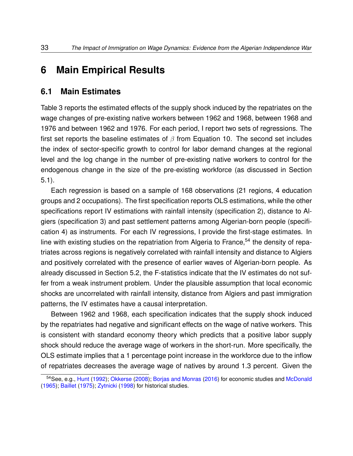## <span id="page-32-0"></span>**6 Main Empirical Results**

#### **6.1 Main Estimates**

Table [3](#page-66-0) reports the estimated effects of the supply shock induced by the repatriates on the wage changes of pre-existing native workers between 1962 and 1968, between 1968 and 1976 and between 1962 and 1976. For each period, I report two sets of regressions. The first set reports the baseline estimates of  $\beta$  from Equation [10.](#page-21-1) The second set includes the index of sector-specific growth to control for labor demand changes at the regional level and the log change in the number of pre-existing native workers to control for the endogenous change in the size of the pre-existing workforce (as discussed in Section [5.1\)](#page-20-5).

Each regression is based on a sample of 168 observations (21 regions, 4 education groups and 2 occupations). The first specification reports OLS estimations, while the other specifications report IV estimations with rainfall intensity (specification 2), distance to Algiers (specification 3) and past settlement patterns among Algerian-born people (specification 4) as instruments. For each IV regressions, I provide the first-stage estimates. In line with existing studies on the repatriation from Algeria to France,<sup>[54](#page-32-1)</sup> the density of repatriates across regions is negatively correlated with rainfall intensity and distance to Algiers and positively correlated with the presence of earlier waves of Algerian-born people. As already discussed in Section [5.2,](#page-25-2) the F-statistics indicate that the IV estimates do not suffer from a weak instrument problem. Under the plausible assumption that local economic shocks are uncorrelated with rainfall intensity, distance from Algiers and past immigration patterns, the IV estimates have a causal interpretation.

Between 1962 and 1968, each specification indicates that the supply shock induced by the repatriates had negative and significant effects on the wage of native workers. This is consistent with standard economy theory which predicts that a positive labor supply shock should reduce the average wage of workers in the short-run. More specifically, the OLS estimate implies that a 1 percentage point increase in the workforce due to the inflow of repatriates decreases the average wage of natives by around 1.3 percent. Given the

<span id="page-32-1"></span><sup>54</sup>See, e.g., [Hunt](#page-54-1) [\(1992\)](#page-54-1); [Okkerse](#page-56-6) [\(2008\)](#page-56-6); [Borjas and Monras](#page-51-1) [\(2016\)](#page-51-1) for economic studies and [McDonald](#page-55-1) [\(1965\)](#page-55-1); [Baillet](#page-50-5) [\(1975\)](#page-50-5); [Zytnicki](#page-58-0) [\(1998\)](#page-58-0) for historical studies.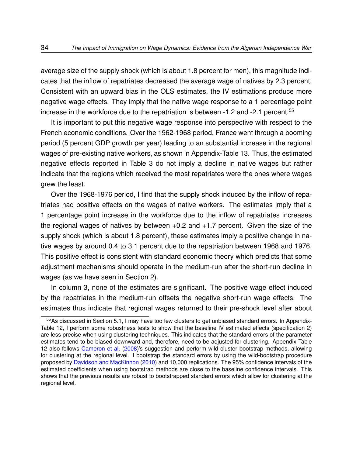average size of the supply shock (which is about 1.8 percent for men), this magnitude indicates that the inflow of repatriates decreased the average wage of natives by 2.3 percent. Consistent with an upward bias in the OLS estimates, the IV estimations produce more negative wage effects. They imply that the native wage response to a 1 percentage point increase in the workforce due to the repatriation is between -1.2 and -2.1 percent.<sup>[55](#page-33-0)</sup>

It is important to put this negative wage response into perspective with respect to the French economic conditions. Over the 1962-1968 period, France went through a booming period (5 percent GDP growth per year) leading to an substantial increase in the regional wages of pre-existing native workers, as shown in Appendix-Table [13.](#page-76-0) Thus, the estimated negative effects reported in Table [3](#page-66-0) do not imply a decline in native wages but rather indicate that the regions which received the most repatriates were the ones where wages grew the least.

Over the 1968-1976 period, I find that the supply shock induced by the inflow of repatriates had positive effects on the wages of native workers. The estimates imply that a 1 percentage point increase in the workforce due to the inflow of repatriates increases the regional wages of natives by between +0.2 and +1.7 percent. Given the size of the supply shock (which is about 1.8 percent), these estimates imply a positive change in native wages by around 0.4 to 3.1 percent due to the repatriation between 1968 and 1976. This positive effect is consistent with standard economic theory which predicts that some adjustment mechanisms should operate in the medium-run after the short-run decline in wages (as we have seen in Section [2\)](#page-7-2).

In column 3, none of the estimates are significant. The positive wage effect induced by the repatriates in the medium-run offsets the negative short-run wage effects. The estimates thus indicate that regional wages returned to their pre-shock level after about

<span id="page-33-0"></span><sup>&</sup>lt;sup>55</sup>As discussed in Section [5.1,](#page-20-5) I may have too few clusters to get unbiased standard errors. In Appendix-Table [12,](#page-75-0) I perform some robustness tests to show that the baseline IV estimated effects (specification 2) are less precise when using clustering techniques. This indicates that the standard errors of the parameter estimates tend to be biased downward and, therefore, need to be adjusted for clustering. Appendix-Table [12](#page-75-0) also follows [Cameron et al.](#page-52-7) [\(2008\)](#page-52-7)'s suggestion and perform wild cluster bootstrap methods, allowing for clustering at the regional level. I bootstrap the standard errors by using the wild-bootstrap procedure proposed by [Davidson and MacKinnon](#page-52-8) [\(2010\)](#page-52-8) and 10,000 replications. The 95% confidence intervals of the estimated coefficients when using bootstrap methods are close to the baseline confidence intervals. This shows that the previous results are robust to bootstrapped standard errors which allow for clustering at the regional level.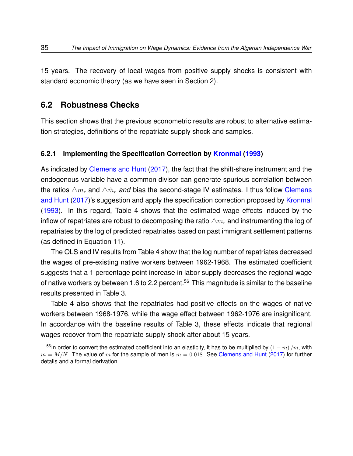15 years. The recovery of local wages from positive supply shocks is consistent with standard economic theory (as we have seen in Section [2\)](#page-7-2).

#### **6.2 Robustness Checks**

This section shows that the previous econometric results are robust to alternative estimation strategies, definitions of the repatriate supply shock and samples.

#### **6.2.1 Implementing the Specification Correction by [Kronmal](#page-54-10) [\(1993\)](#page-54-10)**

As indicated by [Clemens and Hunt](#page-52-0) [\(2017\)](#page-52-0), the fact that the shift-share instrument and the endogenous variable have a common divisor can generate spurious correlation between the ratios  $\Delta m_r$  and  $\Delta \hat{m}_r$  *and* bias the second-stage IV estimates. I thus follow [Clemens](#page-52-0) [and Hunt](#page-52-0) [\(2017\)](#page-52-0)'s suggestion and apply the specification correction proposed by [Kronmal](#page-54-10) [\(1993\)](#page-54-10). In this regard, Table [4](#page-67-0) shows that the estimated wage effects induced by the inflow of repatriates are robust to decomposing the ratio  $\triangle m_r$  and instrumenting the log of repatriates by the log of predicted repatriates based on past immigrant settlement patterns (as defined in Equation [11\)](#page-28-0).

The OLS and IV results from Table [4](#page-67-0) show that the log number of repatriates decreased the wages of pre-existing native workers between 1962-1968. The estimated coefficient suggests that a 1 percentage point increase in labor supply decreases the regional wage of native workers by between 1.6 to 2.2 percent.<sup>[56](#page-34-0)</sup> This magnitude is similar to the baseline results presented in Table [3.](#page-66-0)

Table [4](#page-67-0) also shows that the repatriates had positive effects on the wages of native workers between 1968-1976, while the wage effect between 1962-1976 are insignificant. In accordance with the baseline results of Table [3,](#page-66-0) these effects indicate that regional wages recover from the repatriate supply shock after about 15 years.

<span id="page-34-0"></span><sup>&</sup>lt;sup>56</sup>In order to convert the estimated coefficient into an elasticity, it has to be multiplied by  $(1-m)/m$ , with  $m = M/N$ . The value of m for the sample of men is  $m = 0.018$ . See [Clemens and Hunt](#page-52-0) [\(2017\)](#page-52-0) for further details and a formal derivation.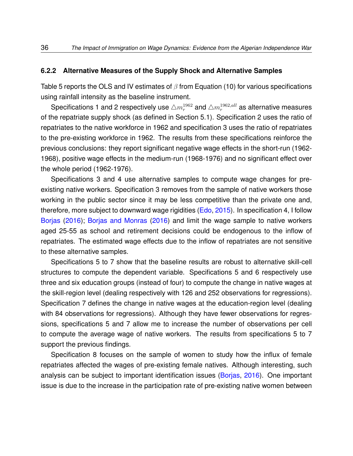#### **6.2.2 Alternative Measures of the Supply Shock and Alternative Samples**

Table [5](#page-68-0) reports the OLS and IV estimates of  $\beta$  from Equation [\(10\)](#page-21-1) for various specifications using rainfall intensity as the baseline instrument.

Specifications 1 and 2 respectively use  $\triangle m_r^{1962}$  and  $\triangle m_r^{1962,all}$  as alternative measures of the repatriate supply shock (as defined in Section [5.1\)](#page-20-5). Specification 2 uses the ratio of repatriates to the native workforce in 1962 and specification 3 uses the ratio of repatriates to the pre-existing workforce in 1962. The results from these specifications reinforce the previous conclusions: they report significant negative wage effects in the short-run (1962- 1968), positive wage effects in the medium-run (1968-1976) and no significant effect over the whole period (1962-1976).

Specifications 3 and 4 use alternative samples to compute wage changes for preexisting native workers. Specification 3 removes from the sample of native workers those working in the public sector since it may be less competitive than the private one and, therefore, more subject to downward wage rigidities [\(Edo,](#page-53-10) [2015\)](#page-53-10). In specification 4, I follow [Borjas](#page-51-4) [\(2016\)](#page-51-4); [Borjas and Monras](#page-51-1) [\(2016\)](#page-51-1) and limit the wage sample to native workers aged 25-55 as school and retirement decisions could be endogenous to the inflow of repatriates. The estimated wage effects due to the inflow of repatriates are not sensitive to these alternative samples.

Specifications 5 to 7 show that the baseline results are robust to alternative skill-cell structures to compute the dependent variable. Specifications 5 and 6 respectively use three and six education groups (instead of four) to compute the change in native wages at the skill-region level (dealing respectively with 126 and 252 observations for regressions). Specification 7 defines the change in native wages at the education-region level (dealing with 84 observations for regressions). Although they have fewer observations for regressions, specifications 5 and 7 allow me to increase the number of observations per cell to compute the average wage of native workers. The results from specifications 5 to 7 support the previous findings.

Specification 8 focuses on the sample of women to study how the influx of female repatriates affected the wages of pre-existing female natives. Although interesting, such analysis can be subject to important identification issues [\(Borjas,](#page-51-4) [2016\)](#page-51-4). One important issue is due to the increase in the participation rate of pre-existing native women between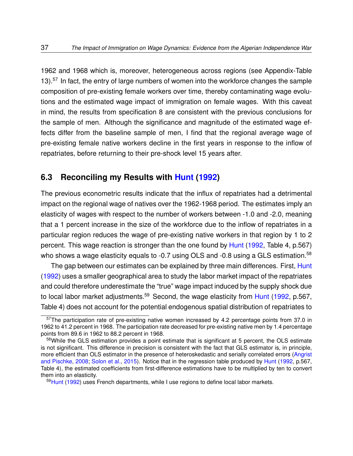1962 and 1968 which is, moreover, heterogeneous across regions (see Appendix-Table [13\)](#page-76-0).<sup>[57](#page-36-0)</sup> In fact, the entry of large numbers of women into the workforce changes the sample composition of pre-existing female workers over time, thereby contaminating wage evolutions and the estimated wage impact of immigration on female wages. With this caveat in mind, the results from specification 8 are consistent with the previous conclusions for the sample of men. Although the significance and magnitude of the estimated wage effects differ from the baseline sample of men, I find that the regional average wage of pre-existing female native workers decline in the first years in response to the inflow of repatriates, before returning to their pre-shock level 15 years after.

### **6.3 Reconciling my Results with [Hunt](#page-54-0) [\(1992\)](#page-54-0)**

The previous econometric results indicate that the influx of repatriates had a detrimental impact on the regional wage of natives over the 1962-1968 period. The estimates imply an elasticity of wages with respect to the number of workers between -1.0 and -2.0, meaning that a 1 percent increase in the size of the workforce due to the inflow of repatriates in a particular region reduces the wage of pre-existing native workers in that region by 1 to 2 percent. This wage reaction is stronger than the one found by [Hunt](#page-54-0) [\(1992,](#page-54-0) Table 4, p.567) who shows a wage elasticity equals to -0.7 using OLS and -0.8 using a GLS estimation.<sup>[58](#page-36-1)</sup>

The gap between our estimates can be explained by three main differences. First, [Hunt](#page-54-0) [\(1992\)](#page-54-0) uses a smaller geographical area to study the labor market impact of the repatriates and could therefore underestimate the "true" wage impact induced by the supply shock due to local labor market adjustments.<sup>[59](#page-36-2)</sup> Second, the wage elasticity from [Hunt](#page-54-0) [\(1992,](#page-54-0) p.567, Table 4) does not account for the potential endogenous spatial distribution of repatriates to

<span id="page-36-0"></span><sup>&</sup>lt;sup>57</sup>The participation rate of pre-existing native women increased by 4.2 percentage points from 37.0 in 1962 to 41.2 percent in 1968. The participation rate decreased for pre-existing native men by 1.4 percentage points from 89.6 in 1962 to 88.2 percent in 1968.

<span id="page-36-1"></span><sup>58</sup>While the GLS estimation provides a point estimate that is significant at 5 percent, the OLS estimate is not significant. This difference in precision is consistent with the fact that GLS estimator is, in principle, more efficient than OLS estimator in the presence of heteroskedastic and serially correlated errors [\(Angrist](#page-50-0) [and Pischke,](#page-50-0) [2008;](#page-50-0) [Solon et al.,](#page-57-0) [2015\)](#page-57-0). Notice that in the regression table produced by [Hunt](#page-54-0) [\(1992,](#page-54-0) p.567, Table 4), the estimated coefficients from first-difference estimations have to be multiplied by ten to convert them into an elasticity.

<span id="page-36-2"></span><sup>59</sup>[Hunt](#page-54-0) [\(1992\)](#page-54-0) uses French departments, while I use regions to define local labor markets.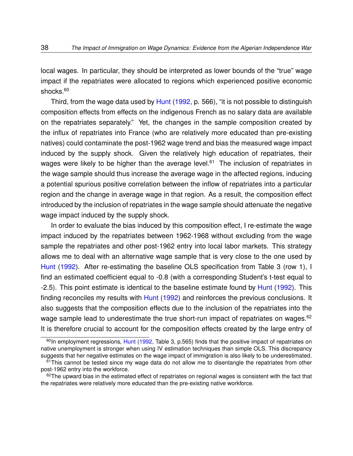local wages. In particular, they should be interpreted as lower bounds of the "true" wage impact if the repatriates were allocated to regions which experienced positive economic shocks.<sup>[60](#page-37-0)</sup>

Third, from the wage data used by [Hunt](#page-54-0) [\(1992,](#page-54-0) p. 566), "it is not possible to distinguish composition effects from effects on the indigenous French as no salary data are available on the repatriates separately." Yet, the changes in the sample composition created by the influx of repatriates into France (who are relatively more educated than pre-existing natives) could contaminate the post-1962 wage trend and bias the measured wage impact induced by the supply shock. Given the relatively high education of repatriates, their wages were likely to be higher than the average level.<sup>[61](#page-37-1)</sup> The inclusion of repatriates in the wage sample should thus increase the average wage in the affected regions, inducing a potential spurious positive correlation between the inflow of repatriates into a particular region and the change in average wage in that region. As a result, the composition effect introduced by the inclusion of repatriates in the wage sample should attenuate the negative wage impact induced by the supply shock.

In order to evaluate the bias induced by this composition effect, I re-estimate the wage impact induced by the repatriates between 1962-1968 without excluding from the wage sample the repatriates and other post-1962 entry into local labor markets. This strategy allows me to deal with an alternative wage sample that is very close to the one used by [Hunt](#page-54-0) [\(1992\)](#page-54-0). After re-estimating the baseline OLS specification from Table [3](#page-66-0) (row 1), I find an estimated coefficient equal to -0.8 (with a corresponding Student's t-test equal to -2.5). This point estimate is identical to the baseline estimate found by [Hunt](#page-54-0) [\(1992\)](#page-54-0). This finding reconciles my results with [Hunt](#page-54-0) [\(1992\)](#page-54-0) and reinforces the previous conclusions. It also suggests that the composition effects due to the inclusion of the repatriates into the wage sample lead to underestimate the true short-run impact of repatriates on wages.<sup>[62](#page-37-2)</sup> It is therefore crucial to account for the composition effects created by the large entry of

<span id="page-37-0"></span> $60$ In employment regressions, [Hunt](#page-54-0) [\(1992,](#page-54-0) Table 3, p.565) finds that the positive impact of repatriates on native unemployment is stronger when using IV estimation techniques than simple OLS. This discrepancy suggests that her negative estimates on the wage impact of immigration is also likely to be underestimated.

<span id="page-37-1"></span> $61$ This cannot be tested since my wage data do not allow me to disentangle the repatriates from other post-1962 entry into the workforce.

<span id="page-37-2"></span> $62$ The upward bias in the estimated effect of repatriates on regional wages is consistent with the fact that the repatriates were relatively more educated than the pre-existing native workforce.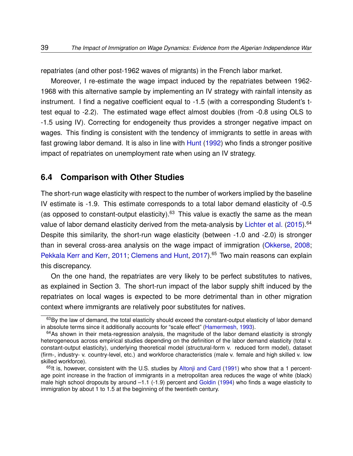repatriates (and other post-1962 waves of migrants) in the French labor market.

Moreover, I re-estimate the wage impact induced by the repatriates between 1962- 1968 with this alternative sample by implementing an IV strategy with rainfall intensity as instrument. I find a negative coefficient equal to -1.5 (with a corresponding Student's ttest equal to -2.2). The estimated wage effect almost doubles (from -0.8 using OLS to -1.5 using IV). Correcting for endogeneity thus provides a stronger negative impact on wages. This finding is consistent with the tendency of immigrants to settle in areas with fast growing labor demand. It is also in line with [Hunt](#page-54-0) [\(1992\)](#page-54-0) who finds a stronger positive impact of repatriates on unemployment rate when using an IV strategy.

### **6.4 Comparison with Other Studies**

The short-run wage elasticity with respect to the number of workers implied by the baseline IV estimate is -1.9. This estimate corresponds to a total labor demand elasticity of -0.5 (as opposed to constant-output elasticity).<sup>[63](#page-38-0)</sup> This value is exactly the same as the mean value of labor demand elasticity derived from the meta-analysis by [Lichter et al.](#page-55-0) [\(2015\)](#page-55-0).<sup>[64](#page-38-1)</sup> Despite this similarity, the short-run wage elasticity (between -1.0 and -2.0) is stronger than in several cross-area analysis on the wage impact of immigration [\(Okkerse,](#page-56-0) [2008;](#page-56-0) [Pekkala Kerr and Kerr,](#page-56-1) [2011;](#page-56-1) [Clemens and Hunt,](#page-52-0) [2017\)](#page-52-0).<sup>[65](#page-38-2)</sup> Two main reasons can explain this discrepancy.

On the one hand, the repatriates are very likely to be perfect substitutes to natives, as explained in Section [3.](#page-12-0) The short-run impact of the labor supply shift induced by the repatriates on local wages is expected to be more detrimental than in other migration context where immigrants are relatively poor substitutes for natives.

<span id="page-38-0"></span><sup>63</sup>By the law of demand, the total elasticity should exceed the constant-output elasticity of labor demand in absolute terms since it additionally accounts for "scale effect" [\(Hamermesh,](#page-54-1) [1993\)](#page-54-1).

<span id="page-38-1"></span> $64$ As shown in their meta-regression analysis, the magnitude of the labor demand elasticity is strongly heterogeneous across empirical studies depending on the definition of the labor demand elasticity (total v. constant-output elasticity), underlying theoretical model (structural-form v. reduced form model), dataset (firm-, industry- v. country-level, etc.) and workforce characteristics (male v. female and high skilled v. low skilled workforce).

<span id="page-38-2"></span> $65$ It is, however, consistent with the U.S. studies by [Altonji and Card](#page-50-1) [\(1991\)](#page-50-1) who show that a 1 percentage point increase in the fraction of immigrants in a metropolitan area reduces the wage of white (black) male high school dropouts by around –1.1 (-1.9) percent and [Goldin](#page-54-2) [\(1994\)](#page-54-2) who finds a wage elasticity to immigration by about 1 to 1.5 at the beginning of the twentieth century.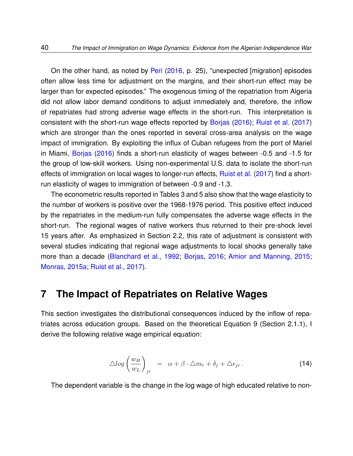On the other hand, as noted by [Peri](#page-56-2) [\(2016,](#page-56-2) p. 25), "unexpected [migration] episodes often allow less time for adjustment on the margins, and their short-run effect may be larger than for expected episodes." The exogenous timing of the repatriation from Algeria did not allow labor demand conditions to adjust immediately and, therefore, the inflow of repatriates had strong adverse wage effects in the short-run. This interpretation is consistent with the short-run wage effects reported by [Borjas](#page-51-0) [\(2016\)](#page-51-0); [Ruist et al.](#page-57-1) [\(2017\)](#page-57-1) which are stronger than the ones reported in several cross-area analysis on the wage impact of immigration. By exploiting the influx of Cuban refugees from the port of Mariel in Miami, [Borjas](#page-51-0) [\(2016\)](#page-51-0) finds a short-run elasticity of wages between -0.5 and -1.5 for the group of low-skill workers. Using non-experimental U.S. data to isolate the short-run effects of immigration on local wages to longer-run effects, [Ruist et al.](#page-57-1) [\(2017\)](#page-57-1) find a shortrun elasticity of wages to immigration of between -0.9 and -1.3.

The econometric results reported in Tables [3](#page-66-0) and [5](#page-68-0) also show that the wage elasticity to the number of workers is positive over the 1968-1976 period. This positive effect induced by the repatriates in the medium-run fully compensates the adverse wage effects in the short-run. The regional wages of native workers thus returned to their pre-shock level 15 years after. As emphasized in Section [2.2,](#page-11-0) this rate of adjustment is consistent with several studies indicating that regional wage adjustments to local shocks generally take more than a decade [\(Blanchard et al.,](#page-50-2) [1992;](#page-50-2) [Borjas,](#page-51-0) [2016;](#page-51-0) [Amior and Manning,](#page-50-3) [2015;](#page-50-3) [Monras,](#page-55-1) [2015a;](#page-55-1) [Ruist et al.,](#page-57-1) [2017\)](#page-57-1).

### **7 The Impact of Repatriates on Relative Wages**

This section investigates the distributional consequences induced by the inflow of repatriates across education groups. Based on the theoretical Equation [9](#page-10-0) (Section [2.1.1\)](#page-7-0), I derive the following relative wage empirical equation:

<span id="page-39-0"></span>
$$
\triangle log\left(\frac{w_H}{w_L}\right)_{jr} = \alpha + \beta \cdot \triangle m_r + \delta_j + \triangle \epsilon_{jr} \,. \tag{14}
$$

The dependent variable is the change in the log wage of high educated relative to non-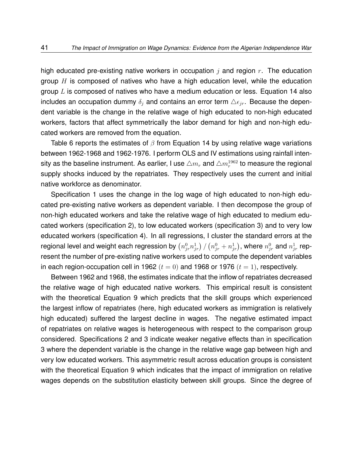high educated pre-existing native workers in occupation j and region  $r$ . The education group  $H$  is composed of natives who have a high education level, while the education group  $L$  is composed of natives who have a medium education or less. Equation [14](#page-39-0) also includes an occupation dummy  $\delta_i$  and contains an error term  $\Delta \epsilon_{ir}$ . Because the dependent variable is the change in the relative wage of high educated to non-high educated workers, factors that affect symmetrically the labor demand for high and non-high educated workers are removed from the equation.

Table [6](#page-69-0) reports the estimates of  $\beta$  from Equation [14](#page-39-0) by using relative wage variations between 1962-1968 and 1962-1976. I perform OLS and IV estimations using rainfall intensity as the baseline instrument. As earlier, I use  $\triangle m_{r}$  and  $\triangle m_{r}^{1962}$  to measure the regional supply shocks induced by the repatriates. They respectively uses the current and initial native workforce as denominator.

Specification 1 uses the change in the log wage of high educated to non-high educated pre-existing native workers as dependent variable. I then decompose the group of non-high educated workers and take the relative wage of high educated to medium educated workers (specification 2), to low educated workers (specification 3) and to very low educated workers (specification 4). In all regressions, I cluster the standard errors at the regional level and weight each regression by  $\left(n_{j r}^0 n_{j r}^1\right)/\left(n_{j r}^0+n_{j r}^1\right)$ , where  $n_{j r}^0$  and  $n_{j r}^1$  represent the number of pre-existing native workers used to compute the dependent variables in each region-occupation cell in 1962 ( $t = 0$ ) and 1968 or 1976 ( $t = 1$ ), respectively.

Between 1962 and 1968, the estimates indicate that the inflow of repatriates decreased the relative wage of high educated native workers. This empirical result is consistent with the theoretical Equation [9](#page-10-0) which predicts that the skill groups which experienced the largest inflow of repatriates (here, high educated workers as immigration is relatively high educated) suffered the largest decline in wages. The negative estimated impact of repatriates on relative wages is heterogeneous with respect to the comparison group considered. Specifications 2 and 3 indicate weaker negative effects than in specification 3 where the dependent variable is the change in the relative wage gap between high and very low educated workers. This asymmetric result across education groups is consistent with the theoretical Equation [9](#page-10-0) which indicates that the impact of immigration on relative wages depends on the substitution elasticity between skill groups. Since the degree of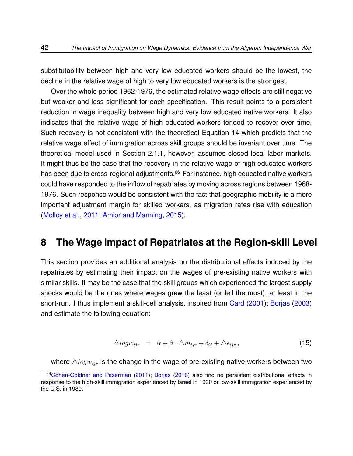substitutability between high and very low educated workers should be the lowest, the decline in the relative wage of high to very low educated workers is the strongest.

Over the whole period 1962-1976, the estimated relative wage effects are still negative but weaker and less significant for each specification. This result points to a persistent reduction in wage inequality between high and very low educated native workers. It also indicates that the relative wage of high educated workers tended to recover over time. Such recovery is not consistent with the theoretical Equation [14](#page-39-0) which predicts that the relative wage effect of immigration across skill groups should be invariant over time. The theoretical model used in Section [2.1.1,](#page-7-0) however, assumes closed local labor markets. It might thus be the case that the recovery in the relative wage of high educated workers has been due to cross-regional adjustments.<sup>[66](#page-41-0)</sup> For instance, high educated native workers could have responded to the inflow of repatriates by moving across regions between 1968- 1976. Such response would be consistent with the fact that geographic mobility is a more important adjustment margin for skilled workers, as migration rates rise with education [\(Molloy et al.,](#page-55-2) [2011;](#page-55-2) [Amior and Manning,](#page-50-3) [2015\)](#page-50-3).

## **8 The Wage Impact of Repatriates at the Region-skill Level**

This section provides an additional analysis on the distributional effects induced by the repatriates by estimating their impact on the wages of pre-existing native workers with similar skills. It may be the case that the skill groups which experienced the largest supply shocks would be the ones where wages grew the least (or fell the most), at least in the short-run. I thus implement a skill-cell analysis, inspired from [Card](#page-52-1) [\(2001\)](#page-52-1); [Borjas](#page-51-1) [\(2003\)](#page-51-1) and estimate the following equation:

<span id="page-41-1"></span>
$$
\triangle logw_{ijr} = \alpha + \beta \cdot \triangle m_{ijr} + \delta_{ij} + \triangle \epsilon_{ijr}, \qquad (15)
$$

where  $\triangle logw_{ijr}$  is the change in the wage of pre-existing native workers between two

<span id="page-41-0"></span><sup>66</sup>[Cohen-Goldner and Paserman](#page-52-2) [\(2011\)](#page-52-2); [Borjas](#page-51-0) [\(2016\)](#page-51-0) also find no persistent distributional effects in response to the high-skill immigration experienced by Israel in 1990 or low-skill immigration experienced by the U.S. in 1980.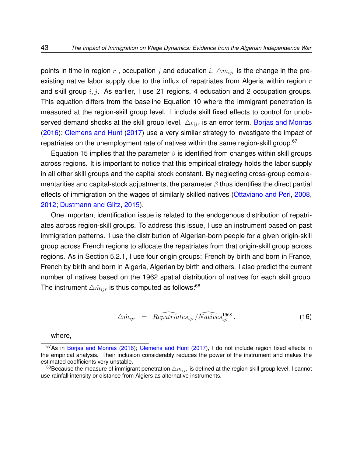points in time in region  $r$ , occupation  $j$  and education  $i$ .  $\Delta m_{ijr}$  is the change in the preexisting native labor supply due to the influx of repatriates from Algeria within region  $r$ and skill group  $i, j$ . As earlier, I use 21 regions, 4 education and 2 occupation groups. This equation differs from the baseline Equation [10](#page-21-0) where the immigrant penetration is measured at the region-skill group level. I include skill fixed effects to control for unobserved demand shocks at the skill group level.  $\Delta \epsilon_{ijr}$  is an error term. [Borjas and Monras](#page-51-2) [\(2016\)](#page-51-2); [Clemens and Hunt](#page-52-0) [\(2017\)](#page-52-0) use a very similar strategy to investigate the impact of repatriates on the unemployment rate of natives within the same region-skill group. $67$ 

Equation [15](#page-41-1) implies that the parameter  $\beta$  is identified from changes within skill groups across regions. It is important to notice that this empirical strategy holds the labor supply in all other skill groups and the capital stock constant. By neglecting cross-group complementarities and capital-stock adjustments, the parameter  $\beta$  thus identifies the direct partial effects of immigration on the wages of similarly skilled natives [\(Ottaviano and Peri,](#page-56-3) [2008,](#page-56-3) [2012;](#page-56-4) [Dustmann and Glitz,](#page-53-0) [2015\)](#page-53-0).

One important identification issue is related to the endogenous distribution of repatriates across region-skill groups. To address this issue, I use an instrument based on past immigration patterns. I use the distribution of Algerian-born people for a given origin-skill group across French regions to allocate the repatriates from that origin-skill group across regions. As in Section [5.2.1,](#page-25-0) I use four origin groups: French by birth and born in France, French by birth and born in Algeria, Algerian by birth and others. I also predict the current number of natives based on the 1962 spatial distribution of natives for each skill group. The instrument  $\triangle \hat{m}_{ir}$  is thus computed as follows:<sup>[68](#page-42-1)</sup>

<span id="page-42-2"></span>
$$
\triangle \hat{m}_{ijr} = \widehat{Repartiates_{ijr}} / \widehat{Natives_{ijr}^{1968}}.
$$
\n(16)

#### <span id="page-42-0"></span>where,

<sup>&</sup>lt;sup>67</sup>As in [Borjas and Monras](#page-51-2) [\(2016\)](#page-51-2); [Clemens and Hunt](#page-52-0) [\(2017\)](#page-52-0), I do not include region fixed effects in the empirical analysis. Their inclusion considerably reduces the power of the instrument and makes the estimated coefficients very unstable.

<span id="page-42-1"></span><sup>68</sup> Because the measure of immigrant penetration  $\triangle m_{ijr}$  is defined at the region-skill group level, I cannot use rainfall intensity or distance from Algiers as alternative instruments.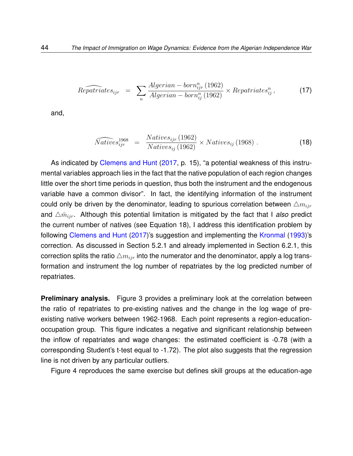<span id="page-43-1"></span>
$$
\widehat{Repartitates}_{ijr} = \sum_{n} \frac{Algerian - born_{ijr}^{n} (1962)}{Algerian - born_{ij}^{n} (1962)} \times Repatriates_{ij}^{n}, \qquad (17)
$$

and,

<span id="page-43-0"></span>
$$
\widehat{Natives}_{ijr}^{1968} = \frac{Natives_{ijr}(1962)}{Natives_{ij}(1962)} \times Natives_{ij}(1968) .
$$
 (18)

As indicated by [Clemens and Hunt](#page-52-0) [\(2017,](#page-52-0) p. 15), "a potential weakness of this instrumental variables approach lies in the fact that the native population of each region changes little over the short time periods in question, thus both the instrument and the endogenous variable have a common divisor". In fact, the identifying information of the instrument could only be driven by the denominator, leading to spurious correlation between  $\triangle m_{iir}$ and  $\triangle \hat{m}_{ijr}$ . Although this potential limitation is mitigated by the fact that I *also* predict the current number of natives (see Equation [18\)](#page-43-0), I address this identification problem by following [Clemens and Hunt](#page-52-0) [\(2017\)](#page-52-0)'s suggestion and implementing the [Kronmal](#page-54-3) [\(1993\)](#page-54-3)'s correction. As discussed in Section [5.2.1](#page-25-0) and already implemented in Section [6.2.1,](#page-34-0) this correction splits the ratio  $\triangle m_{ijr}$  into the numerator and the denominator, apply a log transformation and instrument the log number of repatriates by the log predicted number of repatriates.

**Preliminary analysis.** Figure [3](#page-61-0) provides a preliminary look at the correlation between the ratio of repatriates to pre-existing natives and the change in the log wage of preexisting native workers between 1962-1968. Each point represents a region-educationoccupation group. This figure indicates a negative and significant relationship between the inflow of repatriates and wage changes: the estimated coefficient is -0.78 (with a corresponding Student's t-test equal to -1.72). The plot also suggests that the regression line is not driven by any particular outliers.

Figure [4](#page-62-0) reproduces the same exercise but defines skill groups at the education-age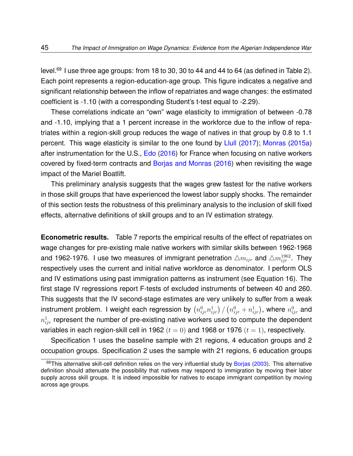level.<sup>[69](#page-44-0)</sup> I use three age groups: from 18 to 30, 30 to 44 and 44 to 64 (as defined in Table [2\)](#page-64-0). Each point represents a region-education-age group. This figure indicates a negative and significant relationship between the inflow of repatriates and wage changes: the estimated coefficient is -1.10 (with a corresponding Student's t-test equal to -2.29).

These correlations indicate an "own" wage elasticity to immigration of between -0.78 and -1.10, implying that a 1 percent increase in the workforce due to the inflow of repatriates within a region-skill group reduces the wage of natives in that group by 0.8 to 1.1 percent. This wage elasticity is similar to the one found by [Llull](#page-55-3) [\(2017\)](#page-55-3); [Monras](#page-55-1) [\(2015a\)](#page-55-1) after instrumentation for the U.S., [Edo](#page-53-1) [\(2016\)](#page-53-1) for France when focusing on native workers covered by fixed-term contracts and [Borjas and Monras](#page-51-2) [\(2016\)](#page-51-2) when revisiting the wage impact of the Mariel Boatlift.

This preliminary analysis suggests that the wages grew fastest for the native workers in those skill groups that have experienced the lowest labor supply shocks. The remainder of this section tests the robustness of this preliminary analysis to the inclusion of skill fixed effects, alternative definitions of skill groups and to an IV estimation strategy.

**Econometric results.** Table [7](#page-70-0) reports the empirical results of the effect of repatriates on wage changes for pre-existing male native workers with similar skills between 1962-1968 and 1962-1976. I use two measures of immigrant penetration  $\triangle m_{ijr}$  and  $\triangle m^{1962}_{ijr}.$  They respectively uses the current and initial native workforce as denominator. I perform OLS and IV estimations using past immigration patterns as instrument (see Equation [16\)](#page-42-2). The first stage IV regressions report F-tests of excluded instruments of between 40 and 260. This suggests that the IV second-stage estimates are very unlikely to suffer from a weak instrument problem. I weight each regression by  $\left(n^0_{ijr}n^1_{ijr}\right)/\left(n^0_{ijr}+n^1_{ijr}\right)$ , where  $n^0_{ijr}$  and  $n_{ijr}^1$  represent the number of pre-existing native workers used to compute the dependent variables in each region-skill cell in 1962  $(t = 0)$  and 1968 or 1976  $(t = 1)$ , respectively.

Specification 1 uses the baseline sample with 21 regions, 4 education groups and 2 occupation groups. Specification 2 uses the sample with 21 regions, 6 education groups

<span id="page-44-0"></span><sup>69</sup>This alternative skill-cell definition relies on the very influential study by [Borjas](#page-51-1) [\(2003\)](#page-51-1). This alternative definition should attenuate the possibility that natives may respond to immigration by moving their labor supply across skill groups. It is indeed impossible for natives to escape immigrant competition by moving across age groups.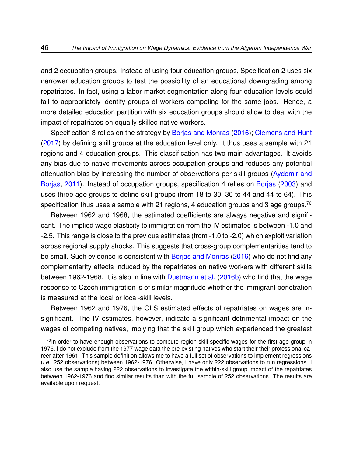and 2 occupation groups. Instead of using four education groups, Specification 2 uses six narrower education groups to test the possibility of an educational downgrading among repatriates. In fact, using a labor market segmentation along four education levels could fail to appropriately identify groups of workers competing for the same jobs. Hence, a more detailed education partition with six education groups should allow to deal with the impact of repatriates on equally skilled native workers.

Specification 3 relies on the strategy by [Borjas and Monras](#page-51-2) [\(2016\)](#page-51-2); [Clemens and Hunt](#page-52-0) [\(2017\)](#page-52-0) by defining skill groups at the education level only. It thus uses a sample with 21 regions and 4 education groups. This classification has two main advantages. It avoids any bias due to native movements across occupation groups and reduces any potential attenuation bias by increasing the number of observations per skill groups [\(Aydemir and](#page-50-4) [Borjas,](#page-50-4) [2011\)](#page-50-4). Instead of occupation groups, specification 4 relies on [Borjas](#page-51-1) [\(2003\)](#page-51-1) and uses three age groups to define skill groups (from 18 to 30, 30 to 44 and 44 to 64). This specification thus uses a sample with 21 regions, 4 education groups and 3 age groups.<sup>[70](#page-45-0)</sup>

Between 1962 and 1968, the estimated coefficients are always negative and significant. The implied wage elasticity to immigration from the IV estimates is between -1.0 and -2.5. This range is close to the previous estimates (from -1.0 to -2.0) which exploit variation across regional supply shocks. This suggests that cross-group complementarities tend to be small. Such evidence is consistent with [Borjas and Monras](#page-51-2) [\(2016\)](#page-51-2) who do not find any complementarity effects induced by the repatriates on native workers with different skills between 1962-1968. It is also in line with [Dustmann et al.](#page-53-2) [\(2016b\)](#page-53-2) who find that the wage response to Czech immigration is of similar magnitude whether the immigrant penetration is measured at the local or local-skill levels.

Between 1962 and 1976, the OLS estimated effects of repatriates on wages are insignificant. The IV estimates, however, indicate a significant detrimental impact on the wages of competing natives, implying that the skill group which experienced the greatest

<span id="page-45-0"></span> $70$ In order to have enough observations to compute region-skill specific wages for the first age group in 1976, I do not exclude from the 1977 wage data the pre-existing natives who start their their professional career after 1961. This sample definition allows me to have a full set of observations to implement regressions (*i.e.*, 252 observations) between 1962-1976. Otherwise, I have only 222 observations to run regressions. I also use the sample having 222 observations to investigate the within-skill group impact of the repatriates between 1962-1976 and find similar results than with the full sample of 252 observations. The results are available upon request.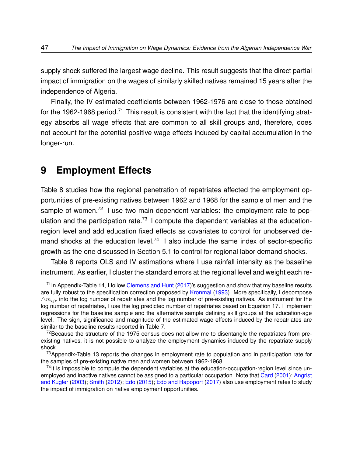supply shock suffered the largest wage decline. This result suggests that the direct partial impact of immigration on the wages of similarly skilled natives remained 15 years after the independence of Algeria.

Finally, the IV estimated coefficients between 1962-1976 are close to those obtained for the 1962-1968 period.<sup>[71](#page-46-0)</sup> This result is consistent with the fact that the identifying strategy absorbs all wage effects that are common to all skill groups and, therefore, does not account for the potential positive wage effects induced by capital accumulation in the longer-run.

## **9 Employment Effects**

Table [8](#page-71-0) studies how the regional penetration of repatriates affected the employment opportunities of pre-existing natives between 1962 and 1968 for the sample of men and the sample of women.<sup>[72](#page-46-1)</sup> I use two main dependent variables: the employment rate to pop-ulation and the participation rate.<sup>[73](#page-46-2)</sup> I compute the dependent variables at the educationregion level and add education fixed effects as covariates to control for unobserved de-mand shocks at the education level.<sup>[74](#page-46-3)</sup> I also include the same index of sector-specific growth as the one discussed in Section [5.1](#page-20-0) to control for regional labor demand shocks.

Table [8](#page-71-0) reports OLS and IV estimations where I use rainfall intensity as the baseline instrument. As earlier, I cluster the standard errors at the regional level and weight each re-

<span id="page-46-0"></span> $71$ In Appendix-Table [14,](#page-77-0) I follow [Clemens and Hunt](#page-52-0) [\(2017\)](#page-52-0)'s suggestion and show that my baseline results are fully robust to the specification correction proposed by [Kronmal](#page-54-3) [\(1993\)](#page-54-3). More specifically, I decompose  $\triangle m_{ir}$  into the log number of repatriates and the log number of pre-existing natives. As instrument for the log number of repatriates, I use the log predicted number of repatriates based on Equation [17.](#page-43-1) I implement regressions for the baseline sample and the alternative sample defining skill groups at the education-age level. The sign, significance and magnitude of the estimated wage effects induced by the repatriates are similar to the baseline results reported in Table [7.](#page-70-0)

<span id="page-46-1"></span> $72$ Because the structure of the 1975 census does not allow me to disentangle the repatriates from preexisting natives, it is not possible to analyze the employment dynamics induced by the repatriate supply shock.

<span id="page-46-2"></span><sup>&</sup>lt;sup>73</sup> Appendix-Table [13](#page-76-0) reports the changes in employment rate to population and in participation rate for the samples of pre-existing native men and women between 1962-1968.

<span id="page-46-3"></span> $74$ It is impossible to compute the dependent variables at the education-occupation-region level since unemployed and inactive natives cannot be assigned to a particular occupation. Note that [Card](#page-52-1) [\(2001\)](#page-52-1); [Angrist](#page-50-5) [and Kugler](#page-50-5) [\(2003\)](#page-50-5); [Smith](#page-57-2) [\(2012\)](#page-57-2); [Edo](#page-53-3) [\(2015\)](#page-53-3); [Edo and Rapoport](#page-53-4) [\(2017\)](#page-53-4) also use employment rates to study the impact of immigration on native employment opportunities.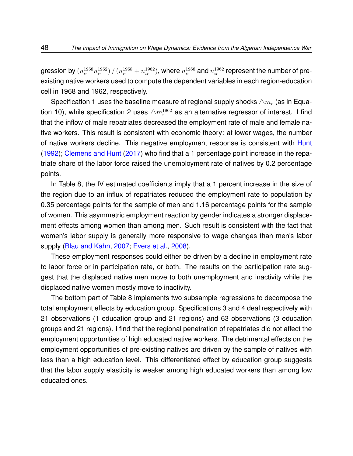gression by  $(n^{1968}_{ir}n^{1962}_{ir})/$   $(n^{1968}_{ir}+n^{1962}_{ir})$ , where  $n^{1968}_{ir}$  and  $n^{1962}_{ir}$  represent the number of preexisting native workers used to compute the dependent variables in each region-education cell in 1968 and 1962, respectively.

Specification 1 uses the baseline measure of regional supply shocks  $\triangle m_r$  (as in Equa-tion [10\)](#page-21-0), while specification 2 uses  $\triangle m_r^{1962}$  as an alternative regressor of interest. I find that the inflow of male repatriates decreased the employment rate of male and female native workers. This result is consistent with economic theory: at lower wages, the number of native workers decline. This negative employment response is consistent with [Hunt](#page-54-0) [\(1992\)](#page-54-0); [Clemens and Hunt](#page-52-0) [\(2017\)](#page-52-0) who find that a 1 percentage point increase in the repatriate share of the labor force raised the unemployment rate of natives by 0.2 percentage points.

In Table [8,](#page-71-0) the IV estimated coefficients imply that a 1 percent increase in the size of the region due to an influx of repatriates reduced the employment rate to population by 0.35 percentage points for the sample of men and 1.16 percentage points for the sample of women. This asymmetric employment reaction by gender indicates a stronger displacement effects among women than among men. Such result is consistent with the fact that women's labor supply is generally more responsive to wage changes than men's labor supply [\(Blau and Kahn,](#page-50-6) [2007;](#page-50-6) [Evers et al.,](#page-53-5) [2008\)](#page-53-5).

These employment responses could either be driven by a decline in employment rate to labor force or in participation rate, or both. The results on the participation rate suggest that the displaced native men move to both unemployment and inactivity while the displaced native women mostly move to inactivity.

The bottom part of Table [8](#page-71-0) implements two subsample regressions to decompose the total employment effects by education group. Specifications 3 and 4 deal respectively with 21 observations (1 education group and 21 regions) and 63 observations (3 education groups and 21 regions). I find that the regional penetration of repatriates did not affect the employment opportunities of high educated native workers. The detrimental effects on the employment opportunities of pre-existing natives are driven by the sample of natives with less than a high education level. This differentiated effect by education group suggests that the labor supply elasticity is weaker among high educated workers than among low educated ones.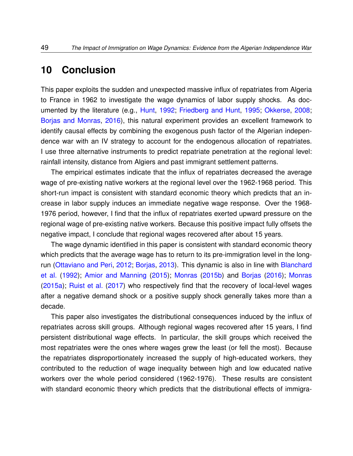## **10 Conclusion**

This paper exploits the sudden and unexpected massive influx of repatriates from Algeria to France in 1962 to investigate the wage dynamics of labor supply shocks. As documented by the literature (e.g., [Hunt,](#page-54-0) [1992;](#page-54-0) [Friedberg and Hunt,](#page-54-4) [1995;](#page-54-4) [Okkerse,](#page-56-0) [2008;](#page-56-0) [Borjas and Monras,](#page-51-2) [2016\)](#page-51-2), this natural experiment provides an excellent framework to identify causal effects by combining the exogenous push factor of the Algerian independence war with an IV strategy to account for the endogenous allocation of repatriates. I use three alternative instruments to predict repatriate penetration at the regional level: rainfall intensity, distance from Algiers and past immigrant settlement patterns.

The empirical estimates indicate that the influx of repatriates decreased the average wage of pre-existing native workers at the regional level over the 1962-1968 period. This short-run impact is consistent with standard economic theory which predicts that an increase in labor supply induces an immediate negative wage response. Over the 1968- 1976 period, however, I find that the influx of repatriates exerted upward pressure on the regional wage of pre-existing native workers. Because this positive impact fully offsets the negative impact, I conclude that regional wages recovered after about 15 years.

The wage dynamic identified in this paper is consistent with standard economic theory which predicts that the average wage has to return to its pre-immigration level in the longrun [\(Ottaviano and Peri,](#page-56-4) [2012;](#page-56-4) [Borjas,](#page-51-3) [2013\)](#page-51-3). This dynamic is also in line with [Blanchard](#page-50-2) [et al.](#page-50-2) [\(1992\)](#page-50-2); [Amior and Manning](#page-50-3) [\(2015\)](#page-50-3); [Monras](#page-56-5) [\(2015b\)](#page-56-5) and [Borjas](#page-51-0) [\(2016\)](#page-51-0); [Monras](#page-55-1) [\(2015a\)](#page-55-1); [Ruist et al.](#page-57-1) [\(2017\)](#page-57-1) who respectively find that the recovery of local-level wages after a negative demand shock or a positive supply shock generally takes more than a decade.

This paper also investigates the distributional consequences induced by the influx of repatriates across skill groups. Although regional wages recovered after 15 years, I find persistent distributional wage effects. In particular, the skill groups which received the most repatriates were the ones where wages grew the least (or fell the most). Because the repatriates disproportionately increased the supply of high-educated workers, they contributed to the reduction of wage inequality between high and low educated native workers over the whole period considered (1962-1976). These results are consistent with standard economic theory which predicts that the distributional effects of immigra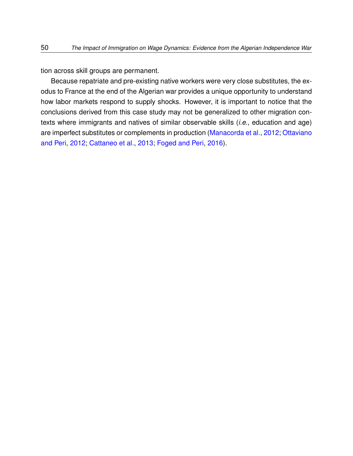tion across skill groups are permanent.

Because repatriate and pre-existing native workers were very close substitutes, the exodus to France at the end of the Algerian war provides a unique opportunity to understand how labor markets respond to supply shocks. However, it is important to notice that the conclusions derived from this case study may not be generalized to other migration contexts where immigrants and natives of similar observable skills (*i.e.*, education and age) are imperfect substitutes or complements in production [\(Manacorda et al.,](#page-55-4) [2012;](#page-55-4) [Ottaviano](#page-56-4) [and Peri,](#page-56-4) [2012;](#page-56-4) [Cattaneo et al.,](#page-52-3) [2013;](#page-52-3) [Foged and Peri,](#page-54-5) [2016\)](#page-54-5).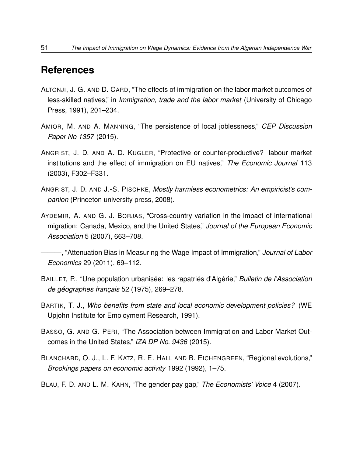## **References**

- <span id="page-50-1"></span>ALTONJI, J. G. AND D. CARD, "The effects of immigration on the labor market outcomes of less-skilled natives," in *Immigration, trade and the labor market* (University of Chicago Press, 1991), 201–234.
- <span id="page-50-3"></span>AMIOR, M. AND A. MANNING, "The persistence of local joblessness," *CEP Discussion Paper No 1357* (2015).
- <span id="page-50-5"></span>ANGRIST, J. D. AND A. D. KUGLER, "Protective or counter-productive? labour market institutions and the effect of immigration on EU natives," *The Economic Journal* 113 (2003), F302–F331.
- <span id="page-50-0"></span>ANGRIST, J. D. AND J.-S. PISCHKE, *Mostly harmless econometrics: An empiricist's companion* (Princeton university press, 2008).
- AYDEMIR, A. AND G. J. BORJAS, "Cross-country variation in the impact of international migration: Canada, Mexico, and the United States," *Journal of the European Economic Association* 5 (2007), 663–708.

<span id="page-50-4"></span>———, "Attenuation Bias in Measuring the Wage Impact of Immigration," *Journal of Labor Economics* 29 (2011), 69–112.

- BAILLET, P., "Une population urbanisée: les rapatriés d'Algérie," *Bulletin de l'Association de géographes français* 52 (1975), 269–278.
- BARTIK, T. J., *Who benefits from state and local economic development policies?* (WE Upjohn Institute for Employment Research, 1991).
- BASSO, G. AND G. PERI, "The Association between Immigration and Labor Market Outcomes in the United States," *IZA DP No. 9436* (2015).
- <span id="page-50-2"></span>BLANCHARD, O. J., L. F. KATZ, R. E. HALL AND B. EICHENGREEN, "Regional evolutions," *Brookings papers on economic activity* 1992 (1992), 1–75.
- <span id="page-50-6"></span>BLAU, F. D. AND L. M. KAHN, "The gender pay gap," *The Economists' Voice* 4 (2007).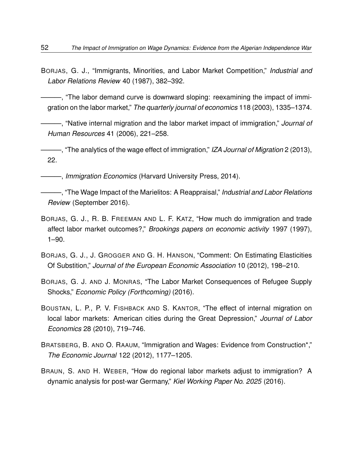BORJAS, G. J., "Immigrants, Minorities, and Labor Market Competition," *Industrial and Labor Relations Review* 40 (1987), 382–392.

<span id="page-51-1"></span>———, "The labor demand curve is downward sloping: reexamining the impact of immigration on the labor market," *The quarterly journal of economics* 118 (2003), 1335–1374.

———, "Native internal migration and the labor market impact of immigration," *Journal of Human Resources* 41 (2006), 221–258.

<span id="page-51-3"></span>———, "The analytics of the wage effect of immigration," *IZA Journal of Migration* 2 (2013), 22.

———, *Immigration Economics* (Harvard University Press, 2014).

<span id="page-51-0"></span>———, "The Wage Impact of the Marielitos: A Reappraisal," *Industrial and Labor Relations Review* (September 2016).

- BORJAS, G. J., R. B. FREEMAN AND L. F. KATZ, "How much do immigration and trade affect labor market outcomes?," *Brookings papers on economic activity* 1997 (1997), 1–90.
- BORJAS, G. J., J. GROGGER AND G. H. HANSON, "Comment: On Estimating Elasticities Of Substition," *Journal of the European Economic Association* 10 (2012), 198–210.
- <span id="page-51-2"></span>BORJAS, G. J. AND J. MONRAS, "The Labor Market Consequences of Refugee Supply Shocks," *Economic Policy (Forthcoming)* (2016).
- BOUSTAN, L. P., P. V. FISHBACK AND S. KANTOR, "The effect of internal migration on local labor markets: American cities during the Great Depression," *Journal of Labor Economics* 28 (2010), 719–746.
- BRATSBERG, B. AND O. RAAUM, "Immigration and Wages: Evidence from Construction\*," *The Economic Journal* 122 (2012), 1177–1205.
- BRAUN, S. AND H. WEBER, "How do regional labor markets adjust to immigration? A dynamic analysis for post-war Germany," *Kiel Working Paper No. 2025* (2016).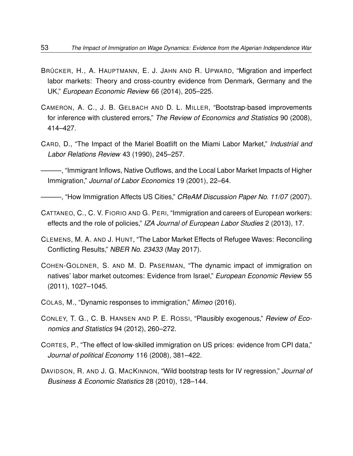- BRÜCKER, H., A. HAUPTMANN, E. J. JAHN AND R. UPWARD, "Migration and imperfect labor markets: Theory and cross-country evidence from Denmark, Germany and the UK," *European Economic Review* 66 (2014), 205–225.
- CAMERON, A. C., J. B. GELBACH AND D. L. MILLER, "Bootstrap-based improvements for inference with clustered errors," *The Review of Economics and Statistics* 90 (2008), 414–427.
- CARD, D., "The Impact of the Mariel Boatlift on the Miami Labor Market," *Industrial and Labor Relations Review* 43 (1990), 245–257.

<span id="page-52-1"></span>–, "Immigrant Inflows, Native Outflows, and the Local Labor Market Impacts of Higher Immigration," *Journal of Labor Economics* 19 (2001), 22–64.

———, "How Immigration Affects US Cities," *CReAM Discussion Paper No. 11/07* (2007).

- <span id="page-52-3"></span>CATTANEO, C., C. V. FIORIO AND G. PERI, "Immigration and careers of European workers: effects and the role of policies," *IZA Journal of European Labor Studies* 2 (2013), 17.
- <span id="page-52-0"></span>CLEMENS, M. A. AND J. HUNT, "The Labor Market Effects of Refugee Waves: Reconciling Conflicting Results," *NBER No. 23433* (May 2017).
- <span id="page-52-2"></span>COHEN-GOLDNER, S. AND M. D. PASERMAN, "The dynamic impact of immigration on natives' labor market outcomes: Evidence from Israel," *European Economic Review* 55 (2011), 1027–1045.
- COLAS, M., "Dynamic responses to immigration," *Mimeo* (2016).
- CONLEY, T. G., C. B. HANSEN AND P. E. ROSSI, "Plausibly exogenous," *Review of Economics and Statistics* 94 (2012), 260–272.
- CORTES, P., "The effect of low-skilled immigration on US prices: evidence from CPI data," *Journal of political Economy* 116 (2008), 381–422.
- DAVIDSON, R. AND J. G. MACKINNON, "Wild bootstrap tests for IV regression," *Journal of Business & Economic Statistics* 28 (2010), 128–144.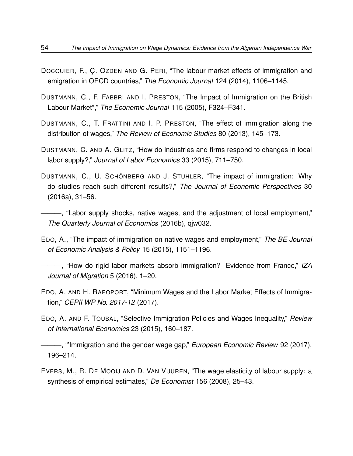- DOCQUIER, F., Ç. OZDEN AND G. PERI, "The labour market effects of immigration and emigration in OECD countries," *The Economic Journal* 124 (2014), 1106–1145.
- DUSTMANN, C., F. FABBRI AND I. PRESTON, "The Impact of Immigration on the British Labour Market\*," *The Economic Journal* 115 (2005), F324–F341.
- DUSTMANN, C., T. FRATTINI AND I. P. PRESTON, "The effect of immigration along the distribution of wages," *The Review of Economic Studies* 80 (2013), 145–173.
- <span id="page-53-0"></span>DUSTMANN, C. AND A. GLITZ, "How do industries and firms respond to changes in local labor supply?," *Journal of Labor Economics* 33 (2015), 711–750.
- DUSTMANN, C., U. SCHÖNBERG AND J. STUHLER, "The impact of immigration: Why do studies reach such different results?," *The Journal of Economic Perspectives* 30 (2016a), 31–56.
- <span id="page-53-2"></span>———, "Labor supply shocks, native wages, and the adjustment of local employment," *The Quarterly Journal of Economics* (2016b), qjw032.
- <span id="page-53-3"></span>EDO, A., "The impact of immigration on native wages and employment," *The BE Journal of Economic Analysis & Policy* 15 (2015), 1151–1196.
- <span id="page-53-1"></span>———, "How do rigid labor markets absorb immigration? Evidence from France," *IZA Journal of Migration* 5 (2016), 1–20.
- <span id="page-53-4"></span>EDO, A. AND H. RAPOPORT, "Minimum Wages and the Labor Market Effects of Immigration," *CEPII WP No. 2017-12* (2017).
- EDO, A. AND F. TOUBAL, "Selective Immigration Policies and Wages Inequality," *Review of International Economics* 23 (2015), 160–187.

———, "'Immigration and the gender wage gap," *European Economic Review* 92 (2017), 196–214.

<span id="page-53-5"></span>EVERS, M., R. DE MOOIJ AND D. VAN VUUREN, "The wage elasticity of labour supply: a synthesis of empirical estimates," *De Economist* 156 (2008), 25–43.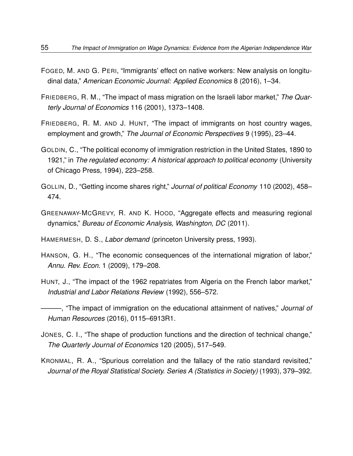- <span id="page-54-5"></span>FOGED, M. AND G. PERI, "Immigrants' effect on native workers: New analysis on longitudinal data," *American Economic Journal: Applied Economics* 8 (2016), 1–34.
- FRIEDBERG, R. M., "The impact of mass migration on the Israeli labor market," *The Quarterly Journal of Economics* 116 (2001), 1373–1408.
- <span id="page-54-4"></span>FRIEDBERG, R. M. AND J. HUNT, "The impact of immigrants on host country wages, employment and growth," *The Journal of Economic Perspectives* 9 (1995), 23–44.
- <span id="page-54-2"></span>GOLDIN, C., "The political economy of immigration restriction in the United States, 1890 to 1921," in *The regulated economy: A historical approach to political economy* (University of Chicago Press, 1994), 223–258.
- GOLLIN, D., "Getting income shares right," *Journal of political Economy* 110 (2002), 458– 474.
- GREENAWAY-MCGREVY, R. AND K. HOOD, "Aggregate effects and measuring regional dynamics," *Bureau of Economic Analysis, Washington, DC* (2011).
- <span id="page-54-1"></span>HAMERMESH, D. S., *Labor demand* (princeton University press, 1993).
- HANSON, G. H., "The economic consequences of the international migration of labor," *Annu. Rev. Econ.* 1 (2009), 179–208.
- <span id="page-54-0"></span>HUNT, J., "The impact of the 1962 repatriates from Algeria on the French labor market," *Industrial and Labor Relations Review* (1992), 556–572.

- JONES, C. I., "The shape of production functions and the direction of technical change," *The Quarterly Journal of Economics* 120 (2005), 517–549.
- <span id="page-54-3"></span>KRONMAL, R. A., "Spurious correlation and the fallacy of the ratio standard revisited," *Journal of the Royal Statistical Society. Series A (Statistics in Society)* (1993), 379–392.

<sup>———, &</sup>quot;The impact of immigration on the educational attainment of natives," *Journal of Human Resources* (2016), 0115–6913R1.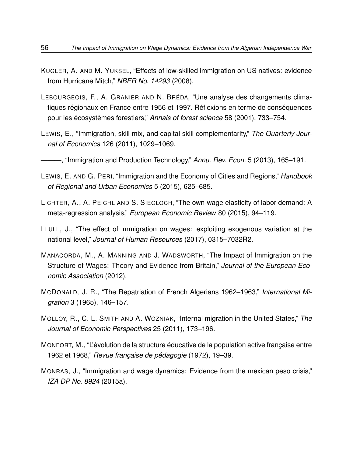- KUGLER, A. AND M. YUKSEL, "Effects of low-skilled immigration on US natives: evidence from Hurricane Mitch," *NBER No. 14293* (2008).
- LEBOURGEOIS, F., A. GRANIER AND N. BRÉDA, "Une analyse des changements climatiques régionaux en France entre 1956 et 1997. Réflexions en terme de conséquences pour les écosystèmes forestiers," *Annals of forest science* 58 (2001), 733–754.
- LEWIS, E., "Immigration, skill mix, and capital skill complementarity," *The Quarterly Journal of Economics* 126 (2011), 1029–1069.
- ———, "Immigration and Production Technology," *Annu. Rev. Econ.* 5 (2013), 165–191.
- LEWIS, E. AND G. PERI, "Immigration and the Economy of Cities and Regions," *Handbook of Regional and Urban Economics* 5 (2015), 625–685.
- <span id="page-55-0"></span>LICHTER, A., A. PEICHL AND S. SIEGLOCH, "The own-wage elasticity of labor demand: A meta-regression analysis," *European Economic Review* 80 (2015), 94–119.
- <span id="page-55-3"></span>LLULL, J., "The effect of immigration on wages: exploiting exogenous variation at the national level," *Journal of Human Resources* (2017), 0315–7032R2.
- <span id="page-55-4"></span>MANACORDA, M., A. MANNING AND J. WADSWORTH, "The Impact of Immigration on the Structure of Wages: Theory and Evidence from Britain," *Journal of the European Economic Association* (2012).
- MCDONALD, J. R., "The Repatriation of French Algerians 1962–1963," *International Migration* 3 (1965), 146–157.
- <span id="page-55-2"></span>MOLLOY, R., C. L. SMITH AND A. WOZNIAK, "Internal migration in the United States," *The Journal of Economic Perspectives* 25 (2011), 173–196.
- MONFORT, M., "L'évolution de la structure éducative de la population active française entre 1962 et 1968," *Revue française de pédagogie* (1972), 19–39.
- <span id="page-55-1"></span>MONRAS, J., "Immigration and wage dynamics: Evidence from the mexican peso crisis," *IZA DP No. 8924* (2015a).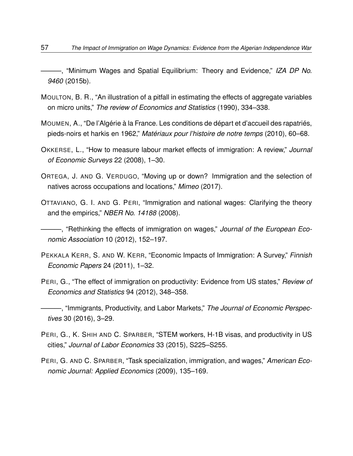<span id="page-56-5"></span>———, "Minimum Wages and Spatial Equilibrium: Theory and Evidence," *IZA DP No. 9460* (2015b).

- MOULTON, B. R., "An illustration of a pitfall in estimating the effects of aggregate variables on micro units," *The review of Economics and Statistics* (1990), 334–338.
- MOUMEN, A., "De l'Algérie à la France. Les conditions de départ et d'accueil des rapatriés, pieds-noirs et harkis en 1962," *Matériaux pour l'histoire de notre temps* (2010), 60–68.
- <span id="page-56-0"></span>OKKERSE, L., "How to measure labour market effects of immigration: A review," *Journal of Economic Surveys* 22 (2008), 1–30.
- ORTEGA, J. AND G. VERDUGO, "Moving up or down? Immigration and the selection of natives across occupations and locations," *Mimeo* (2017).
- <span id="page-56-3"></span>OTTAVIANO, G. I. AND G. PERI, "Immigration and national wages: Clarifying the theory and the empirics," *NBER No. 14188* (2008).
- <span id="page-56-4"></span>———, "Rethinking the effects of immigration on wages," *Journal of the European Economic Association* 10 (2012), 152–197.
- <span id="page-56-1"></span>PEKKALA KERR, S. AND W. KERR, "Economic Impacts of Immigration: A Survey," *Finnish Economic Papers* 24 (2011), 1–32.
- PERI, G., "The effect of immigration on productivity: Evidence from US states," *Review of Economics and Statistics* 94 (2012), 348–358.
- <span id="page-56-2"></span>———, "Immigrants, Productivity, and Labor Markets," *The Journal of Economic Perspectives* 30 (2016), 3–29.
- PERI, G., K. SHIH AND C. SPARBER, "STEM workers, H-1B visas, and productivity in US cities," *Journal of Labor Economics* 33 (2015), S225–S255.
- PERI, G. AND C. SPARBER, "Task specialization, immigration, and wages," *American Economic Journal: Applied Economics* (2009), 135–169.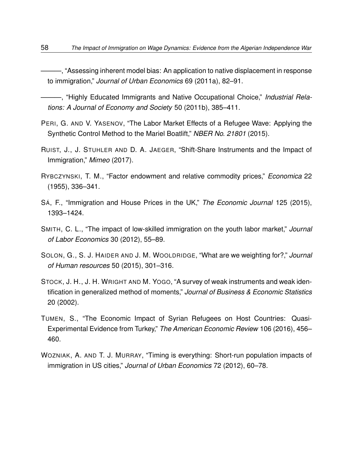———, "Assessing inherent model bias: An application to native displacement in response to immigration," *Journal of Urban Economics* 69 (2011a), 82–91.

———, "Highly Educated Immigrants and Native Occupational Choice," *Industrial Relations: A Journal of Economy and Society* 50 (2011b), 385–411.

- PERI, G. AND V. YASENOV, "The Labor Market Effects of a Refugee Wave: Applying the Synthetic Control Method to the Mariel Boatlift," *NBER No. 21801* (2015).
- <span id="page-57-1"></span>RUIST, J., J. STUHLER AND D. A. JAEGER, "Shift-Share Instruments and the Impact of Immigration," *Mimeo* (2017).
- RYBCZYNSKI, T. M., "Factor endowment and relative commodity prices," *Economica* 22 (1955), 336–341.
- SÁ, F., "Immigration and House Prices in the UK," *The Economic Journal* 125 (2015), 1393–1424.
- <span id="page-57-2"></span>SMITH, C. L., "The impact of low-skilled immigration on the youth labor market," *Journal of Labor Economics* 30 (2012), 55–89.
- <span id="page-57-0"></span>SOLON, G., S. J. HAIDER AND J. M. WOOLDRIDGE, "What are we weighting for?," *Journal of Human resources* 50 (2015), 301–316.
- STOCK, J. H., J. H. WRIGHT AND M. YOGO, "A survey of weak instruments and weak identification in generalized method of moments," *Journal of Business & Economic Statistics* 20 (2002).
- TUMEN, S., "The Economic Impact of Syrian Refugees on Host Countries: Quasi-Experimental Evidence from Turkey," *The American Economic Review* 106 (2016), 456– 460.
- WOZNIAK, A. AND T. J. MURRAY, "Timing is everything: Short-run population impacts of immigration in US cities," *Journal of Urban Economics* 72 (2012), 60–78.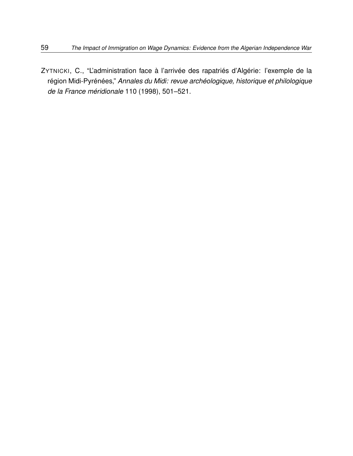ZYTNICKI, C., "L'administration face à l'arrivée des rapatriés d'Algérie: l'exemple de la région Midi-Pyrénées," *Annales du Midi: revue archéologique, historique et philologique de la France méridionale* 110 (1998), 501–521.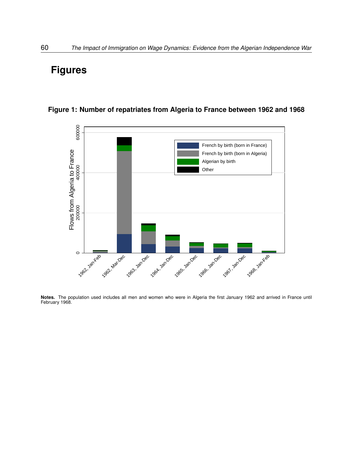## **Figures**



**Figure 1: Number of repatriates from Algeria to France between 1962 and 1968**

**Notes.** The population used includes all men and women who were in Algeria the first January 1962 and arrived in France until February 1968.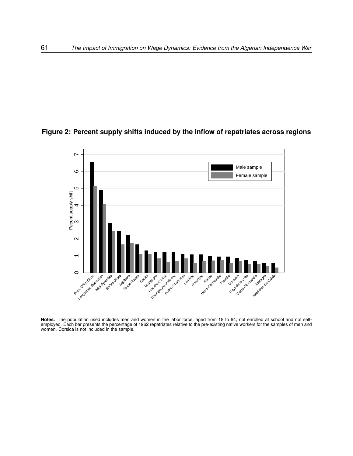### **Figure 2: Percent supply shifts induced by the inflow of repatriates across regions**



**Notes.** The population used includes men and women in the labor force, aged from 18 to 64, not enrolled at school and not selfemployed. Each bar presents the percentage of 1962 repatriates relative to the pre-existing native workers for the samples of men and women. Corsica is not included in the sample.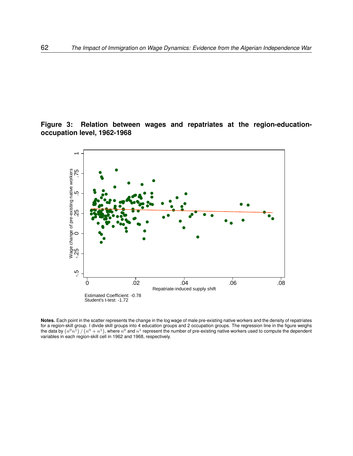### **Figure 3: Relation between wages and repatriates at the region-educationoccupation level, 1962-1968**

<span id="page-61-0"></span>

**Notes.** Each point in the scatter represents the change in the log wage of male pre-existing native workers and the density of repatriates for a region-skill group. I divide skill groups into 4 education groups and 2 occupation groups. The regression line in the figure weighs the data by  $(n^0n^1)/ (n^0 + n^1)$ , where  $n^0$  and  $n^1$  represent the number of pre-existing native workers used to compute the dependent variables in each region-skill cell in 1962 and 1968, respectively.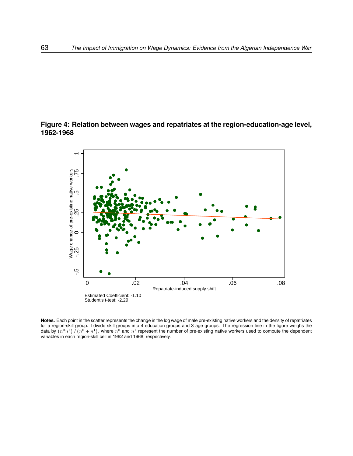### **Figure 4: Relation between wages and repatriates at the region-education-age level, 1962-1968**

<span id="page-62-0"></span>

**Notes.** Each point in the scatter represents the change in the log wage of male pre-existing native workers and the density of repatriates for a region-skill group. I divide skill groups into 4 education groups and 3 age groups. The regression line in the figure weighs the data by  $(n^0n^1)/n^0 + n^1$ , where  $n^0$  and  $n^1$  represent the number of pre-existing native workers used to compute the dependent variables in each region-skill cell in 1962 and 1968, respectively.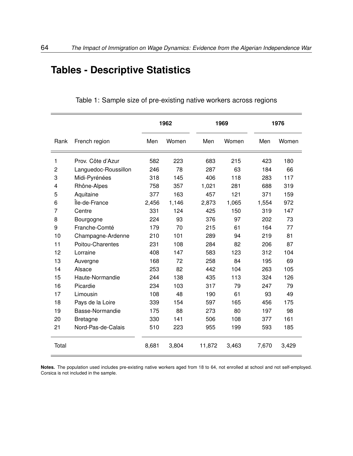# **Tables - Descriptive Statistics**

|       |                      | 1962  |       |        | 1969  |       | 1976  |
|-------|----------------------|-------|-------|--------|-------|-------|-------|
| Rank  | French region        | Men   | Women | Men    | Women | Men   | Women |
| 1     | Prov. Côte d'Azur    | 582   | 223   | 683    | 215   | 423   | 180   |
| 2     | Languedoc-Roussillon | 246   | 78    | 287    | 63    | 184   | 66    |
| 3     | Midi-Pyrénées        | 318   | 145   | 406    | 118   | 283   | 117   |
| 4     | Rhône-Alpes          | 758   | 357   | 1,021  | 281   | 688   | 319   |
| 5     | Aquitaine            | 377   | 163   | 457    | 121   | 371   | 159   |
| 6     | Île-de-France        | 2,456 | 1,146 | 2,873  | 1,065 | 1,554 | 972   |
| 7     | Centre               | 331   | 124   | 425    | 150   | 319   | 147   |
| 8     | Bourgogne            | 224   | 93    | 376    | 97    | 202   | 73    |
| 9     | Franche-Comté        | 179   | 70    | 215    | 61    | 164   | 77    |
| 10    | Champagne-Ardenne    | 210   | 101   | 289    | 94    | 219   | 81    |
| 11    | Poitou-Charentes     | 231   | 108   | 284    | 82    | 206   | 87    |
| 12    | Lorraine             | 408   | 147   | 583    | 123   | 312   | 104   |
| 13    | Auvergne             | 168   | 72    | 258    | 84    | 195   | 69    |
| 14    | Alsace               | 253   | 82    | 442    | 104   | 263   | 105   |
| 15    | Haute-Normandie      | 244   | 138   | 435    | 113   | 324   | 126   |
| 16    | Picardie             | 234   | 103   | 317    | 79    | 247   | 79    |
| 17    | Limousin             | 108   | 48    | 190    | 61    | 93    | 49    |
| 18    | Pays de la Loire     | 339   | 154   | 597    | 165   | 456   | 175   |
| 19    | Basse-Normandie      | 175   | 88    | 273    | 80    | 197   | 98    |
| 20    | <b>Bretagne</b>      | 330   | 141   | 506    | 108   | 377   | 161   |
| 21    | Nord-Pas-de-Calais   | 510   | 223   | 955    | 199   | 593   | 185   |
| Total |                      | 8,681 | 3,804 | 11,872 | 3,463 | 7,670 | 3,429 |

Table 1: Sample size of pre-existing native workers across regions

**Notes.** The population used includes pre-existing native workers aged from 18 to 64, not enrolled at school and not self-employed. Corsica is not included in the sample.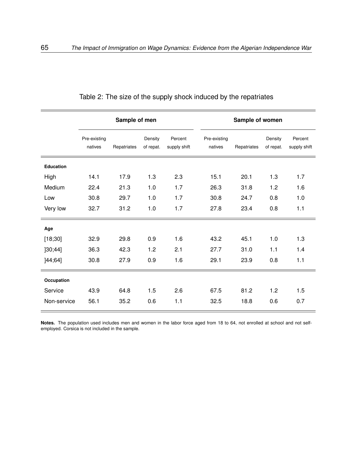|             |                         | Sample of men |                      |                         | Sample of women         |             |                      |                         |  |
|-------------|-------------------------|---------------|----------------------|-------------------------|-------------------------|-------------|----------------------|-------------------------|--|
|             | Pre-existing<br>natives | Repatriates   | Density<br>of repat. | Percent<br>supply shift | Pre-existing<br>natives | Repatriates | Density<br>of repat. | Percent<br>supply shift |  |
| Education   |                         |               |                      |                         |                         |             |                      |                         |  |
| High        | 14.1                    | 17.9          | 1.3                  | 2.3                     | 15.1                    | 20.1        | 1.3                  | 1.7                     |  |
| Medium      | 22.4                    | 21.3          | 1.0                  | 1.7                     | 26.3                    | 31.8        | 1.2                  | 1.6                     |  |
| Low         | 30.8                    | 29.7          | 1.0                  | 1.7                     | 30.8                    | 24.7        | 0.8                  | 1.0                     |  |
| Very low    | 32.7                    | 31.2          | 1.0                  | 1.7                     | 27.8                    | 23.4        | 0.8                  | 1.1                     |  |
| Age         |                         |               |                      |                         |                         |             |                      |                         |  |
| [18;30]     | 32.9                    | 29.8          | 0.9                  | 1.6                     | 43.2                    | 45.1        | 1.0                  | 1.3                     |  |
| ]30;44]     | 36.3                    | 42.3          | 1.2                  | 2.1                     | 27.7                    | 31.0        | 1.1                  | 1.4                     |  |
| ]44;64]     | 30.8                    | 27.9          | 0.9                  | 1.6                     | 29.1                    | 23.9        | 0.8                  | 1.1                     |  |
| Occupation  |                         |               |                      |                         |                         |             |                      |                         |  |
| Service     | 43.9                    | 64.8          | 1.5                  | 2.6                     | 67.5                    | 81.2        | 1.2                  | 1.5                     |  |
| Non-service | 56.1                    | 35.2          | 0.6                  | 1.1                     | 32.5                    | 18.8        | 0.6                  | 0.7                     |  |

<span id="page-64-0"></span>Table 2: The size of the supply shock induced by the repatriates

**Notes.** The population used includes men and women in the labor force aged from 18 to 64, not enrolled at school and not selfemployed. Corsica is not included in the sample.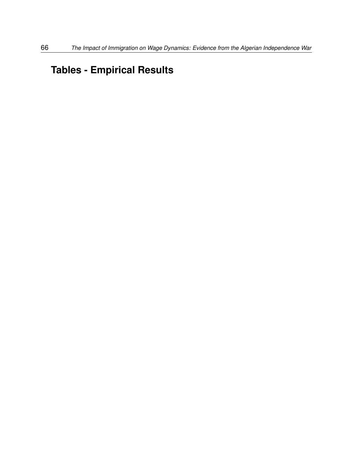# **Tables - Empirical Results**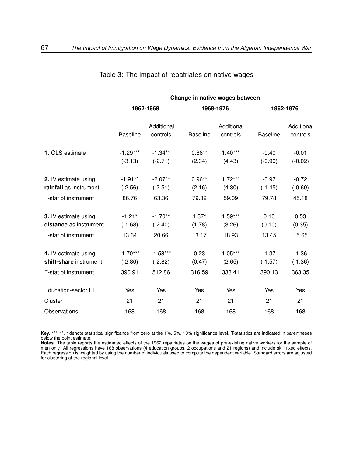|                            |                 |                        |                 | Change in native wages between |                 |                        |  |
|----------------------------|-----------------|------------------------|-----------------|--------------------------------|-----------------|------------------------|--|
|                            |                 | 1962-1968              |                 | 1968-1976                      | 1962-1976       |                        |  |
|                            | <b>Baseline</b> | Additional<br>controls | <b>Baseline</b> | Additional<br>controls         | <b>Baseline</b> | Additional<br>controls |  |
| 1. OLS estimate            | $-1.29***$      | $-1.34**$              | $0.86**$        | $1.40***$                      | $-0.40$         | $-0.01$                |  |
|                            | $(-3.13)$       | $(-2.71)$              | (2.34)          | (4.43)                         | $(-0.90)$       | $(-0.02)$              |  |
| 2. IV estimate using       | $-1.91***$      | $-2.07**$              | $0.96**$        | $1.72***$                      | $-0.97$         | $-0.72$                |  |
| rainfall as instrument     | $(-2.56)$       | $(-2.51)$              | (2.16)          | (4.30)                         | $(-1.45)$       | $(-0.60)$              |  |
| F-stat of instrument       | 86.76           | 63.36                  | 79.32           | 59.09                          | 79.78           | 45.18                  |  |
| 3. IV estimate using       | $-1.21*$        | $-1.70**$              | $1.37*$         | $1.59***$                      | 0.10            | 0.53                   |  |
| distance as instrument     | $(-1.68)$       | $(-2.40)$              | (1.78)          | (3.26)                         | (0.10)          | (0.35)                 |  |
| F-stat of instrument       | 13.64           | 20.66                  | 13.17           | 18.93                          | 13.45           | 15.65                  |  |
| 4. IV estimate using       | $-1.70***$      | $-1.58***$             | 0.23            | $1.05***$                      | $-1.37$         | $-1.36$                |  |
| shift-share instrument     | $(-2.80)$       | $(-2.82)$              | (0.47)          | (2.65)                         | $(-1.57)$       | $(-1.36)$              |  |
| F-stat of instrument       | 390.91          | 512.86                 | 316.59          | 333.41                         | 390.13          | 363.35                 |  |
| <b>Education-sector FE</b> | Yes             | Yes                    | Yes             | Yes                            | Yes             | Yes                    |  |
| Cluster                    | 21              | 21                     | 21              | 21                             | 21              | 21                     |  |
| <b>Observations</b>        | 168             | 168                    | 168             | 168                            | 168             | 168                    |  |

<span id="page-66-0"></span>Table 3: The impact of repatriates on native wages

**Key.** \*\*\*, \*\*, \* denote statistical significance from zero at the 1%, 5%, 10% significance level. T-statistics are indicated in parentheses below the point estimate.

**Notes.** The table reports the estimated effects of the 1962 repatriates on the wages of pre-existing native workers for the sample of men only. All regressions have 168 observations (4 education groups, 2 occupations and 21 regions) and include skill fixed effects. Each regression is weighted by using the number of individuals used to compute the dependent variable. Standard errors are adjusted for clustering at the regional level.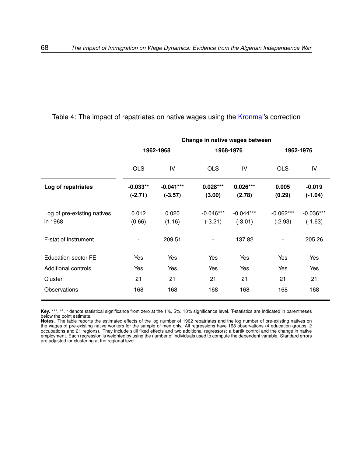|                                        |                         |                          | Change in native wages between |                          |                          |                          |
|----------------------------------------|-------------------------|--------------------------|--------------------------------|--------------------------|--------------------------|--------------------------|
|                                        |                         | 1962-1968                |                                | 1968-1976                |                          | 1962-1976                |
|                                        | <b>OLS</b>              | IV                       | <b>OLS</b>                     | IV                       | <b>OLS</b>               | IV                       |
| Log of repatriates                     | $-0.033**$<br>$(-2.71)$ | $-0.041***$<br>$(-3.57)$ | $0.028***$<br>(3.00)           | $0.026***$<br>(2.78)     | 0.005<br>(0.29)          | $-0.019$<br>$(-1.04)$    |
| Log of pre-existing natives<br>in 1968 | 0.012<br>(0.66)         | 0.020<br>(1.16)          | $-0.046***$<br>$(-3.21)$       | $-0.044***$<br>$(-3.01)$ | $-0.062***$<br>$(-2.93)$ | $-0.036***$<br>$(-1.63)$ |
| F-stat of instrument                   |                         | 209.51                   | $\overline{\phantom{a}}$       | 137.82                   |                          | 205.26                   |
| Education-sector FE                    | Yes                     | Yes                      | Yes                            | Yes                      | Yes                      | Yes                      |
| Additional controls                    | Yes                     | Yes                      | Yes                            | Yes                      | Yes                      | Yes                      |
| Cluster                                | 21                      | 21                       | 21                             | 21                       | 21                       | 21                       |
| Observations                           | 168                     | 168                      | 168                            | 168                      | 168                      | 168                      |

### Table 4: The impact of repatriates on native wages using the [Kronmal'](#page-54-3)s correction

**Key.** \*\*\*, \*\*, \* denote statistical significance from zero at the 1%, 5%, 10% significance level. T-statistics are indicated in parentheses below the point estimate.

**Notes.** The table reports the estimated effects of the log number of 1962 repatriates and the log number of pre-existing natives on the wages of pre-existing native workers for the sample of men only. All regressions have 168 observations (4 education groups, 2 occupations and 21 regions). They include skill fixed effects and two additional regressors: a bartik control and the change in native employment. Each regression is weighted by using the number of individuals used to compute the dependent variable. Standard errors are adjusted for clustering at the regional level.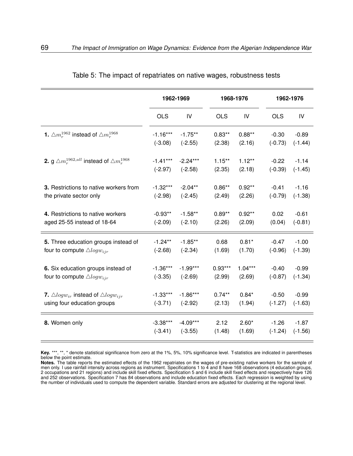|                                                                    |            | 1962-1969  | 1968-1976  |           |            | 1962-1976 |  |  |
|--------------------------------------------------------------------|------------|------------|------------|-----------|------------|-----------|--|--|
|                                                                    |            |            |            |           |            |           |  |  |
|                                                                    | <b>OLS</b> | IV         | <b>OLS</b> | IV        | <b>OLS</b> | IV        |  |  |
| <b>1.</b> $\triangle m_r^{1962}$ instead of $\triangle m_r^{1968}$ | $-1.16***$ | $-1.75**$  | $0.83**$   | $0.88**$  | $-0.30$    | $-0.89$   |  |  |
|                                                                    | $(-3.08)$  | $(-2.55)$  | (2.38)     | (2.16)    | $(-0.73)$  | $(-1.44)$ |  |  |
| 2. g $\triangle m_r^{1962,all}$ instead of $\triangle m_r^{1968}$  | $-1.41***$ | $-2.24***$ | $1.15***$  | $1.12***$ | $-0.22$    | $-1.14$   |  |  |
|                                                                    | $(-2.97)$  | $(-2.58)$  | (2.35)     | (2.18)    | $(-0.39)$  | $(-1.45)$ |  |  |
| 3. Restrictions to native workers from                             | $-1.32***$ | $-2.04**$  | $0.86**$   | $0.92**$  | $-0.41$    | $-1.16$   |  |  |
| the private sector only                                            | $(-2.98)$  | $(-2.45)$  | (2.49)     | (2.26)    | $(-0.79)$  | $(-1.38)$ |  |  |
| 4. Restrictions to native workers                                  | $-0.93**$  | $-1.58**$  | $0.89**$   | $0.92**$  | 0.02       | $-0.61$   |  |  |
| aged 25-55 instead of 18-64                                        | $(-2.09)$  | $(-2.10)$  | (2.26)     | (2.09)    | (0.04)     | $(-0.81)$ |  |  |
| 5. Three education groups instead of                               | $-1.24**$  | $-1.85**$  | 0.68       | $0.81*$   | $-0.47$    | $-1.00$   |  |  |
| four to compute $\triangle logw_{ijr}$                             | $(-2.68)$  | $(-2.34)$  | (1.69)     | (1.70)    | $(-0.96)$  | $(-1.39)$ |  |  |
| 6. Six education groups instead of                                 | $-1.36***$ | $-1.99***$ | $0.93***$  | $1.04***$ | $-0.40$    | $-0.99$   |  |  |
| four to compute $\triangle logw_{ijr}$                             | $(-3.35)$  | $(-2.69)$  | (2.99)     | (2.69)    | $(-0.87)$  | $(-1.34)$ |  |  |
|                                                                    |            |            |            |           |            |           |  |  |
| <b>7.</b> $\triangle logw_{ir}$ instead of $\triangle logw_{ir}$   | $-1.33***$ | $-1.86***$ | $0.74***$  | $0.84*$   | $-0.50$    | $-0.99$   |  |  |
| using four education groups                                        | $(-3.71)$  | $(-2.92)$  | (2.13)     | (1.94)    | $(-1.27)$  | $(-1.63)$ |  |  |
| 8. Women only                                                      | $-3.38***$ | $-4.09***$ | 2.12       | $2.60*$   | $-1.26$    | $-1.87$   |  |  |
|                                                                    | $(-3.41)$  | $(-3.55)$  | (1.48)     | (1.69)    | $(-1.24)$  | $(-1.56)$ |  |  |

<span id="page-68-0"></span>

|  |  |  |  | Table 5: The impact of repatriates on native wages, robustness tests |  |
|--|--|--|--|----------------------------------------------------------------------|--|
|  |  |  |  |                                                                      |  |

**Key.** \*\*\*, \*\*, \* denote statistical significance from zero at the 1%, 5%, 10% significance level. T-statistics are indicated in parentheses below the point estimate.

**Notes.** The table reports the estimated effects of the 1962 repatriates on the wages of pre-existing native workers for the sample of men only. I use rainfall intensity across regions as instrument. Specifications 1 to 4 and 8 have 168 observations (4 education groups, 2 occupations and 21 regions) and include skill fixed effects. Specification 5 and 6 include skill fixed effects and respectively have 126 and 252 observations. Specification 7 has 84 observations and include education fixed effects. Each regression is weighted by using the number of individuals used to compute the dependent variable. Standard errors are adjusted for clustering at the regional level.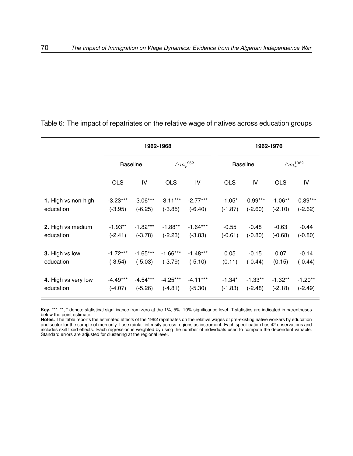|                     |                 |            | 1962-1968              |            |            | 1962-1976       |            |                        |  |  |
|---------------------|-----------------|------------|------------------------|------------|------------|-----------------|------------|------------------------|--|--|
|                     | <b>Baseline</b> |            | $\triangle m_r^{1962}$ |            |            | <b>Baseline</b> |            | $\triangle m_r^{1962}$ |  |  |
|                     | <b>OLS</b>      | IV         | <b>OLS</b>             | IV         | <b>OLS</b> | IV              | <b>OLS</b> | IV                     |  |  |
| 1. High vs non-high | $-3.23***$      | $-3.06***$ | $-3.11***$             | $-2.77***$ | $-1.05*$   | $-0.99***$      | $-1.06**$  | $-0.89***$             |  |  |
| education           | $(-3.95)$       | $(-6.25)$  | $(-3.85)$              | $(-6.40)$  | $(-1.87)$  | $(-2.60)$       | $(-2.10)$  | $(-2.62)$              |  |  |
| 2. High vs medium   | $-1.93**$       | $-1.82***$ | $-1.88**$              | $-1.64***$ | $-0.55$    | $-0.48$         | $-0.63$    | $-0.44$                |  |  |
| education           | $(-2.41)$       | $(-3.78)$  | $(-2.23)$              | $(-3.83)$  | $(-0.61)$  | $(-0.80)$       | $(-0.68)$  | $(-0.80)$              |  |  |
| 3. High vs low      | $-1.72***$      | $-1.65***$ | $-1.66***$             | $-1.48***$ | 0.05       | $-0.15$         | 0.07       | $-0.14$                |  |  |
| education           | $(-3.54)$       | $(-5.03)$  | $(-3.79)$              | $(-5.10)$  | (0.11)     | $(-0.44)$       | (0.15)     | $(-0.44)$              |  |  |
| 4. High vs very low | $-4.49***$      | $-4.54***$ | $-4.25***$             | $-4.11***$ | $-1.34*$   | $-1.33**$       | $-1.32**$  | $-1.20**$              |  |  |
| education           | $(-4.07)$       | $(-5.26)$  | $(-4.81)$              | $(-5.30)$  | $(-1.83)$  | $(-2.48)$       | $(-2.18)$  | $(-2.49)$              |  |  |

<span id="page-69-0"></span>Table 6: The impact of repatriates on the relative wage of natives across education groups

**Key.** \*\*\*, \*\*, \* denote statistical significance from zero at the 1%, 5%, 10% significance level. T-statistics are indicated in parentheses below the point estimate.

**Notes.** The table reports the estimated effects of the 1962 repatriates on the relative wages of pre-existing native workers by education and sector for the sample of men only. I use rainfall intensity across regions as instrument. Each specification has 42 observations and includes skill fixed effects. Each regression is weighted by using the number of individuals used to compute the dependent variable. Standard errors are adjusted for clustering at the regional level.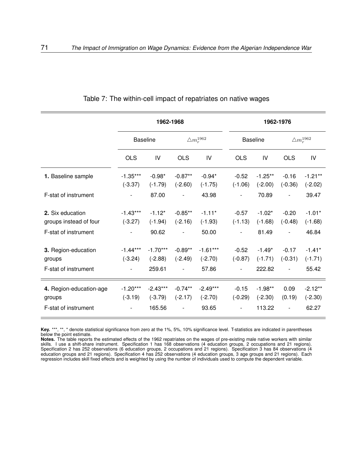|                                                           |                         | 1962-1968                         |                          |                                  |                                                  | 1962-1976                        |                          |                                 |  |
|-----------------------------------------------------------|-------------------------|-----------------------------------|--------------------------|----------------------------------|--------------------------------------------------|----------------------------------|--------------------------|---------------------------------|--|
|                                                           | <b>Baseline</b>         |                                   | $\triangle m_r^{1962}$   |                                  |                                                  | <b>Baseline</b>                  | $\triangle m_r^{1962}$   |                                 |  |
|                                                           | <b>OLS</b>              | IV                                | <b>OLS</b>               | IV                               | <b>OLS</b>                                       | IV                               | <b>OLS</b>               | IV                              |  |
| 1. Baseline sample                                        | $-1.35***$<br>$(-3.37)$ | $-0.98*$<br>$(-1.79)$             | $-0.87**$<br>$(-2.60)$   | $-0.94*$<br>$(-1.75)$            | $-0.52$<br>$(-1.06)$                             | $-1.25**$<br>$(-2.00)$           | $-0.16$<br>$(-0.36)$     | $-1.21**$<br>$(-2.02)$          |  |
| F-stat of instrument                                      |                         | 87.00                             |                          | 43.98                            | $\overline{\phantom{a}}$                         | 70.89                            | $\overline{\phantom{0}}$ | 39.47                           |  |
| 2. Six education<br>groups instead of four                | $-1.43***$<br>$(-3.27)$ | $-1.12*$<br>$(-1.94)$             | $-0.85**$<br>$(-2.16)$   | $-1.11*$<br>$(-1.93)$            | $-0.57$<br>$(-1.13)$                             | $-1.02*$<br>$(-1.68)$            | $-0.20$<br>$(-0.48)$     | $-1.01*$<br>$(-1.68)$           |  |
| F-stat of instrument                                      |                         | 90.62                             | $\overline{\phantom{a}}$ | 50.00                            | $\overline{\phantom{a}}$                         | 81.49                            | $\overline{\phantom{0}}$ | 46.84                           |  |
| 3. Region-education<br>groups<br>F-stat of instrument     | $-1.44***$<br>$(-3.24)$ | $-1.70***$<br>$(-2.88)$<br>259.61 | $-0.89**$<br>$(-2.49)$   | $-1.61***$<br>$(-2.70)$<br>57.86 | $-0.52$<br>$(-0.87)$<br>$\overline{\phantom{a}}$ | $-1.49*$<br>$(-1.71)$<br>222.82  | $-0.17$<br>$(-0.31)$     | $-1.41*$<br>$(-1.71)$<br>55.42  |  |
| 4. Region-education-age<br>groups<br>F-stat of instrument | $-1.20***$<br>$(-3.19)$ | $-2.43***$<br>$(-3.79)$<br>165.56 | $-0.74**$<br>$(-2.17)$   | $-2.49***$<br>$(-2.70)$<br>93.65 | $-0.15$<br>$(-0.29)$                             | $-1.98**$<br>$(-2.30)$<br>113.22 | 0.09<br>(0.19)           | $-2.12**$<br>$(-2.30)$<br>62.27 |  |

<span id="page-70-0"></span>Table 7: The within-cell impact of repatriates on native wages

Key. \*\*\*, \*\*, \* denote statistical significance from zero at the 1%, 5%, 10% significance level. T-statistics are indicated in parentheses below the point estimate.

**Notes.** The table reports the estimated effects of the 1962 repatriates on the wages of pre-existing male native workers with similar skills. I use a shift-share instrument. Specification 1 has 168 observations (4 education groups, 2 occupations and 21 regions). Specification 2 has 252 observations (6 education groups, 2 occupations and 21 regions). Specification 3 has 84 observations (4 education groups and 21 regions). Specification 4 has 252 observations (4 education groups, 3 age groups and 21 regions). Each regression includes skill fixed effects and is weighted by using the number of individuals used to compute the dependent variable.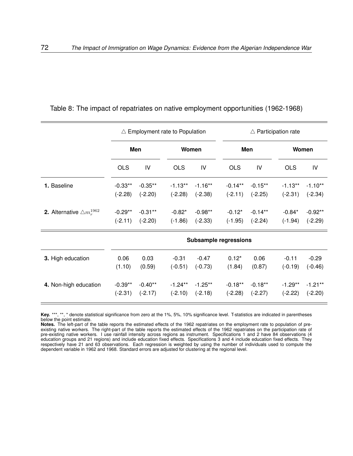|                                              |                        |                         | $\triangle$ Employment rate to Population |                        |                              | $\triangle$ Participation rate |                        |                        |  |
|----------------------------------------------|------------------------|-------------------------|-------------------------------------------|------------------------|------------------------------|--------------------------------|------------------------|------------------------|--|
|                                              | Men                    |                         |                                           | Women                  |                              | Men                            |                        | Women                  |  |
|                                              | <b>OLS</b>             | IV                      | <b>OLS</b>                                | IV                     | <b>OLS</b>                   | IV                             | <b>OLS</b>             | IV                     |  |
| 1. Baseline                                  | $-0.33**$<br>$(-2.28)$ | $-0.35**$<br>$(-2.20)$  | $-1.13**$<br>$(-2.28)$                    | $-1.16**$<br>$(-2.38)$ | $-0.14***$<br>$(-2.11)$      | $-0.15**$<br>$(-2.25)$         | $-1.13**$<br>$(-2.31)$ | $-1.10**$<br>$(-2.34)$ |  |
| <b>2.</b> Alternative $\triangle m_r^{1962}$ | $-0.29**$<br>$(-2.11)$ | $-0.31***$<br>$(-2.20)$ | $-0.82*$<br>$(-1.86)$                     | $-0.98**$<br>$(-2.33)$ | $-0.12*$<br>$(-1.95)$        | $-0.14**$<br>$(-2.24)$         | $-0.84*$<br>$(-1.94)$  | $-0.92**$<br>$(-2.29)$ |  |
|                                              |                        |                         |                                           |                        | <b>Subsample regressions</b> |                                |                        |                        |  |
| 3. High education                            | 0.06<br>(1.10)         | 0.03<br>(0.59)          | $-0.31$<br>$(-0.51)$                      | $-0.47$<br>$(-0.73)$   | $0.12*$<br>(1.84)            | 0.06<br>(0.87)                 | $-0.11$<br>$(-0.19)$   | $-0.29$<br>$(-0.46)$   |  |
| 4. Non-high education                        | $-0.39**$              | $-0.40**$               | $-1.24***$                                | $-1.25**$              | $-0.18**$                    | $-0.18**$                      | $-1.29***$             | $-1.21**$              |  |

<span id="page-71-0"></span>

|  |  |  |  |  | Table 8: The impact of repatriates on native employment opportunities (1962-1968) |  |  |
|--|--|--|--|--|-----------------------------------------------------------------------------------|--|--|
|--|--|--|--|--|-----------------------------------------------------------------------------------|--|--|

**Key.** \*\*\*, \*\*, \* denote statistical significance from zero at the 1%, 5%, 10% significance level. T-statistics are indicated in parentheses below the point estimate.

(-2.31) (-2.17) (-2.10) (-2.18) (-2.28) (-2.27) (-2.22) (-2.20)

**Notes.** The left-part of the table reports the estimated effects of the 1962 repatriates on the employment rate to population of preexisting native workers. The right-part of the table reports the estimated effects of the 1962 repatriates on the participation rate of pre-existing native workers. I use rainfall intensity across regions as instrument. Specifications 1 and 2 have 84 observations (4 education groups and 21 regions) and include education fixed effects. Specifications 3 and 4 include education fixed effects. They respectively have 21 and 63 observations. Each regression is weighted by using the number of individuals used to compute the dependent variable in 1962 and 1968. Standard errors are adjusted for clustering at the regional level.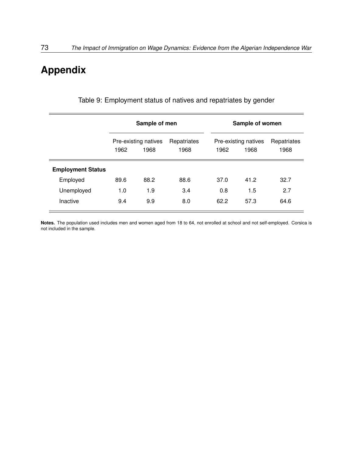## **Appendix**

|                          |      | Sample of men                |                     |      | Sample of women              |                     |
|--------------------------|------|------------------------------|---------------------|------|------------------------------|---------------------|
|                          | 1962 | Pre-existing natives<br>1968 | Repatriates<br>1968 | 1962 | Pre-existing natives<br>1968 | Repatriates<br>1968 |
| <b>Employment Status</b> |      |                              |                     |      |                              |                     |
| Employed                 | 89.6 | 88.2                         | 88.6                | 37.0 | 41.2                         | 32.7                |
| Unemployed               | 1.0  | 1.9                          | 3.4                 | 0.8  | 1.5                          | 2.7                 |
| Inactive                 | 9.4  | 9.9                          | 8.0                 | 62.2 | 57.3                         | 64.6                |

Table 9: Employment status of natives and repatriates by gender

**Notes.** The population used includes men and women aged from 18 to 64, not enrolled at school and not self-employed. Corsica is not included in the sample.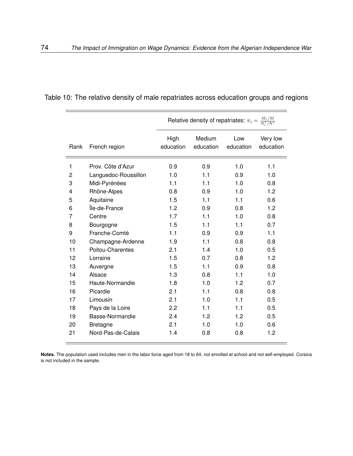|      |                      |                   | Relative density of repatriates: $\pi_i = \frac{M_i/M}{N^1/N^1}$ |                  |                       |
|------|----------------------|-------------------|------------------------------------------------------------------|------------------|-----------------------|
| Rank | French region        | High<br>education | Medium<br>education                                              | Low<br>education | Very low<br>education |
| 1    | Prov. Côte d'Azur    | 0.9               | 0.9                                                              | 1.0              | 1.1                   |
| 2    | Languedoc-Roussillon | 1.0               | 1.1                                                              | 0.9              | 1.0                   |
| 3    | Midi-Pyrénées        | 1.1               | 1.1                                                              | 1.0              | 0.8                   |
| 4    | Rhône-Alpes          | 0.8               | 0.9                                                              | 1.0              | 1.2                   |
| 5    | Aquitaine            | 1.5               | 1.1                                                              | 1.1              | 0.6                   |
| 6    | Île-de-France        | 1.2               | 0.9                                                              | 0.8              | 1.2                   |
| 7    | Centre               | 1.7               | 1.1                                                              | 1.0              | 0.8                   |
| 8    | Bourgogne            | 1.5               | 1.1                                                              | 1.1              | 0.7                   |
| 9    | Franche-Comté        | 1.1               | 0.9                                                              | 0.9              | 1.1                   |
| 10   | Champagne-Ardenne    | 1.9               | 1.1                                                              | 0.8              | 0.8                   |
| 11   | Poitou-Charentes     | 2.1               | 1.4                                                              | 1.0              | 0.5                   |
| 12   | Lorraine             | 1.5               | 0.7                                                              | 0.8              | 1.2                   |
| 13   | Auvergne             | 1.5               | 1.1                                                              | 0.9              | 0.8                   |
| 14   | Alsace               | 1.3               | 0.8                                                              | 1.1              | 1.0                   |
| 15   | Haute-Normandie      | 1.8               | 1.0                                                              | 1.2              | 0.7                   |
| 16   | Picardie             | 2.1               | 1.1                                                              | 0.8              | 0.8                   |
| 17   | Limousin             | 2.1               | 1.0                                                              | 1.1              | 0.5                   |
| 18   | Pays de la Loire     | 2.2               | 1.1                                                              | 1.1              | 0.5                   |
| 19   | Basse-Normandie      | 2.4               | 1.2                                                              | 1.2              | 0.5                   |
| 20   | <b>Bretagne</b>      | 2.1               | 1.0                                                              | 1.0              | 0.6                   |
| 21   | Nord-Pas-de-Calais   | 1.4               | 0.8                                                              | 0.8              | 1.2                   |

Table 10: The relative density of male repatriates across education groups and regions

**Notes.** The population used includes men in the labor force aged from 18 to 64, not enrolled at school and not self-employed. Corsica is not included in the sample.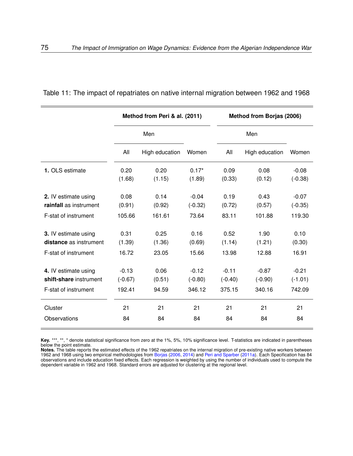|                        |           | Method from Peri & al. (2011) |           |           | Method from Borjas (2006) |           |
|------------------------|-----------|-------------------------------|-----------|-----------|---------------------------|-----------|
|                        |           | Men                           |           |           | Men                       |           |
|                        | All       | High education                | Women     | All       | High education            | Women     |
| 1. OLS estimate        | 0.20      | 0.20                          | $0.17*$   | 0.09      | 0.08                      | $-0.08$   |
|                        | (1.68)    | (1.15)                        | (1.89)    | (0.33)    | (0.12)                    | $(-0.38)$ |
| 2. IV estimate using   | 0.08      | 0.14                          | $-0.04$   | 0.19      | 0.43                      | $-0.07$   |
| rainfall as instrument | (0.91)    | (0.92)                        | $(-0.32)$ | (0.72)    | (0.57)                    | $(-0.35)$ |
| F-stat of instrument   | 105.66    | 161.61                        | 73.64     | 83.11     | 101.88                    | 119.30    |
| 3. IV estimate using   | 0.31      | 0.25                          | 0.16      | 0.52      | 1.90                      | 0.10      |
| distance as instrument | (1.39)    | (1.36)                        | (0.69)    | (1.14)    | (1.21)                    | (0.30)    |
| F-stat of instrument   | 16.72     | 23.05                         | 15.66     | 13.98     | 12.88                     | 16.91     |
| 4. IV estimate using   | $-0.13$   | 0.06                          | $-0.12$   | $-0.11$   | $-0.87$                   | $-0.21$   |
| shift-share instrument | $(-0.67)$ | (0.51)                        | $(-0.80)$ | $(-0.40)$ | $(-0.90)$                 | $(-1.01)$ |
| F-stat of instrument   | 192.41    | 94.59                         | 346.12    | 375.15    | 340.16                    | 742.09    |
| Cluster                | 21        | 21                            | 21        | 21        | 21                        | 21        |
| Observations           | 84        | 84                            | 84        | 84        | 84                        | 84        |

Table 11: The impact of repatriates on native internal migration between 1962 and 1968

**Key.** \*\*\*, \*\*, \* denote statistical significance from zero at the 1%, 5%, 10% significance level. T-statistics are indicated in parentheses below the point estimate.

**Notes.** The table reports the estimated effects of the 1962 repatriates on the internal migration of pre-existing native workers between 1962 and 1968 using two empirical methodologies from [Borjas](#page-51-0) [\(2006,](#page-51-0) [2014\)](#page-51-1) and [Peri and Sparber](#page-57-0) [\(2011a\)](#page-57-0). Each Specification has 84 observations and include education fixed effects. Each regression is weighted by using the number of individuals used to compute the dependent variable in 1962 and 1968. Standard errors are adjusted for clustering at the regional level.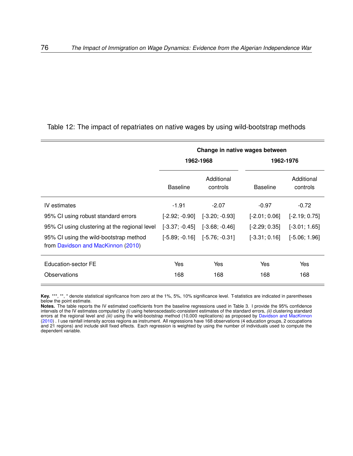|                                                                              |                  | Change in native wages between    |                 |                        |
|------------------------------------------------------------------------------|------------------|-----------------------------------|-----------------|------------------------|
|                                                                              |                  | 1962-1968                         |                 | 1962-1976              |
|                                                                              | <b>Baseline</b>  | Additional<br>controls            | <b>Baseline</b> | Additional<br>controls |
| IV estimates                                                                 | $-1.91$          | $-2.07$                           | $-0.97$         | $-0.72$                |
| 95% CI using robust standard errors                                          | $[-2.92; -0.90]$ | $[-3.20; -0.93]$                  | $[-2.01; 0.06]$ | $[-2.19; 0.75]$        |
| 95% CI using clustering at the regional level                                | $[-3.37; -0.45]$ | $[-3.68, -0.46]$                  | $[-2.29; 0.35]$ | $[-3.01; 1.65]$        |
| 95% CI using the wild-bootstrap method<br>from Davidson and MacKinnon (2010) |                  | $[-5.89; -0.16]$ $[-5.76; -0.31]$ | $[-3.31; 0.16]$ | $[-5.06; 1.96]$        |
| Education-sector FE                                                          | Yes              | Yes                               | Yes             | Yes                    |
| Observations                                                                 | 168              | 168                               | 168             | 168                    |

**Key.** \*\*\*, \*\*, \* denote statistical significance from zero at the 1%, 5%, 10% significance level. T-statistics are indicated in parentheses below the point estimate.

**Notes.** The table reports the IV estimated coefficients from the baseline regressions used in Table [3.](#page-66-0) I provide the 95% confidence intervals of the IV estimates computed by *(i)* using heteroscedastic-consistent estimates of the standard errors, *(ii)* clustering standard errors at the regional level and *(iii)* using the wild-bootstrap method (10,000 replications) as proposed by [Davidson and MacKinnon](#page-52-0) [\(2010\)](#page-52-0) . I use rainfall intensity across regions as instrument. All regressions have 168 observations (4 education groups, 2 occupations and 21 regions) and include skill fixed effects. Each regression is weighted by using the number of individuals used to compute the dependent variable.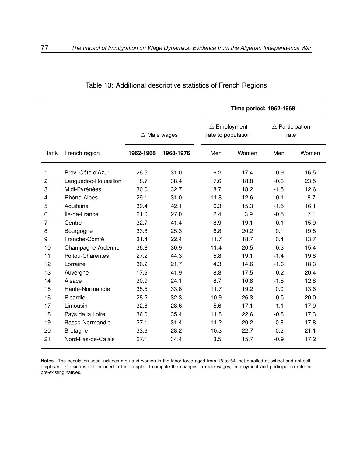|                |                      |                        |           |                                              | Time period: 1962-1968 |                                   |       |
|----------------|----------------------|------------------------|-----------|----------------------------------------------|------------------------|-----------------------------------|-------|
|                |                      | $\triangle$ Male wages |           | $\triangle$ Employment<br>rate to population |                        | $\triangle$ Participation<br>rate |       |
| Rank           | French region        | 1962-1968              | 1968-1976 | Men                                          | Women                  | Men                               | Women |
| 1              | Prov. Côte d'Azur    | 26.5                   | 31.0      | 6.2                                          | 17.4                   | $-0.9$                            | 16.5  |
| $\overline{c}$ | Languedoc-Roussillon | 18.7                   | 38.4      | 7.6                                          | 18.8                   | $-0.3$                            | 23.5  |
| 3              | Midi-Pyrénées        | 30.0                   | 32.7      | 8.7                                          | 18.2                   | $-1.5$                            | 12.6  |
| 4              | Rhône-Alpes          | 29.1                   | 31.0      | 11.8                                         | 12.6                   | $-0.1$                            | 8.7   |
| 5              | Aquitaine            | 39.4                   | 42.1      | 6.3                                          | 15.3                   | $-1.5$                            | 16.1  |
| 6              | Île-de-France        | 21.0                   | 27.0      | 2.4                                          | 3.9                    | $-0.5$                            | 7.1   |
| 7              | Centre               | 32.7                   | 41.4      | 8.9                                          | 19.1                   | $-0.1$                            | 15.9  |
| 8              | Bourgogne            | 33.8                   | 25.3      | 6.8                                          | 20.2                   | 0.1                               | 19.8  |
| 9              | Franche-Comté        | 31.4                   | 22.4      | 11.7                                         | 18.7                   | 0.4                               | 13.7  |
| 10             | Champagne-Ardenne    | 36.8                   | 30.9      | 11.4                                         | 20.5                   | $-0.3$                            | 15.4  |
| 11             | Poitou-Charentes     | 27.2                   | 44.3      | 5.8                                          | 19.1                   | $-1.4$                            | 19.8  |
| 12             | Lorraine             | 36.2                   | 21.7      | 4.3                                          | 14.6                   | $-1.6$                            | 18.3  |
| 13             | Auvergne             | 17.9                   | 41.9      | 8.8                                          | 17.5                   | $-0.2$                            | 20.4  |
| 14             | Alsace               | 30.9                   | 24.1      | 8.7                                          | 10.8                   | $-1.8$                            | 12.8  |
| 15             | Haute-Normandie      | 35.5                   | 33.8      | 11.7                                         | 19.2                   | 0.0                               | 13.6  |
| 16             | Picardie             | 28.2                   | 32.3      | 10.9                                         | 26.3                   | $-0.5$                            | 20.0  |
| 17             | Limousin             | 32.8                   | 28.6      | 5.6                                          | 17.1                   | $-1.1$                            | 17.9  |
| 18             | Pays de la Loire     | 36.0                   | 35.4      | 11.8                                         | 22.6                   | $-0.8$                            | 17.3  |
| 19             | Basse-Normandie      | 27.1                   | 31.4      | 11.2                                         | 20.2                   | 0.8                               | 17.8  |
| 20             | <b>Bretagne</b>      | 33.6                   | 28.2      | 10.3                                         | 22.7                   | 0.2                               | 21.1  |
| 21             | Nord-Pas-de-Calais   | 27.1                   | 34.4      | 3.5                                          | 15.7                   | $-0.9$                            | 17.2  |

Table 13: Additional descriptive statistics of French Regions

**Notes.** The population used includes men and women in the labor force aged from 18 to 64, not enrolled at school and not selfemployed. Corsica is not included in the sample. I compute the changes in male wages, employment and participation rate for pre-existing natives.